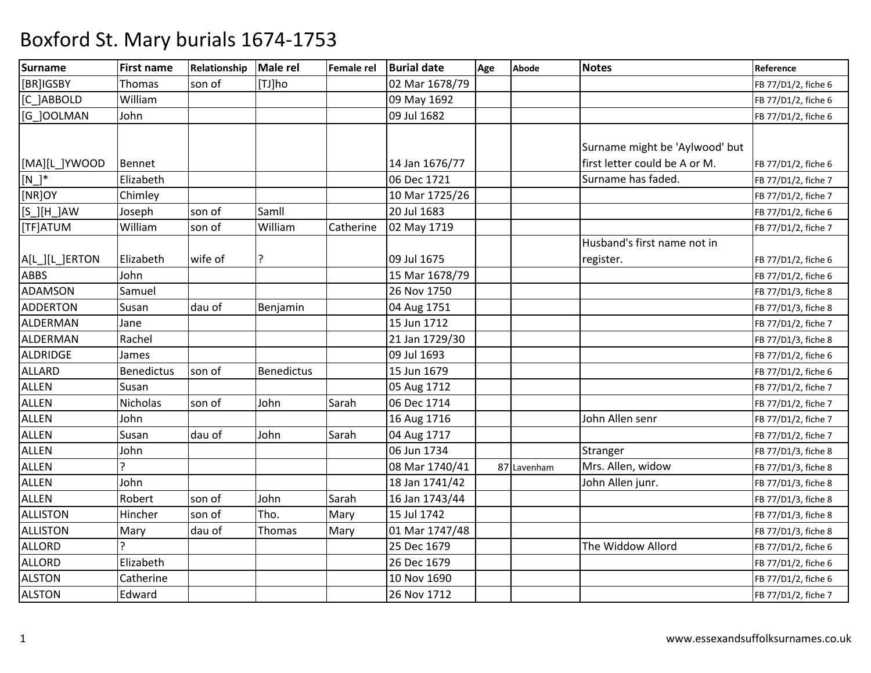| <b>Surname</b>     | <b>First name</b> | Relationship | Male rel   | <b>Female rel</b> | <b>Burial date</b> | Age | <b>Abode</b> | <b>Notes</b>                   | Reference           |
|--------------------|-------------------|--------------|------------|-------------------|--------------------|-----|--------------|--------------------------------|---------------------|
| [BR]IGSBY          | <b>Thomas</b>     | son of       | [TJ]ho     |                   | 02 Mar 1678/79     |     |              |                                | FB 77/D1/2, fiche 6 |
| [C_]ABBOLD         | William           |              |            |                   | 09 May 1692        |     |              |                                | FB 77/D1/2, fiche 6 |
| [G_]OOLMAN         | John              |              |            |                   | 09 Jul 1682        |     |              |                                | FB 77/D1/2, fiche 6 |
|                    |                   |              |            |                   |                    |     |              |                                |                     |
|                    |                   |              |            |                   |                    |     |              | Surname might be 'Aylwood' but |                     |
| [MA][L_]YWOOD      | Bennet            |              |            |                   | 14 Jan 1676/77     |     |              | first letter could be A or M.  | FB 77/D1/2, fiche 6 |
| $[N_$ <sup>*</sup> | Elizabeth         |              |            |                   | 06 Dec 1721        |     |              | Surname has faded.             | FB 77/D1/2, fiche 7 |
| [NR]OY             | Chimley           |              |            |                   | 10 Mar 1725/26     |     |              |                                | FB 77/D1/2, fiche 7 |
| [S_][H_]AW         | Joseph            | son of       | Samll      |                   | 20 Jul 1683        |     |              |                                | FB 77/D1/2, fiche 6 |
| <b>IFFJATUM</b>    | William           | son of       | William    | Catherine         | 02 May 1719        |     |              |                                | FB 77/D1/2, fiche 7 |
|                    |                   |              |            |                   |                    |     |              | Husband's first name not in    |                     |
| A[L_][L_]ERTON     | Elizabeth         | wife of      |            |                   | 09 Jul 1675        |     |              | register.                      | FB 77/D1/2, fiche 6 |
| <b>ABBS</b>        | John              |              |            |                   | 15 Mar 1678/79     |     |              |                                | FB 77/D1/2, fiche 6 |
| <b>ADAMSON</b>     | Samuel            |              |            |                   | 26 Nov 1750        |     |              |                                | FB 77/D1/3, fiche 8 |
| <b>ADDERTON</b>    | Susan             | dau of       | Benjamin   |                   | 04 Aug 1751        |     |              |                                | FB 77/D1/3, fiche 8 |
| ALDERMAN           | Jane              |              |            |                   | 15 Jun 1712        |     |              |                                | FB 77/D1/2, fiche 7 |
| ALDERMAN           | Rachel            |              |            |                   | 21 Jan 1729/30     |     |              |                                | FB 77/D1/3, fiche 8 |
| ALDRIDGE           | James             |              |            |                   | 09 Jul 1693        |     |              |                                | FB 77/D1/2, fiche 6 |
| <b>ALLARD</b>      | <b>Benedictus</b> | son of       | Benedictus |                   | 15 Jun 1679        |     |              |                                | FB 77/D1/2, fiche 6 |
| <b>ALLEN</b>       | Susan             |              |            |                   | 05 Aug 1712        |     |              |                                | FB 77/D1/2, fiche 7 |
| <b>ALLEN</b>       | Nicholas          | son of       | John       | Sarah             | 06 Dec 1714        |     |              |                                | FB 77/D1/2, fiche 7 |
| ALLEN              | John              |              |            |                   | 16 Aug 1716        |     |              | John Allen senr                | FB 77/D1/2, fiche 7 |
| <b>ALLEN</b>       | Susan             | dau of       | John       | Sarah             | 04 Aug 1717        |     |              |                                | FB 77/D1/2, fiche 7 |
| ALLEN              | John              |              |            |                   | 06 Jun 1734        |     |              | Stranger                       | FB 77/D1/3, fiche 8 |
| ALLEN              | ς                 |              |            |                   | 08 Mar 1740/41     |     | 87 Lavenham  | Mrs. Allen, widow              | FB 77/D1/3, fiche 8 |
| <b>ALLEN</b>       | John              |              |            |                   | 18 Jan 1741/42     |     |              | John Allen junr.               | FB 77/D1/3, fiche 8 |
| <b>ALLEN</b>       | Robert            | son of       | John       | Sarah             | 16 Jan 1743/44     |     |              |                                | FB 77/D1/3, fiche 8 |
| <b>ALLISTON</b>    | Hincher           | son of       | Tho.       | Mary              | 15 Jul 1742        |     |              |                                | FB 77/D1/3, fiche 8 |
| <b>ALLISTON</b>    | Mary              | dau of       | Thomas     | Mary              | 01 Mar 1747/48     |     |              |                                | FB 77/D1/3, fiche 8 |
| <b>ALLORD</b>      | $\mathcal{P}$     |              |            |                   | 25 Dec 1679        |     |              | The Widdow Allord              | FB 77/D1/2, fiche 6 |
| <b>ALLORD</b>      | Elizabeth         |              |            |                   | 26 Dec 1679        |     |              |                                | FB 77/D1/2, fiche 6 |
| <b>ALSTON</b>      | Catherine         |              |            |                   | 10 Nov 1690        |     |              |                                | FB 77/D1/2, fiche 6 |
| <b>ALSTON</b>      | Edward            |              |            |                   | 26 Nov 1712        |     |              |                                | FB 77/D1/2, fiche 7 |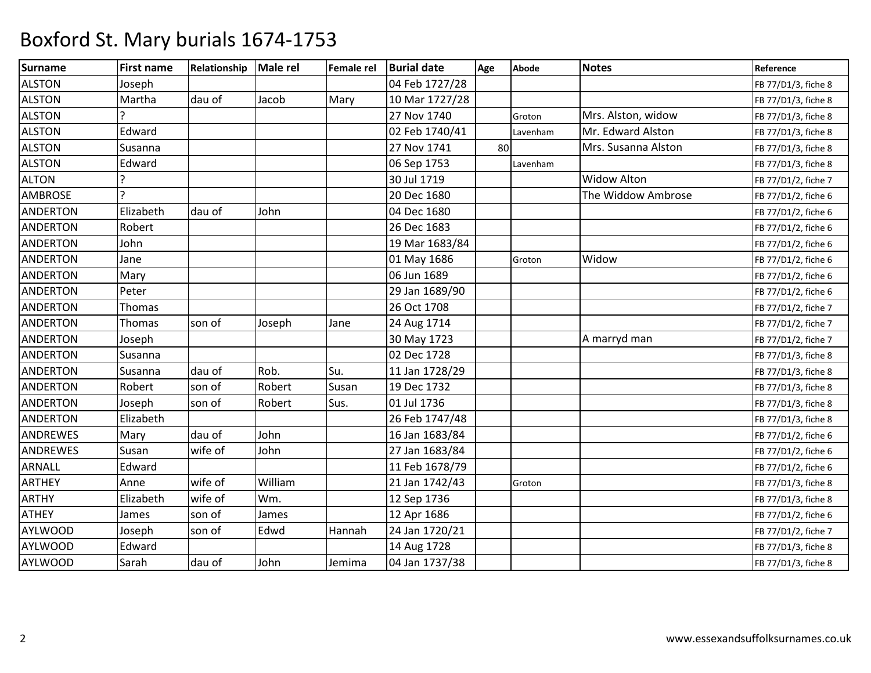| Surname         | <b>First name</b> | Relationship | Male rel | Female rel | <b>Burial date</b> | Age | <b>Abode</b> | <b>Notes</b>        | Reference           |
|-----------------|-------------------|--------------|----------|------------|--------------------|-----|--------------|---------------------|---------------------|
| <b>ALSTON</b>   | Joseph            |              |          |            | 04 Feb 1727/28     |     |              |                     | FB 77/D1/3, fiche 8 |
| <b>ALSTON</b>   | Martha            | dau of       | Jacob    | Mary       | 10 Mar 1727/28     |     |              |                     | FB 77/D1/3, fiche 8 |
| <b>ALSTON</b>   |                   |              |          |            | 27 Nov 1740        |     | Groton       | Mrs. Alston, widow  | FB 77/D1/3, fiche 8 |
| <b>ALSTON</b>   | Edward            |              |          |            | 02 Feb 1740/41     |     | Lavenham     | Mr. Edward Alston   | FB 77/D1/3, fiche 8 |
| <b>ALSTON</b>   | Susanna           |              |          |            | 27 Nov 1741        | 80  |              | Mrs. Susanna Alston | FB 77/D1/3, fiche 8 |
| <b>ALSTON</b>   | Edward            |              |          |            | 06 Sep 1753        |     | Lavenham     |                     | FB 77/D1/3, fiche 8 |
| <b>ALTON</b>    |                   |              |          |            | 30 Jul 1719        |     |              | <b>Widow Alton</b>  | FB 77/D1/2, fiche 7 |
| <b>AMBROSE</b>  |                   |              |          |            | 20 Dec 1680        |     |              | The Widdow Ambrose  | FB 77/D1/2, fiche 6 |
| <b>ANDERTON</b> | Elizabeth         | dau of       | John     |            | 04 Dec 1680        |     |              |                     | FB 77/D1/2, fiche 6 |
| <b>ANDERTON</b> | Robert            |              |          |            | 26 Dec 1683        |     |              |                     | FB 77/D1/2, fiche 6 |
| <b>ANDERTON</b> | John              |              |          |            | 19 Mar 1683/84     |     |              |                     | FB 77/D1/2, fiche 6 |
| <b>ANDERTON</b> | Jane              |              |          |            | 01 May 1686        |     | Groton       | Widow               | FB 77/D1/2, fiche 6 |
| <b>ANDERTON</b> | Mary              |              |          |            | 06 Jun 1689        |     |              |                     | FB 77/D1/2, fiche 6 |
| <b>ANDERTON</b> | Peter             |              |          |            | 29 Jan 1689/90     |     |              |                     | FB 77/D1/2, fiche 6 |
| <b>ANDERTON</b> | Thomas            |              |          |            | 26 Oct 1708        |     |              |                     | FB 77/D1/2, fiche 7 |
| <b>ANDERTON</b> | Thomas            | son of       | Joseph   | Jane       | 24 Aug 1714        |     |              |                     | FB 77/D1/2, fiche 7 |
| <b>ANDERTON</b> | Joseph            |              |          |            | 30 May 1723        |     |              | A marryd man        | FB 77/D1/2, fiche 7 |
| <b>ANDERTON</b> | Susanna           |              |          |            | 02 Dec 1728        |     |              |                     | FB 77/D1/3, fiche 8 |
| <b>ANDERTON</b> | Susanna           | dau of       | Rob.     | Su.        | 11 Jan 1728/29     |     |              |                     | FB 77/D1/3, fiche 8 |
| <b>ANDERTON</b> | Robert            | son of       | Robert   | Susan      | 19 Dec 1732        |     |              |                     | FB 77/D1/3, fiche 8 |
| <b>ANDERTON</b> | Joseph            | son of       | Robert   | Sus.       | 01 Jul 1736        |     |              |                     | FB 77/D1/3, fiche 8 |
| <b>ANDERTON</b> | Elizabeth         |              |          |            | 26 Feb 1747/48     |     |              |                     | FB 77/D1/3, fiche 8 |
| <b>ANDREWES</b> | Mary              | dau of       | John     |            | 16 Jan 1683/84     |     |              |                     | FB 77/D1/2, fiche 6 |
| <b>ANDREWES</b> | Susan             | wife of      | John     |            | 27 Jan 1683/84     |     |              |                     | FB 77/D1/2, fiche 6 |
| ARNALL          | Edward            |              |          |            | 11 Feb 1678/79     |     |              |                     | FB 77/D1/2, fiche 6 |
| <b>ARTHEY</b>   | Anne              | wife of      | William  |            | 21 Jan 1742/43     |     | Groton       |                     | FB 77/D1/3, fiche 8 |
| <b>ARTHY</b>    | Elizabeth         | wife of      | Wm.      |            | 12 Sep 1736        |     |              |                     | FB 77/D1/3, fiche 8 |
| <b>ATHEY</b>    | James             | son of       | James    |            | 12 Apr 1686        |     |              |                     | FB 77/D1/2, fiche 6 |
| <b>AYLWOOD</b>  | Joseph            | son of       | Edwd     | Hannah     | 24 Jan 1720/21     |     |              |                     | FB 77/D1/2, fiche 7 |
| <b>AYLWOOD</b>  | Edward            |              |          |            | 14 Aug 1728        |     |              |                     | FB 77/D1/3, fiche 8 |
| <b>AYLWOOD</b>  | Sarah             | dau of       | John     | Jemima     | 04 Jan 1737/38     |     |              |                     | FB 77/D1/3, fiche 8 |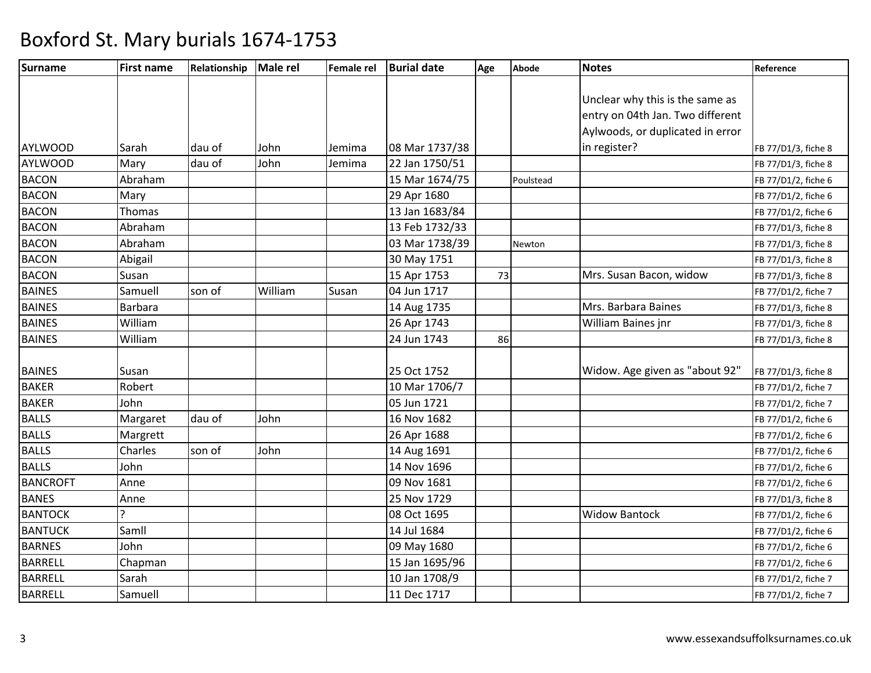| <b>Surname</b>  | <b>First name</b> | Relationship | Male rel | <b>Female rel</b> | <b>Burial date</b> | Age | <b>Abode</b> | <b>Notes</b>                     | Reference           |
|-----------------|-------------------|--------------|----------|-------------------|--------------------|-----|--------------|----------------------------------|---------------------|
|                 |                   |              |          |                   |                    |     |              |                                  |                     |
|                 |                   |              |          |                   |                    |     |              | Unclear why this is the same as  |                     |
|                 |                   |              |          |                   |                    |     |              | entry on 04th Jan. Two different |                     |
|                 |                   |              |          |                   |                    |     |              | Aylwoods, or duplicated in error |                     |
| <b>AYLWOOD</b>  | Sarah             | dau of       | John     | Jemima            | 08 Mar 1737/38     |     |              | in register?                     | FB 77/D1/3, fiche 8 |
| <b>AYLWOOD</b>  | Mary              | dau of       | John     | Jemima            | 22 Jan 1750/51     |     |              |                                  | FB 77/D1/3, fiche 8 |
| <b>BACON</b>    | Abraham           |              |          |                   | 15 Mar 1674/75     |     | Poulstead    |                                  | FB 77/D1/2, fiche 6 |
| <b>BACON</b>    | Mary              |              |          |                   | 29 Apr 1680        |     |              |                                  | FB 77/D1/2, fiche 6 |
| <b>BACON</b>    | Thomas            |              |          |                   | 13 Jan 1683/84     |     |              |                                  | FB 77/D1/2, fiche 6 |
| <b>BACON</b>    | Abraham           |              |          |                   | 13 Feb 1732/33     |     |              |                                  | FB 77/D1/3, fiche 8 |
| <b>BACON</b>    | Abraham           |              |          |                   | 03 Mar 1738/39     |     | Newton       |                                  | FB 77/D1/3, fiche 8 |
| <b>BACON</b>    | Abigail           |              |          |                   | 30 May 1751        |     |              |                                  | FB 77/D1/3, fiche 8 |
| <b>BACON</b>    | Susan             |              |          |                   | 15 Apr 1753        | 73  |              | Mrs. Susan Bacon, widow          | FB 77/D1/3, fiche 8 |
| <b>BAINES</b>   | Samuell           | son of       | William  | Susan             | 04 Jun 1717        |     |              |                                  | FB 77/D1/2, fiche 7 |
| <b>BAINES</b>   | Barbara           |              |          |                   | 14 Aug 1735        |     |              | Mrs. Barbara Baines              | FB 77/D1/3, fiche 8 |
| <b>BAINES</b>   | William           |              |          |                   | 26 Apr 1743        |     |              | William Baines jnr               | FB 77/D1/3, fiche 8 |
| <b>BAINES</b>   | William           |              |          |                   | 24 Jun 1743        | 86  |              |                                  | FB 77/D1/3, fiche 8 |
|                 |                   |              |          |                   |                    |     |              |                                  |                     |
| <b>BAINES</b>   | Susan             |              |          |                   | 25 Oct 1752        |     |              | Widow. Age given as "about 92"   | FB 77/D1/3, fiche 8 |
| <b>BAKER</b>    | Robert            |              |          |                   | 10 Mar 1706/7      |     |              |                                  | FB 77/D1/2, fiche 7 |
| <b>BAKER</b>    | John              |              |          |                   | 05 Jun 1721        |     |              |                                  | FB 77/D1/2, fiche 7 |
| <b>BALLS</b>    | Margaret          | dau of       | John     |                   | 16 Nov 1682        |     |              |                                  | FB 77/D1/2, fiche 6 |
| <b>BALLS</b>    | Margrett          |              |          |                   | 26 Apr 1688        |     |              |                                  | FB 77/D1/2, fiche 6 |
| <b>BALLS</b>    | Charles           | son of       | John     |                   | 14 Aug 1691        |     |              |                                  | FB 77/D1/2, fiche 6 |
| <b>BALLS</b>    | John              |              |          |                   | 14 Nov 1696        |     |              |                                  | FB 77/D1/2, fiche 6 |
| <b>BANCROFT</b> | Anne              |              |          |                   | 09 Nov 1681        |     |              |                                  | FB 77/D1/2, fiche 6 |
| <b>BANES</b>    | Anne              |              |          |                   | 25 Nov 1729        |     |              |                                  | FB 77/D1/3, fiche 8 |
| <b>BANTOCK</b>  | C                 |              |          |                   | 08 Oct 1695        |     |              | <b>Widow Bantock</b>             | FB 77/D1/2, fiche 6 |
| <b>BANTUCK</b>  | Samll             |              |          |                   | 14 Jul 1684        |     |              |                                  | FB 77/D1/2, fiche 6 |
| <b>BARNES</b>   | John              |              |          |                   | 09 May 1680        |     |              |                                  | FB 77/D1/2, fiche 6 |
| <b>BARRELL</b>  | Chapman           |              |          |                   | 15 Jan 1695/96     |     |              |                                  | FB 77/D1/2, fiche 6 |
| <b>BARRELL</b>  | Sarah             |              |          |                   | 10 Jan 1708/9      |     |              |                                  | FB 77/D1/2, fiche 7 |
| <b>BARRELL</b>  | Samuell           |              |          |                   | 11 Dec 1717        |     |              |                                  | FB 77/D1/2, fiche 7 |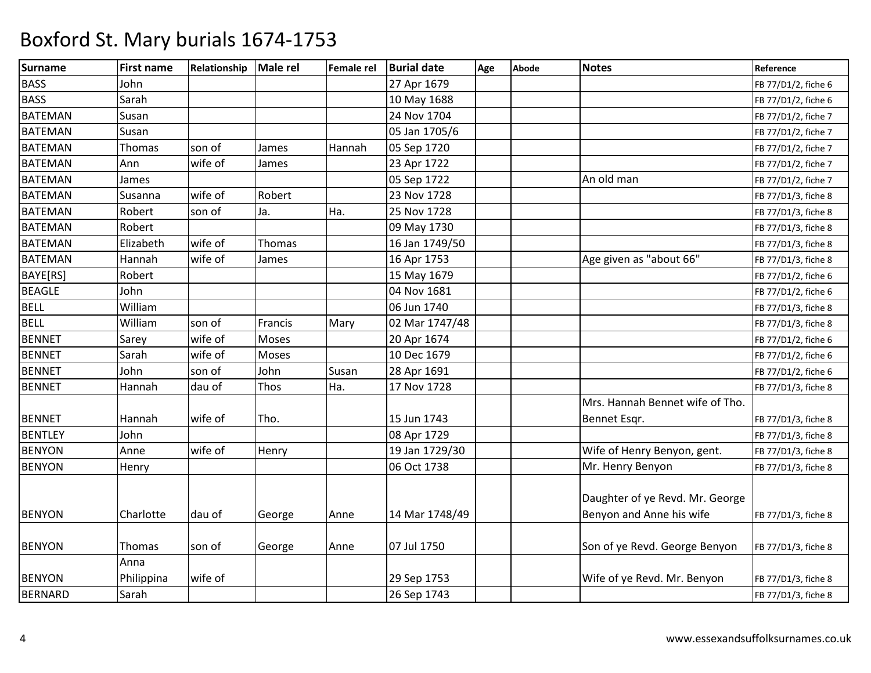| <b>Surname</b> | <b>First name</b> | Relationship | Male rel      | <b>Female rel</b> | <b>Burial date</b> | Age | <b>Abode</b> | <b>Notes</b>                    | Reference           |
|----------------|-------------------|--------------|---------------|-------------------|--------------------|-----|--------------|---------------------------------|---------------------|
| <b>BASS</b>    | John              |              |               |                   | 27 Apr 1679        |     |              |                                 | FB 77/D1/2, fiche 6 |
| <b>BASS</b>    | Sarah             |              |               |                   | 10 May 1688        |     |              |                                 | FB 77/D1/2, fiche 6 |
| <b>BATEMAN</b> | Susan             |              |               |                   | 24 Nov 1704        |     |              |                                 | FB 77/D1/2, fiche 7 |
| <b>BATEMAN</b> | Susan             |              |               |                   | 05 Jan 1705/6      |     |              |                                 | FB 77/D1/2, fiche 7 |
| <b>BATEMAN</b> | Thomas            | son of       | James         | Hannah            | 05 Sep 1720        |     |              |                                 | FB 77/D1/2, fiche 7 |
| <b>BATEMAN</b> | Ann               | wife of      | James         |                   | 23 Apr 1722        |     |              |                                 | FB 77/D1/2, fiche 7 |
| <b>BATEMAN</b> | James             |              |               |                   | 05 Sep 1722        |     |              | An old man                      | FB 77/D1/2, fiche 7 |
| <b>BATEMAN</b> | Susanna           | wife of      | Robert        |                   | 23 Nov 1728        |     |              |                                 | FB 77/D1/3, fiche 8 |
| <b>BATEMAN</b> | Robert            | son of       | Ja.           | Ha.               | 25 Nov 1728        |     |              |                                 | FB 77/D1/3, fiche 8 |
| <b>BATEMAN</b> | Robert            |              |               |                   | 09 May 1730        |     |              |                                 | FB 77/D1/3, fiche 8 |
| <b>BATEMAN</b> | Elizabeth         | wife of      | <b>Thomas</b> |                   | 16 Jan 1749/50     |     |              |                                 | FB 77/D1/3, fiche 8 |
| <b>BATEMAN</b> | Hannah            | wife of      | James         |                   | 16 Apr 1753        |     |              | Age given as "about 66"         | FB 77/D1/3, fiche 8 |
| BAYE[RS]       | Robert            |              |               |                   | 15 May 1679        |     |              |                                 | FB 77/D1/2, fiche 6 |
| <b>BEAGLE</b>  | John              |              |               |                   | 04 Nov 1681        |     |              |                                 | FB 77/D1/2, fiche 6 |
| <b>BELL</b>    | William           |              |               |                   | 06 Jun 1740        |     |              |                                 | FB 77/D1/3, fiche 8 |
| <b>BELL</b>    | William           | son of       | Francis       | Mary              | 02 Mar 1747/48     |     |              |                                 | FB 77/D1/3, fiche 8 |
| <b>BENNET</b>  | Sarey             | wife of      | <b>Moses</b>  |                   | 20 Apr 1674        |     |              |                                 | FB 77/D1/2, fiche 6 |
| <b>BENNET</b>  | Sarah             | wife of      | Moses         |                   | 10 Dec 1679        |     |              |                                 | FB 77/D1/2, fiche 6 |
| <b>BENNET</b>  | John              | son of       | John          | Susan             | 28 Apr 1691        |     |              |                                 | FB 77/D1/2, fiche 6 |
| <b>BENNET</b>  | Hannah            | dau of       | Thos          | Ha.               | 17 Nov 1728        |     |              |                                 | FB 77/D1/3, fiche 8 |
|                |                   |              |               |                   |                    |     |              | Mrs. Hannah Bennet wife of Tho. |                     |
| <b>BENNET</b>  | Hannah            | wife of      | Tho.          |                   | 15 Jun 1743        |     |              | Bennet Esqr.                    | FB 77/D1/3, fiche 8 |
| <b>BENTLEY</b> | John              |              |               |                   | 08 Apr 1729        |     |              |                                 | FB 77/D1/3, fiche 8 |
| <b>BENYON</b>  | Anne              | wife of      | Henry         |                   | 19 Jan 1729/30     |     |              | Wife of Henry Benyon, gent.     | FB 77/D1/3, fiche 8 |
| <b>BENYON</b>  | Henry             |              |               |                   | 06 Oct 1738        |     |              | Mr. Henry Benyon                | FB 77/D1/3, fiche 8 |
|                |                   |              |               |                   |                    |     |              |                                 |                     |
|                |                   |              |               |                   |                    |     |              | Daughter of ye Revd. Mr. George |                     |
| <b>BENYON</b>  | Charlotte         | dau of       | George        | Anne              | 14 Mar 1748/49     |     |              | Benyon and Anne his wife        | FB 77/D1/3, fiche 8 |
|                |                   |              |               |                   |                    |     |              |                                 |                     |
| <b>BENYON</b>  | Thomas            | son of       | George        | Anne              | 07 Jul 1750        |     |              | Son of ye Revd. George Benyon   | FB 77/D1/3, fiche 8 |
|                | Anna              |              |               |                   |                    |     |              |                                 |                     |
| <b>BENYON</b>  | Philippina        | wife of      |               |                   | 29 Sep 1753        |     |              | Wife of ye Revd. Mr. Benyon     | FB 77/D1/3, fiche 8 |
| <b>BERNARD</b> | Sarah             |              |               |                   | 26 Sep 1743        |     |              |                                 | FB 77/D1/3, fiche 8 |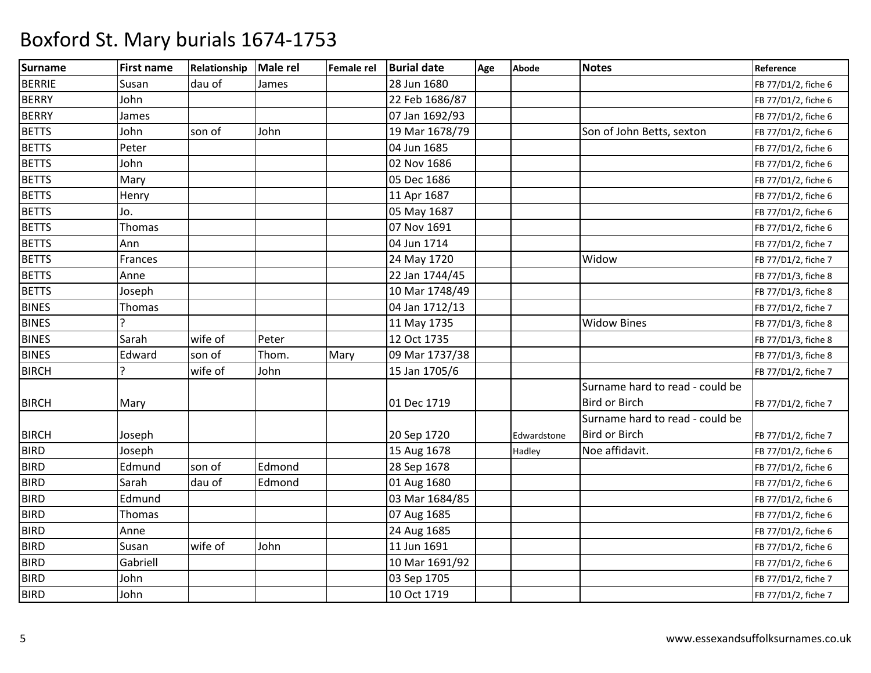| <b>Surname</b> | <b>First name</b> | Relationship | Male rel | <b>Female rel</b> | <b>Burial date</b> | Age | <b>Abode</b> | <b>Notes</b>                    | Reference           |
|----------------|-------------------|--------------|----------|-------------------|--------------------|-----|--------------|---------------------------------|---------------------|
| <b>BERRIE</b>  | Susan             | dau of       | James    |                   | 28 Jun 1680        |     |              |                                 | FB 77/D1/2, fiche 6 |
| <b>BERRY</b>   | John              |              |          |                   | 22 Feb 1686/87     |     |              |                                 | FB 77/D1/2, fiche 6 |
| <b>BERRY</b>   | James             |              |          |                   | 07 Jan 1692/93     |     |              |                                 | FB 77/D1/2, fiche 6 |
| <b>BETTS</b>   | John              | son of       | John     |                   | 19 Mar 1678/79     |     |              | Son of John Betts, sexton       | FB 77/D1/2, fiche 6 |
| <b>BETTS</b>   | Peter             |              |          |                   | 04 Jun 1685        |     |              |                                 | FB 77/D1/2, fiche 6 |
| <b>BETTS</b>   | John              |              |          |                   | 02 Nov 1686        |     |              |                                 | FB 77/D1/2, fiche 6 |
| <b>BETTS</b>   | Mary              |              |          |                   | 05 Dec 1686        |     |              |                                 | FB 77/D1/2, fiche 6 |
| <b>BETTS</b>   | Henry             |              |          |                   | 11 Apr 1687        |     |              |                                 | FB 77/D1/2, fiche 6 |
| <b>BETTS</b>   | Jo.               |              |          |                   | 05 May 1687        |     |              |                                 | FB 77/D1/2, fiche 6 |
| <b>BETTS</b>   | Thomas            |              |          |                   | 07 Nov 1691        |     |              |                                 | FB 77/D1/2, fiche 6 |
| <b>BETTS</b>   | Ann               |              |          |                   | 04 Jun 1714        |     |              |                                 | FB 77/D1/2, fiche 7 |
| <b>BETTS</b>   | Frances           |              |          |                   | 24 May 1720        |     |              | Widow                           | FB 77/D1/2, fiche 7 |
| <b>BETTS</b>   | Anne              |              |          |                   | 22 Jan 1744/45     |     |              |                                 | FB 77/D1/3, fiche 8 |
| <b>BETTS</b>   | Joseph            |              |          |                   | 10 Mar 1748/49     |     |              |                                 | FB 77/D1/3, fiche 8 |
| <b>BINES</b>   | <b>Thomas</b>     |              |          |                   | 04 Jan 1712/13     |     |              |                                 | FB 77/D1/2, fiche 7 |
| <b>BINES</b>   |                   |              |          |                   | 11 May 1735        |     |              | <b>Widow Bines</b>              | FB 77/D1/3, fiche 8 |
| <b>BINES</b>   | Sarah             | wife of      | Peter    |                   | 12 Oct 1735        |     |              |                                 | FB 77/D1/3, fiche 8 |
| <b>BINES</b>   | Edward            | son of       | Thom.    | Mary              | 09 Mar 1737/38     |     |              |                                 | FB 77/D1/3, fiche 8 |
| <b>BIRCH</b>   |                   | wife of      | John     |                   | 15 Jan 1705/6      |     |              |                                 | FB 77/D1/2, fiche 7 |
|                |                   |              |          |                   |                    |     |              | Surname hard to read - could be |                     |
| <b>BIRCH</b>   | Mary              |              |          |                   | 01 Dec 1719        |     |              | <b>Bird or Birch</b>            | FB 77/D1/2, fiche 7 |
|                |                   |              |          |                   |                    |     |              | Surname hard to read - could be |                     |
| <b>BIRCH</b>   | Joseph            |              |          |                   | 20 Sep 1720        |     | Edwardstone  | Bird or Birch                   | FB 77/D1/2, fiche 7 |
| <b>BIRD</b>    | Joseph            |              |          |                   | 15 Aug 1678        |     | Hadley       | Noe affidavit.                  | FB 77/D1/2, fiche 6 |
| <b>BIRD</b>    | Edmund            | son of       | Edmond   |                   | 28 Sep 1678        |     |              |                                 | FB 77/D1/2, fiche 6 |
| <b>BIRD</b>    | Sarah             | dau of       | Edmond   |                   | 01 Aug 1680        |     |              |                                 | FB 77/D1/2, fiche 6 |
| <b>BIRD</b>    | Edmund            |              |          |                   | 03 Mar 1684/85     |     |              |                                 | FB 77/D1/2, fiche 6 |
| <b>BIRD</b>    | <b>Thomas</b>     |              |          |                   | 07 Aug 1685        |     |              |                                 | FB 77/D1/2, fiche 6 |
| <b>BIRD</b>    | Anne              |              |          |                   | 24 Aug 1685        |     |              |                                 | FB 77/D1/2, fiche 6 |
| <b>BIRD</b>    | Susan             | wife of      | John     |                   | 11 Jun 1691        |     |              |                                 | FB 77/D1/2, fiche 6 |
| <b>BIRD</b>    | Gabriell          |              |          |                   | 10 Mar 1691/92     |     |              |                                 | FB 77/D1/2, fiche 6 |
| <b>BIRD</b>    | John              |              |          |                   | 03 Sep 1705        |     |              |                                 | FB 77/D1/2, fiche 7 |
| <b>BIRD</b>    | John              |              |          |                   | 10 Oct 1719        |     |              |                                 | FB 77/D1/2, fiche 7 |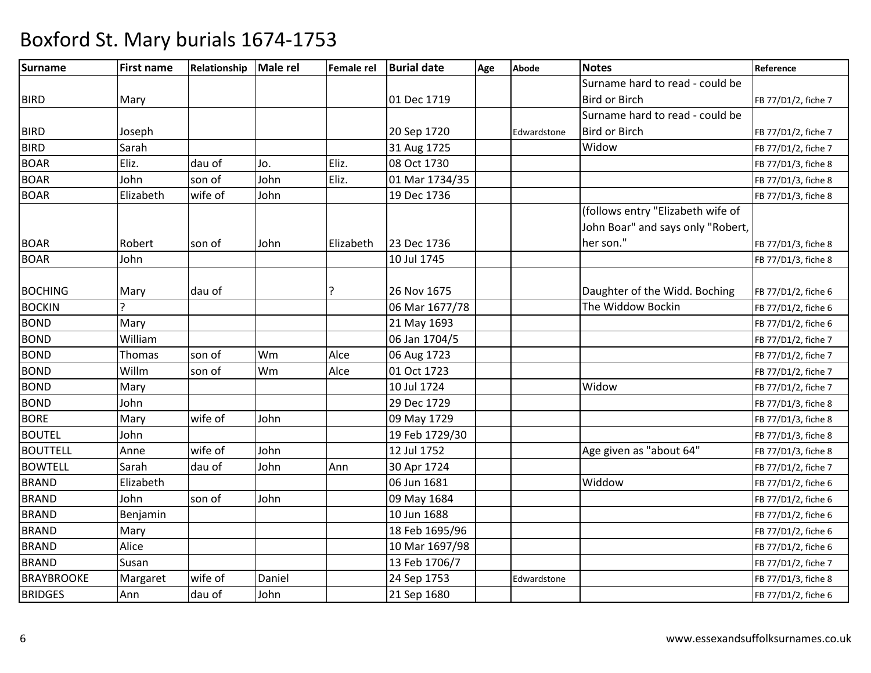| Surname           | <b>First name</b> | Relationship | Male rel | <b>Female rel</b> | <b>Burial date</b> | Age | <b>Abode</b> | <b>Notes</b>                      | Reference           |
|-------------------|-------------------|--------------|----------|-------------------|--------------------|-----|--------------|-----------------------------------|---------------------|
|                   |                   |              |          |                   |                    |     |              | Surname hard to read - could be   |                     |
| <b>BIRD</b>       | Mary              |              |          |                   | 01 Dec 1719        |     |              | <b>Bird or Birch</b>              | FB 77/D1/2, fiche 7 |
|                   |                   |              |          |                   |                    |     |              | Surname hard to read - could be   |                     |
| <b>BIRD</b>       | Joseph            |              |          |                   | 20 Sep 1720        |     | Edwardstone  | <b>Bird or Birch</b>              | FB 77/D1/2, fiche 7 |
| <b>BIRD</b>       | Sarah             |              |          |                   | 31 Aug 1725        |     |              | Widow                             | FB 77/D1/2, fiche 7 |
| <b>BOAR</b>       | Eliz.             | dau of       | Jo.      | Eliz.             | 08 Oct 1730        |     |              |                                   | FB 77/D1/3, fiche 8 |
| <b>BOAR</b>       | John              | son of       | John     | Eliz.             | 01 Mar 1734/35     |     |              |                                   | FB 77/D1/3, fiche 8 |
| <b>BOAR</b>       | Elizabeth         | wife of      | John     |                   | 19 Dec 1736        |     |              |                                   | FB 77/D1/3, fiche 8 |
|                   |                   |              |          |                   |                    |     |              | (follows entry "Elizabeth wife of |                     |
|                   |                   |              |          |                   |                    |     |              | John Boar" and says only "Robert, |                     |
| <b>BOAR</b>       | Robert            | son of       | John     | Elizabeth         | 23 Dec 1736        |     |              | her son."                         | FB 77/D1/3, fiche 8 |
| <b>BOAR</b>       | John              |              |          |                   | 10 Jul 1745        |     |              |                                   | FB 77/D1/3, fiche 8 |
|                   |                   |              |          |                   |                    |     |              |                                   |                     |
| <b>BOCHING</b>    | Mary              | dau of       |          |                   | 26 Nov 1675        |     |              | Daughter of the Widd. Boching     | FB 77/D1/2, fiche 6 |
| <b>BOCKIN</b>     | $\overline{ }$    |              |          |                   | 06 Mar 1677/78     |     |              | The Widdow Bockin                 | FB 77/D1/2, fiche 6 |
| <b>BOND</b>       | Mary              |              |          |                   | 21 May 1693        |     |              |                                   | FB 77/D1/2, fiche 6 |
| <b>BOND</b>       | William           |              |          |                   | 06 Jan 1704/5      |     |              |                                   | FB 77/D1/2, fiche 7 |
| <b>BOND</b>       | Thomas            | son of       | Wm       | Alce              | 06 Aug 1723        |     |              |                                   | FB 77/D1/2, fiche 7 |
| <b>BOND</b>       | Willm             | son of       | Wm       | Alce              | 01 Oct 1723        |     |              |                                   | FB 77/D1/2, fiche 7 |
| <b>BOND</b>       | Mary              |              |          |                   | 10 Jul 1724        |     |              | Widow                             | FB 77/D1/2, fiche 7 |
| <b>BOND</b>       | John              |              |          |                   | 29 Dec 1729        |     |              |                                   | FB 77/D1/3, fiche 8 |
| <b>BORE</b>       | Mary              | wife of      | John     |                   | 09 May 1729        |     |              |                                   | FB 77/D1/3, fiche 8 |
| <b>BOUTEL</b>     | John              |              |          |                   | 19 Feb 1729/30     |     |              |                                   | FB 77/D1/3, fiche 8 |
| <b>BOUTTELL</b>   | Anne              | wife of      | John     |                   | 12 Jul 1752        |     |              | Age given as "about 64"           | FB 77/D1/3, fiche 8 |
| <b>BOWTELL</b>    | Sarah             | dau of       | John     | Ann               | 30 Apr 1724        |     |              |                                   | FB 77/D1/2, fiche 7 |
| <b>BRAND</b>      | Elizabeth         |              |          |                   | 06 Jun 1681        |     |              | Widdow                            | FB 77/D1/2, fiche 6 |
| <b>BRAND</b>      | John              | son of       | John     |                   | 09 May 1684        |     |              |                                   | FB 77/D1/2, fiche 6 |
| <b>BRAND</b>      | Benjamin          |              |          |                   | 10 Jun 1688        |     |              |                                   | FB 77/D1/2, fiche 6 |
| <b>BRAND</b>      | Mary              |              |          |                   | 18 Feb 1695/96     |     |              |                                   | FB 77/D1/2, fiche 6 |
| <b>BRAND</b>      | Alice             |              |          |                   | 10 Mar 1697/98     |     |              |                                   | FB 77/D1/2, fiche 6 |
| <b>BRAND</b>      | Susan             |              |          |                   | 13 Feb 1706/7      |     |              |                                   | FB 77/D1/2, fiche 7 |
| <b>BRAYBROOKE</b> | Margaret          | wife of      | Daniel   |                   | 24 Sep 1753        |     | Edwardstone  |                                   | FB 77/D1/3, fiche 8 |
| <b>BRIDGES</b>    | Ann               | dau of       | John     |                   | 21 Sep 1680        |     |              |                                   | FB 77/D1/2, fiche 6 |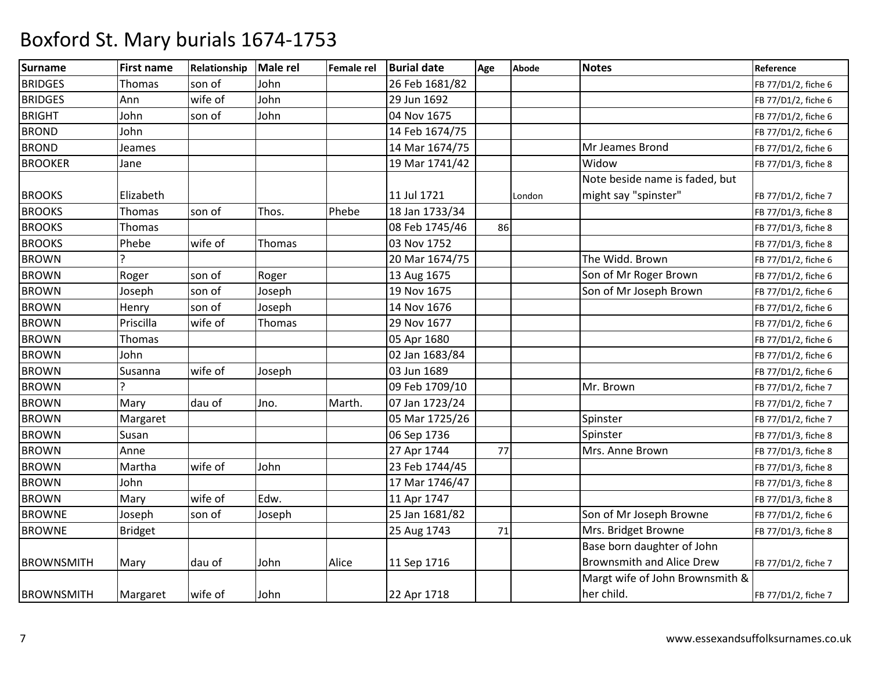| <b>Surname</b>    | <b>First name</b> | Relationship | Male rel | <b>Female rel</b> | <b>Burial date</b> | Age | <b>Abode</b> | <b>Notes</b>                     | Reference           |
|-------------------|-------------------|--------------|----------|-------------------|--------------------|-----|--------------|----------------------------------|---------------------|
| <b>BRIDGES</b>    | Thomas            | son of       | John     |                   | 26 Feb 1681/82     |     |              |                                  | FB 77/D1/2, fiche 6 |
| <b>BRIDGES</b>    | Ann               | wife of      | John     |                   | 29 Jun 1692        |     |              |                                  | FB 77/D1/2, fiche 6 |
| <b>BRIGHT</b>     | John              | son of       | John     |                   | 04 Nov 1675        |     |              |                                  | FB 77/D1/2, fiche 6 |
| <b>BROND</b>      | John              |              |          |                   | 14 Feb 1674/75     |     |              |                                  | FB 77/D1/2, fiche 6 |
| <b>BROND</b>      | Jeames            |              |          |                   | 14 Mar 1674/75     |     |              | Mr Jeames Brond                  | FB 77/D1/2, fiche 6 |
| <b>BROOKER</b>    | Jane              |              |          |                   | 19 Mar 1741/42     |     |              | Widow                            | FB 77/D1/3, fiche 8 |
|                   |                   |              |          |                   |                    |     |              | Note beside name is faded, but   |                     |
| <b>BROOKS</b>     | Elizabeth         |              |          |                   | 11 Jul 1721        |     | London       | might say "spinster"             | FB 77/D1/2, fiche 7 |
| <b>BROOKS</b>     | <b>Thomas</b>     | son of       | Thos.    | Phebe             | 18 Jan 1733/34     |     |              |                                  | FB 77/D1/3, fiche 8 |
| <b>BROOKS</b>     | Thomas            |              |          |                   | 08 Feb 1745/46     | 86  |              |                                  | FB 77/D1/3, fiche 8 |
| <b>BROOKS</b>     | Phebe             | wife of      | Thomas   |                   | 03 Nov 1752        |     |              |                                  | FB 77/D1/3, fiche 8 |
| <b>BROWN</b>      |                   |              |          |                   | 20 Mar 1674/75     |     |              | The Widd. Brown                  | FB 77/D1/2, fiche 6 |
| <b>BROWN</b>      | Roger             | son of       | Roger    |                   | 13 Aug 1675        |     |              | Son of Mr Roger Brown            | FB 77/D1/2, fiche 6 |
| <b>BROWN</b>      | Joseph            | son of       | Joseph   |                   | 19 Nov 1675        |     |              | Son of Mr Joseph Brown           | FB 77/D1/2, fiche 6 |
| <b>BROWN</b>      | Henry             | son of       | Joseph   |                   | 14 Nov 1676        |     |              |                                  | FB 77/D1/2, fiche 6 |
| <b>BROWN</b>      | Priscilla         | wife of      | Thomas   |                   | 29 Nov 1677        |     |              |                                  | FB 77/D1/2, fiche 6 |
| <b>BROWN</b>      | Thomas            |              |          |                   | 05 Apr 1680        |     |              |                                  | FB 77/D1/2, fiche 6 |
| <b>BROWN</b>      | John              |              |          |                   | 02 Jan 1683/84     |     |              |                                  | FB 77/D1/2, fiche 6 |
| <b>BROWN</b>      | Susanna           | wife of      | Joseph   |                   | 03 Jun 1689        |     |              |                                  | FB 77/D1/2, fiche 6 |
| <b>BROWN</b>      |                   |              |          |                   | 09 Feb 1709/10     |     |              | Mr. Brown                        | FB 77/D1/2, fiche 7 |
| <b>BROWN</b>      | Mary              | dau of       | Jno.     | Marth.            | 07 Jan 1723/24     |     |              |                                  | FB 77/D1/2, fiche 7 |
| <b>BROWN</b>      | Margaret          |              |          |                   | 05 Mar 1725/26     |     |              | Spinster                         | FB 77/D1/2, fiche 7 |
| <b>BROWN</b>      | Susan             |              |          |                   | 06 Sep 1736        |     |              | Spinster                         | FB 77/D1/3, fiche 8 |
| <b>BROWN</b>      | Anne              |              |          |                   | 27 Apr 1744        | 77  |              | Mrs. Anne Brown                  | FB 77/D1/3, fiche 8 |
| <b>BROWN</b>      | Martha            | wife of      | John     |                   | 23 Feb 1744/45     |     |              |                                  | FB 77/D1/3, fiche 8 |
| <b>BROWN</b>      | John              |              |          |                   | 17 Mar 1746/47     |     |              |                                  | FB 77/D1/3, fiche 8 |
| <b>BROWN</b>      | Mary              | wife of      | Edw.     |                   | 11 Apr 1747        |     |              |                                  | FB 77/D1/3, fiche 8 |
| <b>BROWNE</b>     | Joseph            | son of       | Joseph   |                   | 25 Jan 1681/82     |     |              | Son of Mr Joseph Browne          | FB 77/D1/2, fiche 6 |
| <b>BROWNE</b>     | <b>Bridget</b>    |              |          |                   | 25 Aug 1743        | 71  |              | Mrs. Bridget Browne              | FB 77/D1/3, fiche 8 |
|                   |                   |              |          |                   |                    |     |              | Base born daughter of John       |                     |
| <b>BROWNSMITH</b> | Mary              | dau of       | John     | Alice             | 11 Sep 1716        |     |              | <b>Brownsmith and Alice Drew</b> | FB 77/D1/2, fiche 7 |
|                   |                   |              |          |                   |                    |     |              | Margt wife of John Brownsmith &  |                     |
| <b>BROWNSMITH</b> | Margaret          | wife of      | John     |                   | 22 Apr 1718        |     |              | her child.                       | FB 77/D1/2, fiche 7 |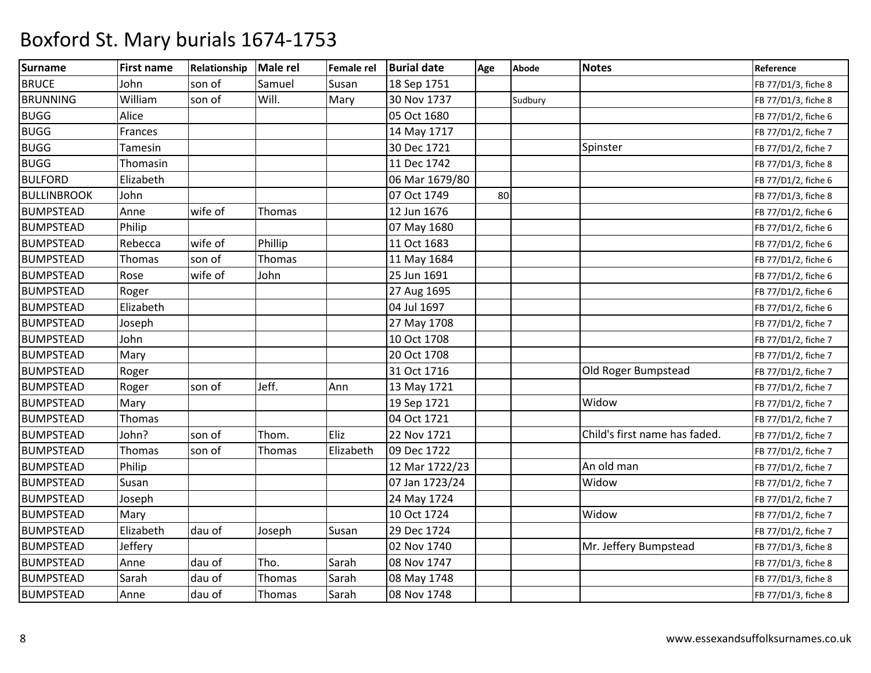| <b>Surname</b>     | <b>First name</b> | Relationship | Male rel      | Female rel | <b>Burial date</b> | Age | <b>Abode</b> | <b>Notes</b>                  | Reference           |
|--------------------|-------------------|--------------|---------------|------------|--------------------|-----|--------------|-------------------------------|---------------------|
| <b>BRUCE</b>       | John              | son of       | Samuel        | Susan      | 18 Sep 1751        |     |              |                               | FB 77/D1/3, fiche 8 |
| <b>BRUNNING</b>    | William           | son of       | Will.         | Mary       | 30 Nov 1737        |     | Sudbury      |                               | FB 77/D1/3, fiche 8 |
| <b>BUGG</b>        | Alice             |              |               |            | 05 Oct 1680        |     |              |                               | FB 77/D1/2, fiche 6 |
| <b>BUGG</b>        | Frances           |              |               |            | 14 May 1717        |     |              |                               | FB 77/D1/2, fiche 7 |
| <b>BUGG</b>        | Tamesin           |              |               |            | 30 Dec 1721        |     |              | Spinster                      | FB 77/D1/2, fiche 7 |
| <b>BUGG</b>        | Thomasin          |              |               |            | 11 Dec 1742        |     |              |                               | FB 77/D1/3, fiche 8 |
| <b>BULFORD</b>     | Elizabeth         |              |               |            | 06 Mar 1679/80     |     |              |                               | FB 77/D1/2, fiche 6 |
| <b>BULLINBROOK</b> | John              |              |               |            | 07 Oct 1749        | 80  |              |                               | FB 77/D1/3, fiche 8 |
| <b>BUMPSTEAD</b>   | Anne              | wife of      | Thomas        |            | 12 Jun 1676        |     |              |                               | FB 77/D1/2, fiche 6 |
| <b>BUMPSTEAD</b>   | Philip            |              |               |            | 07 May 1680        |     |              |                               | FB 77/D1/2, fiche 6 |
| <b>BUMPSTEAD</b>   | Rebecca           | wife of      | Phillip       |            | 11 Oct 1683        |     |              |                               | FB 77/D1/2, fiche 6 |
| <b>BUMPSTEAD</b>   | Thomas            | son of       | Thomas        |            | 11 May 1684        |     |              |                               | FB 77/D1/2, fiche 6 |
| <b>BUMPSTEAD</b>   | Rose              | wife of      | John          |            | 25 Jun 1691        |     |              |                               | FB 77/D1/2, fiche 6 |
| <b>BUMPSTEAD</b>   | Roger             |              |               |            | 27 Aug 1695        |     |              |                               | FB 77/D1/2, fiche 6 |
| <b>BUMPSTEAD</b>   | Elizabeth         |              |               |            | 04 Jul 1697        |     |              |                               | FB 77/D1/2, fiche 6 |
| <b>BUMPSTEAD</b>   | Joseph            |              |               |            | 27 May 1708        |     |              |                               | FB 77/D1/2, fiche 7 |
| <b>BUMPSTEAD</b>   | John              |              |               |            | 10 Oct 1708        |     |              |                               | FB 77/D1/2, fiche 7 |
| <b>BUMPSTEAD</b>   | Mary              |              |               |            | 20 Oct 1708        |     |              |                               | FB 77/D1/2, fiche 7 |
| <b>BUMPSTEAD</b>   | Roger             |              |               |            | 31 Oct 1716        |     |              | Old Roger Bumpstead           | FB 77/D1/2, fiche 7 |
| <b>BUMPSTEAD</b>   | Roger             | son of       | Jeff.         | Ann        | 13 May 1721        |     |              |                               | FB 77/D1/2, fiche 7 |
| <b>BUMPSTEAD</b>   | Mary              |              |               |            | 19 Sep 1721        |     |              | Widow                         | FB 77/D1/2, fiche 7 |
| <b>BUMPSTEAD</b>   | Thomas            |              |               |            | 04 Oct 1721        |     |              |                               | FB 77/D1/2, fiche 7 |
| <b>BUMPSTEAD</b>   | John?             | son of       | Thom.         | Eliz       | 22 Nov 1721        |     |              | Child's first name has faded. | FB 77/D1/2, fiche 7 |
| <b>BUMPSTEAD</b>   | Thomas            | son of       | Thomas        | Elizabeth  | 09 Dec 1722        |     |              |                               | FB 77/D1/2, fiche 7 |
| <b>BUMPSTEAD</b>   | Philip            |              |               |            | 12 Mar 1722/23     |     |              | An old man                    | FB 77/D1/2, fiche 7 |
| <b>BUMPSTEAD</b>   | Susan             |              |               |            | 07 Jan 1723/24     |     |              | Widow                         | FB 77/D1/2, fiche 7 |
| <b>BUMPSTEAD</b>   | Joseph            |              |               |            | 24 May 1724        |     |              |                               | FB 77/D1/2, fiche 7 |
| <b>BUMPSTEAD</b>   | Mary              |              |               |            | 10 Oct 1724        |     |              | Widow                         | FB 77/D1/2, fiche 7 |
| <b>BUMPSTEAD</b>   | Elizabeth         | dau of       | Joseph        | Susan      | 29 Dec 1724        |     |              |                               | FB 77/D1/2, fiche 7 |
| <b>BUMPSTEAD</b>   | Jeffery           |              |               |            | 02 Nov 1740        |     |              | Mr. Jeffery Bumpstead         | FB 77/D1/3, fiche 8 |
| <b>BUMPSTEAD</b>   | Anne              | dau of       | Tho.          | Sarah      | 08 Nov 1747        |     |              |                               | FB 77/D1/3, fiche 8 |
| <b>BUMPSTEAD</b>   | Sarah             | dau of       | <b>Thomas</b> | Sarah      | 08 May 1748        |     |              |                               | FB 77/D1/3, fiche 8 |
| <b>BUMPSTEAD</b>   | Anne              | dau of       | <b>Thomas</b> | Sarah      | 08 Nov 1748        |     |              |                               | FB 77/D1/3, fiche 8 |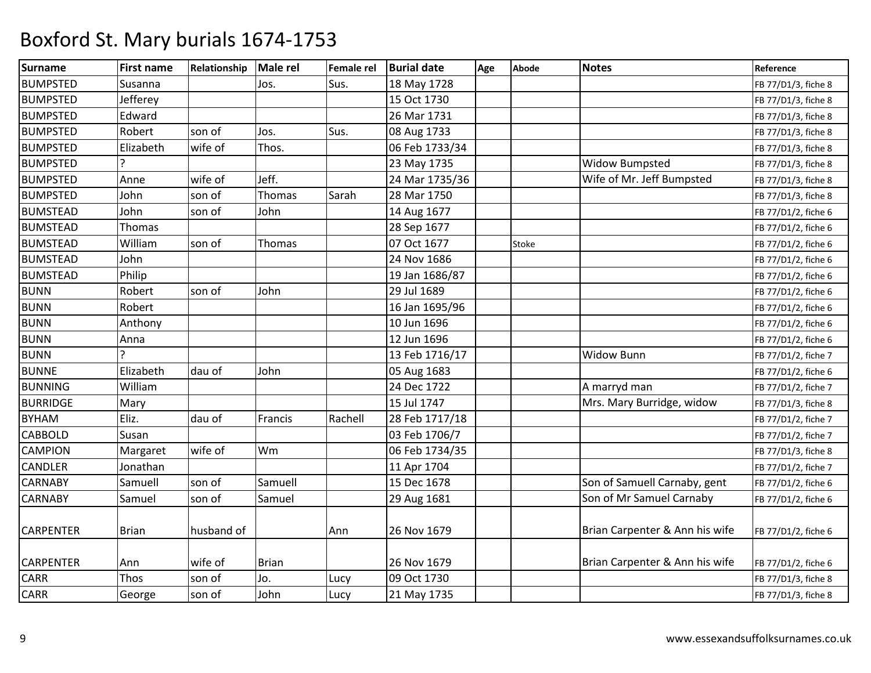| <b>Surname</b>   | <b>First name</b> | Relationship | Male rel      | Female rel | <b>Burial date</b> | Age | <b>Abode</b> | <b>Notes</b>                   | Reference           |
|------------------|-------------------|--------------|---------------|------------|--------------------|-----|--------------|--------------------------------|---------------------|
| <b>BUMPSTED</b>  | Susanna           |              | Jos.          | Sus.       | 18 May 1728        |     |              |                                | FB 77/D1/3, fiche 8 |
| <b>BUMPSTED</b>  | Jefferey          |              |               |            | 15 Oct 1730        |     |              |                                | FB 77/D1/3, fiche 8 |
| <b>BUMPSTED</b>  | Edward            |              |               |            | 26 Mar 1731        |     |              |                                | FB 77/D1/3, fiche 8 |
| <b>BUMPSTED</b>  | Robert            | son of       | Jos.          | Sus.       | 08 Aug 1733        |     |              |                                | FB 77/D1/3, fiche 8 |
| <b>BUMPSTED</b>  | Elizabeth         | wife of      | Thos.         |            | 06 Feb 1733/34     |     |              |                                | FB 77/D1/3, fiche 8 |
| <b>BUMPSTED</b>  |                   |              |               |            | 23 May 1735        |     |              | <b>Widow Bumpsted</b>          | FB 77/D1/3, fiche 8 |
| <b>BUMPSTED</b>  | Anne              | wife of      | Jeff.         |            | 24 Mar 1735/36     |     |              | Wife of Mr. Jeff Bumpsted      | FB 77/D1/3, fiche 8 |
| <b>BUMPSTED</b>  | John              | son of       | Thomas        | Sarah      | 28 Mar 1750        |     |              |                                | FB 77/D1/3, fiche 8 |
| <b>BUMSTEAD</b>  | John              | son of       | John          |            | 14 Aug 1677        |     |              |                                | FB 77/D1/2, fiche 6 |
| <b>BUMSTEAD</b>  | Thomas            |              |               |            | 28 Sep 1677        |     |              |                                | FB 77/D1/2, fiche 6 |
| <b>BUMSTEAD</b>  | William           | son of       | <b>Thomas</b> |            | 07 Oct 1677        |     | Stoke        |                                | FB 77/D1/2, fiche 6 |
| <b>BUMSTEAD</b>  | John              |              |               |            | 24 Nov 1686        |     |              |                                | FB 77/D1/2, fiche 6 |
| <b>BUMSTEAD</b>  | Philip            |              |               |            | 19 Jan 1686/87     |     |              |                                | FB 77/D1/2, fiche 6 |
| <b>BUNN</b>      | Robert            | son of       | John          |            | 29 Jul 1689        |     |              |                                | FB 77/D1/2, fiche 6 |
| <b>BUNN</b>      | Robert            |              |               |            | 16 Jan 1695/96     |     |              |                                | FB 77/D1/2, fiche 6 |
| <b>BUNN</b>      | Anthony           |              |               |            | 10 Jun 1696        |     |              |                                | FB 77/D1/2, fiche 6 |
| <b>BUNN</b>      | Anna              |              |               |            | 12 Jun 1696        |     |              |                                | FB 77/D1/2, fiche 6 |
| <b>BUNN</b>      |                   |              |               |            | 13 Feb 1716/17     |     |              | <b>Widow Bunn</b>              | FB 77/D1/2, fiche 7 |
| <b>BUNNE</b>     | Elizabeth         | dau of       | John          |            | 05 Aug 1683        |     |              |                                | FB 77/D1/2, fiche 6 |
| <b>BUNNING</b>   | William           |              |               |            | 24 Dec 1722        |     |              | A marryd man                   | FB 77/D1/2, fiche 7 |
| <b>BURRIDGE</b>  | Mary              |              |               |            | 15 Jul 1747        |     |              | Mrs. Mary Burridge, widow      | FB 77/D1/3, fiche 8 |
| <b>BYHAM</b>     | Eliz.             | dau of       | Francis       | Rachell    | 28 Feb 1717/18     |     |              |                                | FB 77/D1/2, fiche 7 |
| <b>CABBOLD</b>   | Susan             |              |               |            | 03 Feb 1706/7      |     |              |                                | FB 77/D1/2, fiche 7 |
| <b>CAMPION</b>   | Margaret          | wife of      | Wm            |            | 06 Feb 1734/35     |     |              |                                | FB 77/D1/3, fiche 8 |
| CANDLER          | Jonathan          |              |               |            | 11 Apr 1704        |     |              |                                | FB 77/D1/2, fiche 7 |
| <b>CARNABY</b>   | Samuell           | son of       | Samuell       |            | 15 Dec 1678        |     |              | Son of Samuell Carnaby, gent   | FB 77/D1/2, fiche 6 |
| <b>CARNABY</b>   | Samuel            | son of       | Samuel        |            | 29 Aug 1681        |     |              | Son of Mr Samuel Carnaby       | FB 77/D1/2, fiche 6 |
|                  |                   |              |               |            |                    |     |              |                                |                     |
| <b>CARPENTER</b> | <b>Brian</b>      | husband of   |               | Ann        | 26 Nov 1679        |     |              | Brian Carpenter & Ann his wife | FB 77/D1/2, fiche 6 |
| <b>CARPENTER</b> | Ann               | wife of      | <b>Brian</b>  |            | 26 Nov 1679        |     |              | Brian Carpenter & Ann his wife | FB 77/D1/2, fiche 6 |
| CARR             | Thos              | son of       | Jo.           | Lucy       | 09 Oct 1730        |     |              |                                | FB 77/D1/3, fiche 8 |
| <b>CARR</b>      | George            | son of       | John          | Lucy       | 21 May 1735        |     |              |                                | FB 77/D1/3, fiche 8 |
|                  |                   |              |               |            |                    |     |              |                                |                     |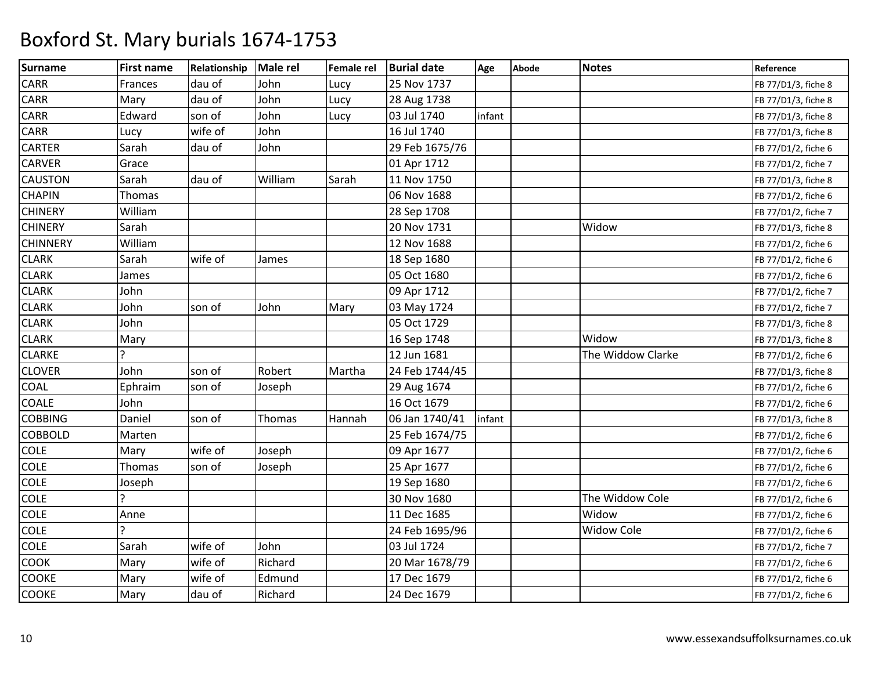| <b>Surname</b>  | <b>First name</b> | Relationship | Male rel      | <b>Female rel</b> | <b>Burial date</b> | Age    | <b>Abode</b> | <b>Notes</b>      | Reference           |
|-----------------|-------------------|--------------|---------------|-------------------|--------------------|--------|--------------|-------------------|---------------------|
| CARR            | Frances           | dau of       | John          | Lucy              | 25 Nov 1737        |        |              |                   | FB 77/D1/3, fiche 8 |
| CARR            | Mary              | dau of       | John          | Lucy              | 28 Aug 1738        |        |              |                   | FB 77/D1/3, fiche 8 |
| CARR            | Edward            | son of       | John          | Lucy              | 03 Jul 1740        | infant |              |                   | FB 77/D1/3, fiche 8 |
| CARR            | Lucy              | wife of      | John          |                   | 16 Jul 1740        |        |              |                   | FB 77/D1/3, fiche 8 |
| <b>CARTER</b>   | Sarah             | dau of       | John          |                   | 29 Feb 1675/76     |        |              |                   | FB 77/D1/2, fiche 6 |
| CARVER          | Grace             |              |               |                   | 01 Apr 1712        |        |              |                   | FB 77/D1/2, fiche 7 |
| <b>CAUSTON</b>  | Sarah             | dau of       | William       | Sarah             | 11 Nov 1750        |        |              |                   | FB 77/D1/3, fiche 8 |
| <b>CHAPIN</b>   | Thomas            |              |               |                   | 06 Nov 1688        |        |              |                   | FB 77/D1/2, fiche 6 |
| <b>CHINERY</b>  | William           |              |               |                   | 28 Sep 1708        |        |              |                   | FB 77/D1/2, fiche 7 |
| <b>CHINERY</b>  | Sarah             |              |               |                   | 20 Nov 1731        |        |              | Widow             | FB 77/D1/3, fiche 8 |
| <b>CHINNERY</b> | William           |              |               |                   | 12 Nov 1688        |        |              |                   | FB 77/D1/2, fiche 6 |
| <b>CLARK</b>    | Sarah             | wife of      | James         |                   | 18 Sep 1680        |        |              |                   | FB 77/D1/2, fiche 6 |
| <b>CLARK</b>    | James             |              |               |                   | 05 Oct 1680        |        |              |                   | FB 77/D1/2, fiche 6 |
| <b>CLARK</b>    | John              |              |               |                   | 09 Apr 1712        |        |              |                   | FB 77/D1/2, fiche 7 |
| <b>CLARK</b>    | John              | son of       | John          | Mary              | 03 May 1724        |        |              |                   | FB 77/D1/2, fiche 7 |
| <b>CLARK</b>    | John              |              |               |                   | 05 Oct 1729        |        |              |                   | FB 77/D1/3, fiche 8 |
| <b>CLARK</b>    | Mary              |              |               |                   | 16 Sep 1748        |        |              | Widow             | FB 77/D1/3, fiche 8 |
| <b>CLARKE</b>   | ς                 |              |               |                   | 12 Jun 1681        |        |              | The Widdow Clarke | FB 77/D1/2, fiche 6 |
| <b>CLOVER</b>   | John              | son of       | Robert        | Martha            | 24 Feb 1744/45     |        |              |                   | FB 77/D1/3, fiche 8 |
| COAL            | Ephraim           | son of       | Joseph        |                   | 29 Aug 1674        |        |              |                   | FB 77/D1/2, fiche 6 |
| <b>COALE</b>    | John              |              |               |                   | 16 Oct 1679        |        |              |                   | FB 77/D1/2, fiche 6 |
| <b>COBBING</b>  | Daniel            | son of       | <b>Thomas</b> | Hannah            | 06 Jan 1740/41     | infant |              |                   | FB 77/D1/3, fiche 8 |
| <b>COBBOLD</b>  | Marten            |              |               |                   | 25 Feb 1674/75     |        |              |                   | FB 77/D1/2, fiche 6 |
| <b>COLE</b>     | Mary              | wife of      | Joseph        |                   | 09 Apr 1677        |        |              |                   | FB 77/D1/2, fiche 6 |
| <b>COLE</b>     | Thomas            | son of       | Joseph        |                   | 25 Apr 1677        |        |              |                   | FB 77/D1/2, fiche 6 |
| COLE            | Joseph            |              |               |                   | 19 Sep 1680        |        |              |                   | FB 77/D1/2, fiche 6 |
| <b>COLE</b>     |                   |              |               |                   | 30 Nov 1680        |        |              | The Widdow Cole   | FB 77/D1/2, fiche 6 |
| <b>COLE</b>     | Anne              |              |               |                   | 11 Dec 1685        |        |              | Widow             | FB 77/D1/2, fiche 6 |
| <b>COLE</b>     |                   |              |               |                   | 24 Feb 1695/96     |        |              | <b>Widow Cole</b> | FB 77/D1/2, fiche 6 |
| <b>COLE</b>     | Sarah             | wife of      | John          |                   | 03 Jul 1724        |        |              |                   | FB 77/D1/2, fiche 7 |
| COOK            | Mary              | wife of      | Richard       |                   | 20 Mar 1678/79     |        |              |                   | FB 77/D1/2, fiche 6 |
| <b>COOKE</b>    | Mary              | wife of      | Edmund        |                   | 17 Dec 1679        |        |              |                   | FB 77/D1/2, fiche 6 |
| <b>COOKE</b>    | Mary              | dau of       | Richard       |                   | 24 Dec 1679        |        |              |                   | FB 77/D1/2, fiche 6 |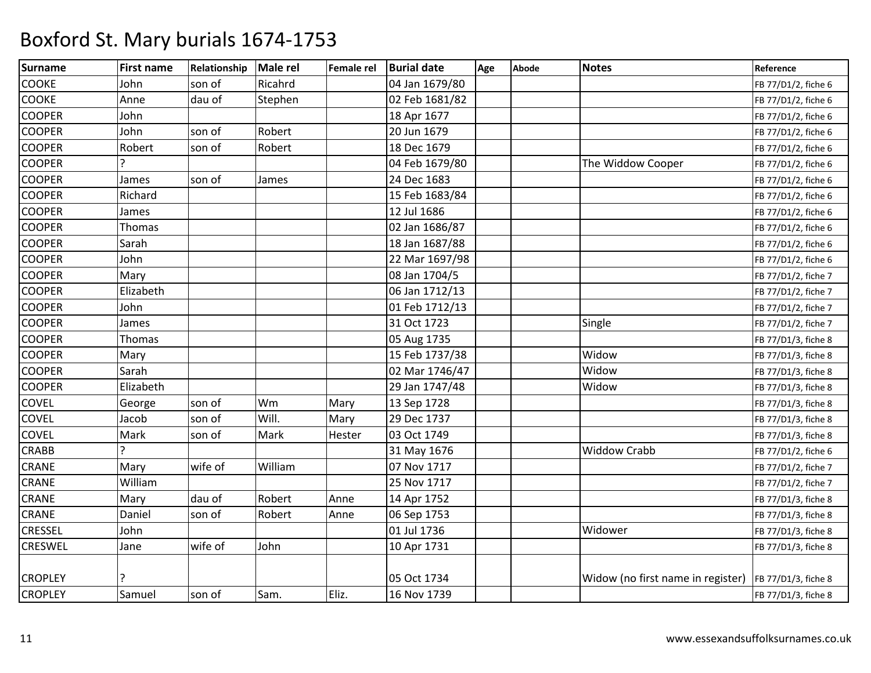| <b>Surname</b> | <b>First name</b> | Relationship | Male rel | <b>Female rel</b> | <b>Burial date</b> | Age | <b>Abode</b> | <b>Notes</b>                      | Reference           |
|----------------|-------------------|--------------|----------|-------------------|--------------------|-----|--------------|-----------------------------------|---------------------|
| <b>COOKE</b>   | John              | son of       | Ricahrd  |                   | 04 Jan 1679/80     |     |              |                                   | FB 77/D1/2, fiche 6 |
| <b>COOKE</b>   | Anne              | dau of       | Stephen  |                   | 02 Feb 1681/82     |     |              |                                   | FB 77/D1/2, fiche 6 |
| <b>COOPER</b>  | John              |              |          |                   | 18 Apr 1677        |     |              |                                   | FB 77/D1/2, fiche 6 |
| <b>COOPER</b>  | John              | son of       | Robert   |                   | 20 Jun 1679        |     |              |                                   | FB 77/D1/2, fiche 6 |
| <b>COOPER</b>  | Robert            | son of       | Robert   |                   | 18 Dec 1679        |     |              |                                   | FB 77/D1/2, fiche 6 |
| <b>COOPER</b>  |                   |              |          |                   | 04 Feb 1679/80     |     |              | The Widdow Cooper                 | FB 77/D1/2, fiche 6 |
| <b>COOPER</b>  | James             | son of       | James    |                   | 24 Dec 1683        |     |              |                                   | FB 77/D1/2, fiche 6 |
| <b>COOPER</b>  | Richard           |              |          |                   | 15 Feb 1683/84     |     |              |                                   | FB 77/D1/2, fiche 6 |
| <b>COOPER</b>  | James             |              |          |                   | 12 Jul 1686        |     |              |                                   | FB 77/D1/2, fiche 6 |
| <b>COOPER</b>  | Thomas            |              |          |                   | 02 Jan 1686/87     |     |              |                                   | FB 77/D1/2, fiche 6 |
| <b>COOPER</b>  | Sarah             |              |          |                   | 18 Jan 1687/88     |     |              |                                   | FB 77/D1/2, fiche 6 |
| <b>COOPER</b>  | John              |              |          |                   | 22 Mar 1697/98     |     |              |                                   | FB 77/D1/2, fiche 6 |
| <b>COOPER</b>  | Mary              |              |          |                   | 08 Jan 1704/5      |     |              |                                   | FB 77/D1/2, fiche 7 |
| <b>COOPER</b>  | Elizabeth         |              |          |                   | 06 Jan 1712/13     |     |              |                                   | FB 77/D1/2, fiche 7 |
| <b>COOPER</b>  | John              |              |          |                   | 01 Feb 1712/13     |     |              |                                   | FB 77/D1/2, fiche 7 |
| <b>COOPER</b>  | James             |              |          |                   | 31 Oct 1723        |     |              | Single                            | FB 77/D1/2, fiche 7 |
| <b>COOPER</b>  | Thomas            |              |          |                   | 05 Aug 1735        |     |              |                                   | FB 77/D1/3, fiche 8 |
| <b>COOPER</b>  | Mary              |              |          |                   | 15 Feb 1737/38     |     |              | Widow                             | FB 77/D1/3, fiche 8 |
| <b>COOPER</b>  | Sarah             |              |          |                   | 02 Mar 1746/47     |     |              | Widow                             | FB 77/D1/3, fiche 8 |
| <b>COOPER</b>  | Elizabeth         |              |          |                   | 29 Jan 1747/48     |     |              | Widow                             | FB 77/D1/3, fiche 8 |
| COVEL          | George            | son of       | Wm       | Mary              | 13 Sep 1728        |     |              |                                   | FB 77/D1/3, fiche 8 |
| <b>COVEL</b>   | Jacob             | son of       | Will.    | Mary              | 29 Dec 1737        |     |              |                                   | FB 77/D1/3, fiche 8 |
| COVEL          | Mark              | son of       | Mark     | Hester            | 03 Oct 1749        |     |              |                                   | FB 77/D1/3, fiche 8 |
| <b>CRABB</b>   |                   |              |          |                   | 31 May 1676        |     |              | <b>Widdow Crabb</b>               | FB 77/D1/2, fiche 6 |
| CRANE          | Mary              | wife of      | William  |                   | 07 Nov 1717        |     |              |                                   | FB 77/D1/2, fiche 7 |
| CRANE          | William           |              |          |                   | 25 Nov 1717        |     |              |                                   | FB 77/D1/2, fiche 7 |
| <b>CRANE</b>   | Mary              | dau of       | Robert   | Anne              | 14 Apr 1752        |     |              |                                   | FB 77/D1/3, fiche 8 |
| CRANE          | Daniel            | son of       | Robert   | Anne              | 06 Sep 1753        |     |              |                                   | FB 77/D1/3, fiche 8 |
| <b>CRESSEL</b> | John              |              |          |                   | 01 Jul 1736        |     |              | Widower                           | FB 77/D1/3, fiche 8 |
| CRESWEL        | Jane              | wife of      | John     |                   | 10 Apr 1731        |     |              |                                   | FB 77/D1/3, fiche 8 |
|                |                   |              |          |                   |                    |     |              |                                   |                     |
| <b>CROPLEY</b> |                   |              |          |                   | 05 Oct 1734        |     |              | Widow (no first name in register) | FB 77/D1/3, fiche 8 |
| <b>CROPLEY</b> | Samuel            | son of       | Sam.     | Eliz.             | 16 Nov 1739        |     |              |                                   | FB 77/D1/3, fiche 8 |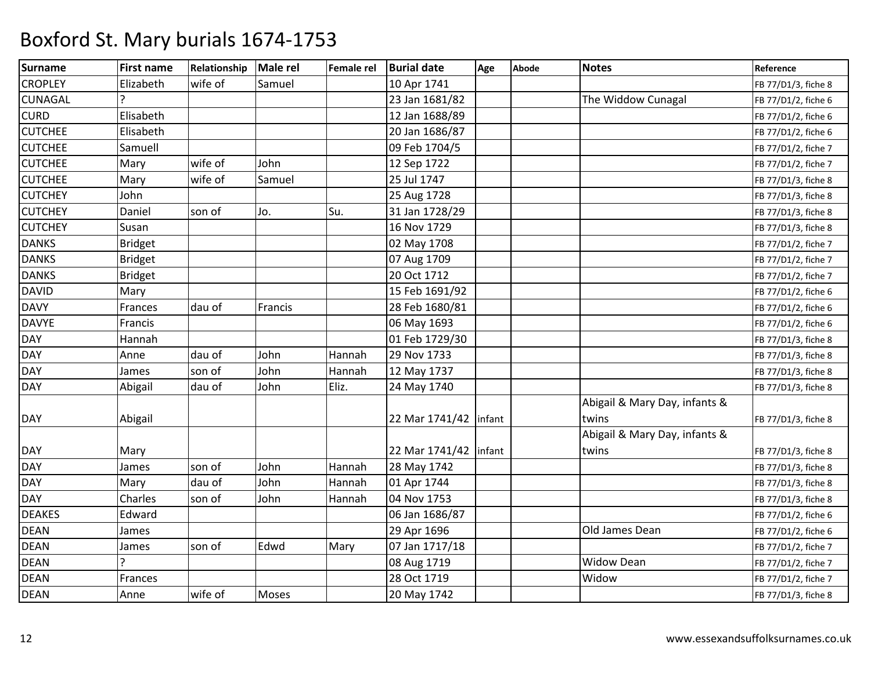| <b>Surname</b> | <b>First name</b> | Relationship | Male rel | Female rel | <b>Burial date</b>      | Age | <b>Abode</b> | <b>Notes</b>                  | Reference           |
|----------------|-------------------|--------------|----------|------------|-------------------------|-----|--------------|-------------------------------|---------------------|
| <b>CROPLEY</b> | Elizabeth         | wife of      | Samuel   |            | 10 Apr 1741             |     |              |                               | FB 77/D1/3, fiche 8 |
| <b>CUNAGAL</b> |                   |              |          |            | 23 Jan 1681/82          |     |              | The Widdow Cunagal            | FB 77/D1/2, fiche 6 |
| <b>CURD</b>    | Elisabeth         |              |          |            | 12 Jan 1688/89          |     |              |                               | FB 77/D1/2, fiche 6 |
| <b>CUTCHEE</b> | Elisabeth         |              |          |            | 20 Jan 1686/87          |     |              |                               | FB 77/D1/2, fiche 6 |
| <b>CUTCHEE</b> | Samuell           |              |          |            | 09 Feb 1704/5           |     |              |                               | FB 77/D1/2, fiche 7 |
| <b>CUTCHEE</b> | Mary              | wife of      | John     |            | 12 Sep 1722             |     |              |                               | FB 77/D1/2, fiche 7 |
| <b>CUTCHEE</b> | Mary              | wife of      | Samuel   |            | 25 Jul 1747             |     |              |                               | FB 77/D1/3, fiche 8 |
| <b>CUTCHEY</b> | John              |              |          |            | 25 Aug 1728             |     |              |                               | FB 77/D1/3, fiche 8 |
| <b>CUTCHEY</b> | Daniel            | son of       | Jo.      | Su.        | 31 Jan 1728/29          |     |              |                               | FB 77/D1/3, fiche 8 |
| <b>CUTCHEY</b> | Susan             |              |          |            | 16 Nov 1729             |     |              |                               | FB 77/D1/3, fiche 8 |
| <b>DANKS</b>   | <b>Bridget</b>    |              |          |            | 02 May 1708             |     |              |                               | FB 77/D1/2, fiche 7 |
| <b>DANKS</b>   | <b>Bridget</b>    |              |          |            | 07 Aug 1709             |     |              |                               | FB 77/D1/2, fiche 7 |
| <b>DANKS</b>   | <b>Bridget</b>    |              |          |            | 20 Oct 1712             |     |              |                               | FB 77/D1/2, fiche 7 |
| <b>DAVID</b>   | Mary              |              |          |            | 15 Feb 1691/92          |     |              |                               | FB 77/D1/2, fiche 6 |
| <b>DAVY</b>    | Frances           | dau of       | Francis  |            | 28 Feb 1680/81          |     |              |                               | FB 77/D1/2, fiche 6 |
| <b>DAVYE</b>   | Francis           |              |          |            | 06 May 1693             |     |              |                               | FB 77/D1/2, fiche 6 |
| <b>DAY</b>     | Hannah            |              |          |            | 01 Feb 1729/30          |     |              |                               | FB 77/D1/3, fiche 8 |
| <b>DAY</b>     | Anne              | dau of       | John     | Hannah     | 29 Nov 1733             |     |              |                               | FB 77/D1/3, fiche 8 |
| <b>DAY</b>     | James             | son of       | John     | Hannah     | 12 May 1737             |     |              |                               | FB 77/D1/3, fiche 8 |
| <b>DAY</b>     | Abigail           | dau of       | John     | Eliz.      | 24 May 1740             |     |              |                               | FB 77/D1/3, fiche 8 |
|                |                   |              |          |            |                         |     |              | Abigail & Mary Day, infants & |                     |
| <b>DAY</b>     | Abigail           |              |          |            | 22 Mar 1741/42   infant |     |              | twins                         | FB 77/D1/3, fiche 8 |
|                |                   |              |          |            |                         |     |              | Abigail & Mary Day, infants & |                     |
| <b>DAY</b>     | Mary              |              |          |            | 22 Mar 1741/42   infant |     |              | twins                         | FB 77/D1/3, fiche 8 |
| <b>DAY</b>     | James             | son of       | John     | Hannah     | 28 May 1742             |     |              |                               | FB 77/D1/3, fiche 8 |
| <b>DAY</b>     | Mary              | dau of       | John     | Hannah     | 01 Apr 1744             |     |              |                               | FB 77/D1/3, fiche 8 |
| <b>DAY</b>     | Charles           | son of       | John     | Hannah     | 04 Nov 1753             |     |              |                               | FB 77/D1/3, fiche 8 |
| <b>DEAKES</b>  | Edward            |              |          |            | 06 Jan 1686/87          |     |              |                               | FB 77/D1/2, fiche 6 |
| <b>DEAN</b>    | James             |              |          |            | 29 Apr 1696             |     |              | Old James Dean                | FB 77/D1/2, fiche 6 |
| <b>DEAN</b>    | James             | son of       | Edwd     | Mary       | 07 Jan 1717/18          |     |              |                               | FB 77/D1/2, fiche 7 |
| <b>DEAN</b>    |                   |              |          |            | 08 Aug 1719             |     |              | <b>Widow Dean</b>             | FB 77/D1/2, fiche 7 |
| <b>DEAN</b>    | Frances           |              |          |            | 28 Oct 1719             |     |              | Widow                         | FB 77/D1/2, fiche 7 |
| <b>DEAN</b>    | Anne              | wife of      | Moses    |            | 20 May 1742             |     |              |                               | FB 77/D1/3, fiche 8 |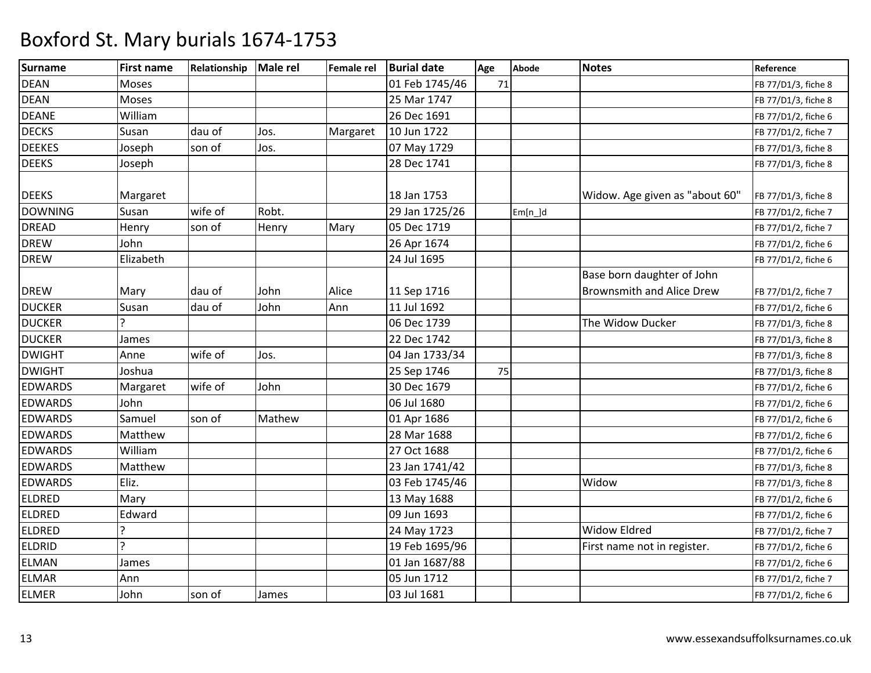| <b>Surname</b> | <b>First name</b> | Relationship | Male rel | <b>Female rel</b> | <b>Burial date</b> | Age | <b>Abode</b> | <b>Notes</b>                     | Reference           |
|----------------|-------------------|--------------|----------|-------------------|--------------------|-----|--------------|----------------------------------|---------------------|
| <b>DEAN</b>    | Moses             |              |          |                   | 01 Feb 1745/46     | 71  |              |                                  | FB 77/D1/3, fiche 8 |
| <b>DEAN</b>    | Moses             |              |          |                   | 25 Mar 1747        |     |              |                                  | FB 77/D1/3, fiche 8 |
| <b>DEANE</b>   | William           |              |          |                   | 26 Dec 1691        |     |              |                                  | FB 77/D1/2, fiche 6 |
| <b>DECKS</b>   | Susan             | dau of       | Jos.     | Margaret          | 10 Jun 1722        |     |              |                                  | FB 77/D1/2, fiche 7 |
| <b>DEEKES</b>  | Joseph            | son of       | Jos.     |                   | 07 May 1729        |     |              |                                  | FB 77/D1/3, fiche 8 |
| <b>DEEKS</b>   | Joseph            |              |          |                   | 28 Dec 1741        |     |              |                                  | FB 77/D1/3, fiche 8 |
| <b>DEEKS</b>   | Margaret          |              |          |                   | 18 Jan 1753        |     |              | Widow. Age given as "about 60"   | FB 77/D1/3, fiche 8 |
| <b>DOWNING</b> | Susan             | wife of      | Robt.    |                   | 29 Jan 1725/26     |     | $Em[n_l]$ d  |                                  | FB 77/D1/2, fiche 7 |
| <b>DREAD</b>   | Henry             | son of       | Henry    | Mary              | 05 Dec 1719        |     |              |                                  | FB 77/D1/2, fiche 7 |
| <b>DREW</b>    | John              |              |          |                   | 26 Apr 1674        |     |              |                                  | FB 77/D1/2, fiche 6 |
| <b>DREW</b>    | Elizabeth         |              |          |                   | 24 Jul 1695        |     |              |                                  | FB 77/D1/2, fiche 6 |
|                |                   |              |          |                   |                    |     |              | Base born daughter of John       |                     |
| <b>DREW</b>    | Mary              | dau of       | John     | Alice             | 11 Sep 1716        |     |              | <b>Brownsmith and Alice Drew</b> | FB 77/D1/2, fiche 7 |
| <b>DUCKER</b>  | Susan             | dau of       | John     | Ann               | 11 Jul 1692        |     |              |                                  | FB 77/D1/2, fiche 6 |
| <b>DUCKER</b>  |                   |              |          |                   | 06 Dec 1739        |     |              | The Widow Ducker                 | FB 77/D1/3, fiche 8 |
| <b>DUCKER</b>  | James             |              |          |                   | 22 Dec 1742        |     |              |                                  | FB 77/D1/3, fiche 8 |
| <b>DWIGHT</b>  | Anne              | wife of      | Jos.     |                   | 04 Jan 1733/34     |     |              |                                  | FB 77/D1/3, fiche 8 |
| <b>DWIGHT</b>  | Joshua            |              |          |                   | 25 Sep 1746        | 75  |              |                                  | FB 77/D1/3, fiche 8 |
| <b>EDWARDS</b> | Margaret          | wife of      | John     |                   | 30 Dec 1679        |     |              |                                  | FB 77/D1/2, fiche 6 |
| <b>EDWARDS</b> | John              |              |          |                   | 06 Jul 1680        |     |              |                                  | FB 77/D1/2, fiche 6 |
| <b>EDWARDS</b> | Samuel            | son of       | Mathew   |                   | 01 Apr 1686        |     |              |                                  | FB 77/D1/2, fiche 6 |
| <b>EDWARDS</b> | Matthew           |              |          |                   | 28 Mar 1688        |     |              |                                  | FB 77/D1/2, fiche 6 |
| <b>EDWARDS</b> | William           |              |          |                   | 27 Oct 1688        |     |              |                                  | FB 77/D1/2, fiche 6 |
| <b>EDWARDS</b> | Matthew           |              |          |                   | 23 Jan 1741/42     |     |              |                                  | FB 77/D1/3, fiche 8 |
| <b>EDWARDS</b> | Eliz.             |              |          |                   | 03 Feb 1745/46     |     |              | Widow                            | FB 77/D1/3, fiche 8 |
| <b>ELDRED</b>  | Mary              |              |          |                   | 13 May 1688        |     |              |                                  | FB 77/D1/2, fiche 6 |
| <b>ELDRED</b>  | Edward            |              |          |                   | 09 Jun 1693        |     |              |                                  | FB 77/D1/2, fiche 6 |
| <b>ELDRED</b>  |                   |              |          |                   | 24 May 1723        |     |              | <b>Widow Eldred</b>              | FB 77/D1/2, fiche 7 |
| <b>ELDRID</b>  |                   |              |          |                   | 19 Feb 1695/96     |     |              | First name not in register.      | FB 77/D1/2, fiche 6 |
| <b>ELMAN</b>   | James             |              |          |                   | 01 Jan 1687/88     |     |              |                                  | FB 77/D1/2, fiche 6 |
| <b>ELMAR</b>   | Ann               |              |          |                   | 05 Jun 1712        |     |              |                                  | FB 77/D1/2, fiche 7 |
| <b>ELMER</b>   | John              | son of       | James    |                   | 03 Jul 1681        |     |              |                                  | FB 77/D1/2, fiche 6 |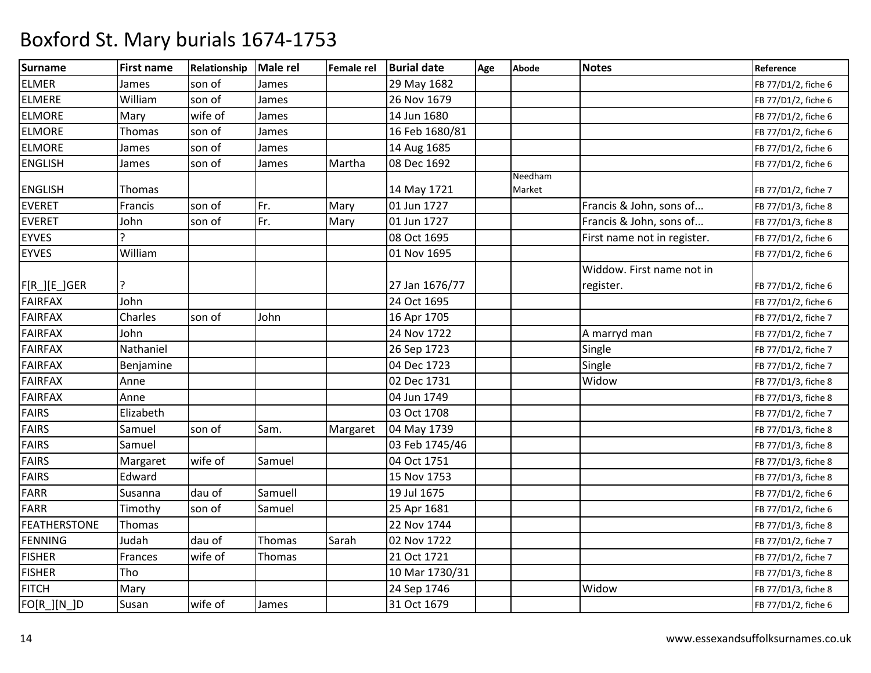| <b>Surname</b>      | <b>First name</b> | Relationship | Male rel | Female rel | <b>Burial date</b> | Age | <b>Abode</b>      | <b>Notes</b>                | Reference           |
|---------------------|-------------------|--------------|----------|------------|--------------------|-----|-------------------|-----------------------------|---------------------|
| <b>ELMER</b>        | James             | son of       | James    |            | 29 May 1682        |     |                   |                             | FB 77/D1/2, fiche 6 |
| <b>ELMERE</b>       | William           | son of       | James    |            | 26 Nov 1679        |     |                   |                             | FB 77/D1/2, fiche 6 |
| <b>ELMORE</b>       | Mary              | wife of      | James    |            | 14 Jun 1680        |     |                   |                             | FB 77/D1/2, fiche 6 |
| <b>ELMORE</b>       | Thomas            | son of       | James    |            | 16 Feb 1680/81     |     |                   |                             | FB 77/D1/2, fiche 6 |
| <b>ELMORE</b>       | James             | son of       | James    |            | 14 Aug 1685        |     |                   |                             | FB 77/D1/2, fiche 6 |
| <b>ENGLISH</b>      | James             | son of       | James    | Martha     | 08 Dec 1692        |     |                   |                             | FB 77/D1/2, fiche 6 |
| <b>ENGLISH</b>      | Thomas            |              |          |            | 14 May 1721        |     | Needham<br>Market |                             | FB 77/D1/2, fiche 7 |
| <b>EVERET</b>       | Francis           | son of       | Fr.      | Mary       | 01 Jun 1727        |     |                   | Francis & John, sons of     | FB 77/D1/3, fiche 8 |
| <b>EVERET</b>       | John              | son of       | Fr.      | Mary       | 01 Jun 1727        |     |                   | Francis & John, sons of     | FB 77/D1/3, fiche 8 |
| <b>EYVES</b>        |                   |              |          |            | 08 Oct 1695        |     |                   | First name not in register. | FB 77/D1/2, fiche 6 |
| <b>EYVES</b>        | William           |              |          |            | 01 Nov 1695        |     |                   |                             | FB 77/D1/2, fiche 6 |
|                     |                   |              |          |            |                    |     |                   | Widdow. First name not in   |                     |
| F[R_][E_]GER        |                   |              |          |            | 27 Jan 1676/77     |     |                   | register.                   | FB 77/D1/2, fiche 6 |
| <b>FAIRFAX</b>      | John              |              |          |            | 24 Oct 1695        |     |                   |                             | FB 77/D1/2, fiche 6 |
| <b>FAIRFAX</b>      | Charles           | son of       | John     |            | 16 Apr 1705        |     |                   |                             | FB 77/D1/2, fiche 7 |
| <b>FAIRFAX</b>      | John              |              |          |            | 24 Nov 1722        |     |                   | A marryd man                | FB 77/D1/2, fiche 7 |
| <b>FAIRFAX</b>      | Nathaniel         |              |          |            | 26 Sep 1723        |     |                   | Single                      | FB 77/D1/2, fiche 7 |
| <b>FAIRFAX</b>      | Benjamine         |              |          |            | 04 Dec 1723        |     |                   | Single                      | FB 77/D1/2, fiche 7 |
| <b>FAIRFAX</b>      | Anne              |              |          |            | 02 Dec 1731        |     |                   | Widow                       | FB 77/D1/3, fiche 8 |
| <b>FAIRFAX</b>      | Anne              |              |          |            | 04 Jun 1749        |     |                   |                             | FB 77/D1/3, fiche 8 |
| <b>FAIRS</b>        | Elizabeth         |              |          |            | 03 Oct 1708        |     |                   |                             | FB 77/D1/2, fiche 7 |
| <b>FAIRS</b>        | Samuel            | son of       | Sam.     | Margaret   | 04 May 1739        |     |                   |                             | FB 77/D1/3, fiche 8 |
| <b>FAIRS</b>        | Samuel            |              |          |            | 03 Feb 1745/46     |     |                   |                             | FB 77/D1/3, fiche 8 |
| <b>FAIRS</b>        | Margaret          | wife of      | Samuel   |            | 04 Oct 1751        |     |                   |                             | FB 77/D1/3, fiche 8 |
| <b>FAIRS</b>        | Edward            |              |          |            | 15 Nov 1753        |     |                   |                             | FB 77/D1/3, fiche 8 |
| <b>FARR</b>         | Susanna           | dau of       | Samuell  |            | 19 Jul 1675        |     |                   |                             | FB 77/D1/2, fiche 6 |
| <b>FARR</b>         | Timothy           | son of       | Samuel   |            | 25 Apr 1681        |     |                   |                             | FB 77/D1/2, fiche 6 |
| <b>FEATHERSTONE</b> | Thomas            |              |          |            | 22 Nov 1744        |     |                   |                             | FB 77/D1/3, fiche 8 |
| FENNING             | Judah             | dau of       | Thomas   | Sarah      | 02 Nov 1722        |     |                   |                             | FB 77/D1/2, fiche 7 |
| <b>FISHER</b>       | Frances           | wife of      | Thomas   |            | 21 Oct 1721        |     |                   |                             | FB 77/D1/2, fiche 7 |
| <b>FISHER</b>       | Tho               |              |          |            | 10 Mar 1730/31     |     |                   |                             | FB 77/D1/3, fiche 8 |
| <b>FITCH</b>        | Mary              |              |          |            | 24 Sep 1746        |     |                   | Widow                       | FB 77/D1/3, fiche 8 |
| FO[R_][N_]D         | Susan             | wife of      | James    |            | 31 Oct 1679        |     |                   |                             | FB 77/D1/2, fiche 6 |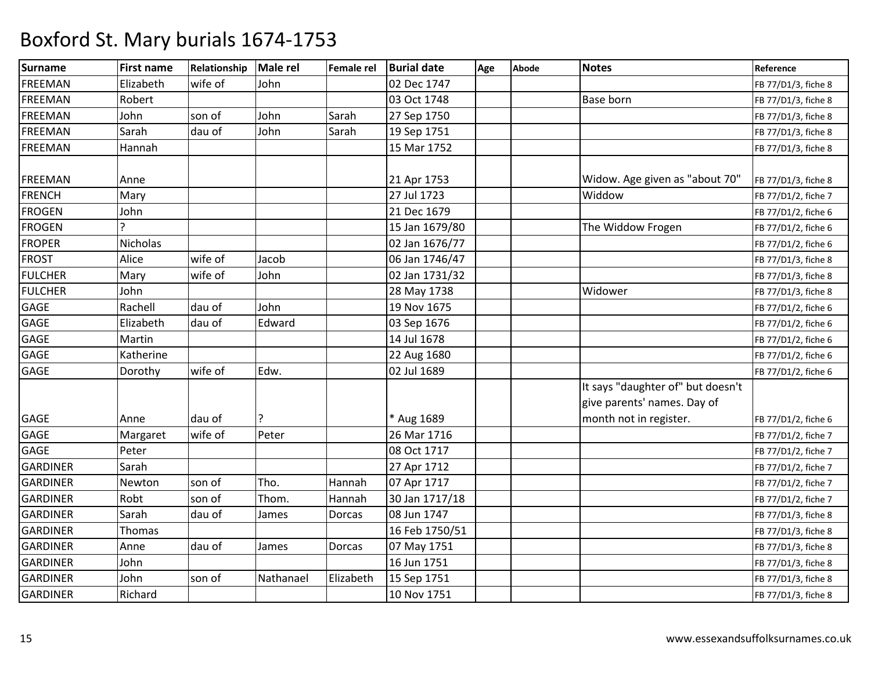| <b>Surname</b>  | <b>First name</b> | Relationship | Male rel  | Female rel | <b>Burial date</b> | Age | Abode | <b>Notes</b>                      | Reference           |
|-----------------|-------------------|--------------|-----------|------------|--------------------|-----|-------|-----------------------------------|---------------------|
| <b>FREEMAN</b>  | Elizabeth         | wife of      | John      |            | 02 Dec 1747        |     |       |                                   | FB 77/D1/3, fiche 8 |
| FREEMAN         | Robert            |              |           |            | 03 Oct 1748        |     |       | Base born                         | FB 77/D1/3, fiche 8 |
| <b>FREEMAN</b>  | John              | son of       | John      | Sarah      | 27 Sep 1750        |     |       |                                   | FB 77/D1/3, fiche 8 |
| <b>FREEMAN</b>  | Sarah             | dau of       | John      | Sarah      | 19 Sep 1751        |     |       |                                   | FB 77/D1/3, fiche 8 |
| <b>FREEMAN</b>  | Hannah            |              |           |            | 15 Mar 1752        |     |       |                                   | FB 77/D1/3, fiche 8 |
|                 |                   |              |           |            |                    |     |       |                                   |                     |
| <b>FREEMAN</b>  | Anne              |              |           |            | 21 Apr 1753        |     |       | Widow. Age given as "about 70"    | FB 77/D1/3, fiche 8 |
| <b>FRENCH</b>   | Mary              |              |           |            | 27 Jul 1723        |     |       | Widdow                            | FB 77/D1/2, fiche 7 |
| <b>FROGEN</b>   | John              |              |           |            | 21 Dec 1679        |     |       |                                   | FB 77/D1/2, fiche 6 |
| <b>FROGEN</b>   |                   |              |           |            | 15 Jan 1679/80     |     |       | The Widdow Frogen                 | FB 77/D1/2, fiche 6 |
| <b>FROPER</b>   | Nicholas          |              |           |            | 02 Jan 1676/77     |     |       |                                   | FB 77/D1/2, fiche 6 |
| <b>FROST</b>    | Alice             | wife of      | Jacob     |            | 06 Jan 1746/47     |     |       |                                   | FB 77/D1/3, fiche 8 |
| <b>FULCHER</b>  | Mary              | wife of      | John      |            | 02 Jan 1731/32     |     |       |                                   | FB 77/D1/3, fiche 8 |
| <b>FULCHER</b>  | John              |              |           |            | 28 May 1738        |     |       | Widower                           | FB 77/D1/3, fiche 8 |
| <b>GAGE</b>     | Rachell           | dau of       | John      |            | 19 Nov 1675        |     |       |                                   | FB 77/D1/2, fiche 6 |
| GAGE            | Elizabeth         | dau of       | Edward    |            | 03 Sep 1676        |     |       |                                   | FB 77/D1/2, fiche 6 |
| <b>GAGE</b>     | Martin            |              |           |            | 14 Jul 1678        |     |       |                                   | FB 77/D1/2, fiche 6 |
| <b>GAGE</b>     | Katherine         |              |           |            | 22 Aug 1680        |     |       |                                   | FB 77/D1/2, fiche 6 |
| <b>GAGE</b>     | Dorothy           | wife of      | Edw.      |            | 02 Jul 1689        |     |       |                                   | FB 77/D1/2, fiche 6 |
|                 |                   |              |           |            |                    |     |       | It says "daughter of" but doesn't |                     |
|                 |                   |              |           |            |                    |     |       | give parents' names. Day of       |                     |
| <b>GAGE</b>     | Anne              | dau of       |           |            | * Aug 1689         |     |       | month not in register.            | FB 77/D1/2, fiche 6 |
| <b>GAGE</b>     | Margaret          | wife of      | Peter     |            | 26 Mar 1716        |     |       |                                   | FB 77/D1/2, fiche 7 |
| GAGE            | Peter             |              |           |            | 08 Oct 1717        |     |       |                                   | FB 77/D1/2, fiche 7 |
| <b>GARDINER</b> | Sarah             |              |           |            | 27 Apr 1712        |     |       |                                   | FB 77/D1/2, fiche 7 |
| <b>GARDINER</b> | Newton            | son of       | Tho.      | Hannah     | 07 Apr 1717        |     |       |                                   | FB 77/D1/2, fiche 7 |
| <b>GARDINER</b> | Robt              | son of       | Thom.     | Hannah     | 30 Jan 1717/18     |     |       |                                   | FB 77/D1/2, fiche 7 |
| <b>GARDINER</b> | Sarah             | dau of       | James     | Dorcas     | 08 Jun 1747        |     |       |                                   | FB 77/D1/3, fiche 8 |
| <b>GARDINER</b> | Thomas            |              |           |            | 16 Feb 1750/51     |     |       |                                   | FB 77/D1/3, fiche 8 |
| <b>GARDINER</b> | Anne              | dau of       | James     | Dorcas     | 07 May 1751        |     |       |                                   | FB 77/D1/3, fiche 8 |
| <b>GARDINER</b> | John              |              |           |            | 16 Jun 1751        |     |       |                                   | FB 77/D1/3, fiche 8 |
| <b>GARDINER</b> | John              | son of       | Nathanael | Elizabeth  | 15 Sep 1751        |     |       |                                   | FB 77/D1/3, fiche 8 |
| <b>GARDINER</b> | Richard           |              |           |            | 10 Nov 1751        |     |       |                                   | FB 77/D1/3, fiche 8 |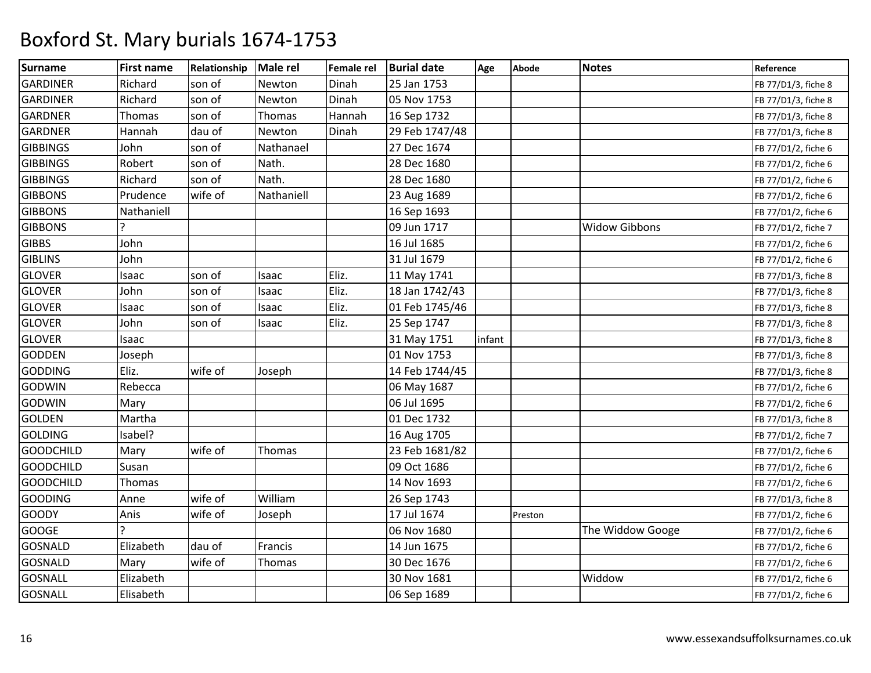| <b>Surname</b>   | <b>First name</b> | Relationship | <b>Male rel</b> | Female rel | <b>Burial date</b> | Age    | <b>Abode</b> | <b>Notes</b>         | Reference           |
|------------------|-------------------|--------------|-----------------|------------|--------------------|--------|--------------|----------------------|---------------------|
| <b>GARDINER</b>  | Richard           | son of       | Newton          | Dinah      | 25 Jan 1753        |        |              |                      | FB 77/D1/3, fiche 8 |
| <b>GARDINER</b>  | Richard           | son of       | Newton          | Dinah      | 05 Nov 1753        |        |              |                      | FB 77/D1/3, fiche 8 |
| <b>GARDNER</b>   | <b>Thomas</b>     | son of       | Thomas          | Hannah     | 16 Sep 1732        |        |              |                      | FB 77/D1/3, fiche 8 |
| <b>GARDNER</b>   | Hannah            | dau of       | Newton          | Dinah      | 29 Feb 1747/48     |        |              |                      | FB 77/D1/3, fiche 8 |
| <b>GIBBINGS</b>  | John              | son of       | Nathanael       |            | 27 Dec 1674        |        |              |                      | FB 77/D1/2, fiche 6 |
| <b>GIBBINGS</b>  | Robert            | son of       | Nath.           |            | 28 Dec 1680        |        |              |                      | FB 77/D1/2, fiche 6 |
| <b>GIBBINGS</b>  | Richard           | son of       | Nath.           |            | 28 Dec 1680        |        |              |                      | FB 77/D1/2, fiche 6 |
| <b>GIBBONS</b>   | Prudence          | wife of      | Nathaniell      |            | 23 Aug 1689        |        |              |                      | FB 77/D1/2, fiche 6 |
| <b>GIBBONS</b>   | Nathaniell        |              |                 |            | 16 Sep 1693        |        |              |                      | FB 77/D1/2, fiche 6 |
| <b>GIBBONS</b>   |                   |              |                 |            | 09 Jun 1717        |        |              | <b>Widow Gibbons</b> | FB 77/D1/2, fiche 7 |
| <b>GIBBS</b>     | John              |              |                 |            | 16 Jul 1685        |        |              |                      | FB 77/D1/2, fiche 6 |
| <b>GIBLINS</b>   | John              |              |                 |            | 31 Jul 1679        |        |              |                      | FB 77/D1/2, fiche 6 |
| <b>GLOVER</b>    | Isaac             | son of       | Isaac           | Eliz.      | 11 May 1741        |        |              |                      | FB 77/D1/3, fiche 8 |
| <b>GLOVER</b>    | John              | son of       | Isaac           | Eliz.      | 18 Jan 1742/43     |        |              |                      | FB 77/D1/3, fiche 8 |
| <b>GLOVER</b>    | Isaac             | son of       | Isaac           | Eliz.      | 01 Feb 1745/46     |        |              |                      | FB 77/D1/3, fiche 8 |
| <b>GLOVER</b>    | John              | son of       | Isaac           | Eliz.      | 25 Sep 1747        |        |              |                      | FB 77/D1/3, fiche 8 |
| <b>GLOVER</b>    | <b>Isaac</b>      |              |                 |            | 31 May 1751        | infant |              |                      | FB 77/D1/3, fiche 8 |
| <b>GODDEN</b>    | Joseph            |              |                 |            | 01 Nov 1753        |        |              |                      | FB 77/D1/3, fiche 8 |
| <b>GODDING</b>   | Eliz.             | wife of      | Joseph          |            | 14 Feb 1744/45     |        |              |                      | FB 77/D1/3, fiche 8 |
| GODWIN           | Rebecca           |              |                 |            | 06 May 1687        |        |              |                      | FB 77/D1/2, fiche 6 |
| <b>GODWIN</b>    | Mary              |              |                 |            | 06 Jul 1695        |        |              |                      | FB 77/D1/2, fiche 6 |
| <b>GOLDEN</b>    | Martha            |              |                 |            | 01 Dec 1732        |        |              |                      | FB 77/D1/3, fiche 8 |
| <b>GOLDING</b>   | Isabel?           |              |                 |            | 16 Aug 1705        |        |              |                      | FB 77/D1/2, fiche 7 |
| <b>GOODCHILD</b> | Mary              | wife of      | Thomas          |            | 23 Feb 1681/82     |        |              |                      | FB 77/D1/2, fiche 6 |
| <b>GOODCHILD</b> | Susan             |              |                 |            | 09 Oct 1686        |        |              |                      | FB 77/D1/2, fiche 6 |
| <b>GOODCHILD</b> | Thomas            |              |                 |            | 14 Nov 1693        |        |              |                      | FB 77/D1/2, fiche 6 |
| <b>GOODING</b>   | Anne              | wife of      | William         |            | 26 Sep 1743        |        |              |                      | FB 77/D1/3, fiche 8 |
| <b>GOODY</b>     | Anis              | wife of      | Joseph          |            | 17 Jul 1674        |        | Preston      |                      | FB 77/D1/2, fiche 6 |
| <b>GOOGE</b>     |                   |              |                 |            | 06 Nov 1680        |        |              | The Widdow Googe     | FB 77/D1/2, fiche 6 |
| <b>GOSNALD</b>   | Elizabeth         | dau of       | Francis         |            | 14 Jun 1675        |        |              |                      | FB 77/D1/2, fiche 6 |
| <b>GOSNALD</b>   | Mary              | wife of      | Thomas          |            | 30 Dec 1676        |        |              |                      | FB 77/D1/2, fiche 6 |
| <b>GOSNALL</b>   | Elizabeth         |              |                 |            | 30 Nov 1681        |        |              | Widdow               | FB 77/D1/2, fiche 6 |
| <b>GOSNALL</b>   | Elisabeth         |              |                 |            | 06 Sep 1689        |        |              |                      | FB 77/D1/2, fiche 6 |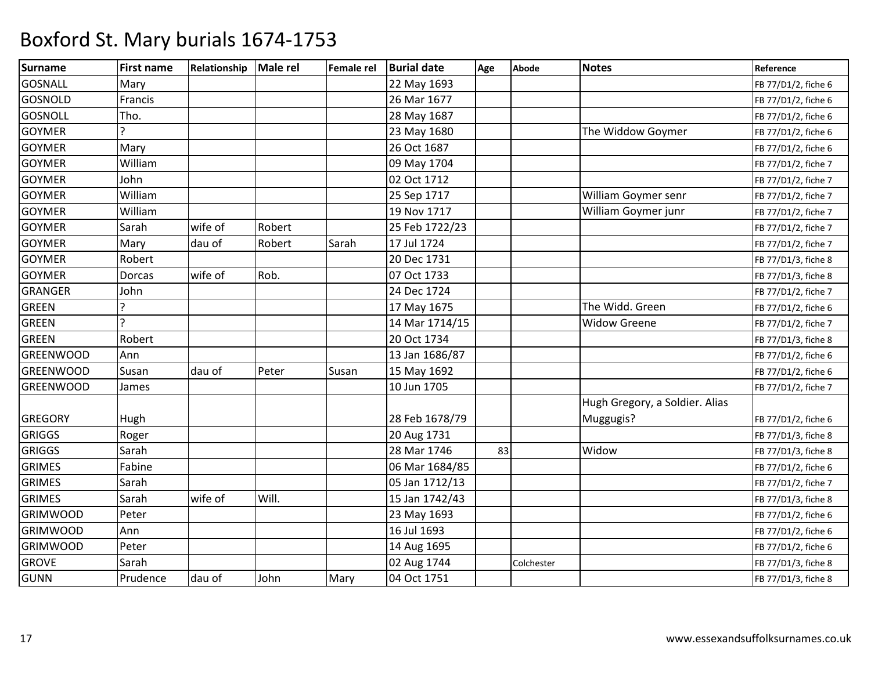| <b>Surname</b>   | <b>First name</b> | Relationship | Male rel | <b>Female rel</b> | <b>Burial date</b> | Age | <b>Abode</b> | <b>Notes</b>                   | Reference           |
|------------------|-------------------|--------------|----------|-------------------|--------------------|-----|--------------|--------------------------------|---------------------|
| <b>GOSNALL</b>   | Mary              |              |          |                   | 22 May 1693        |     |              |                                | FB 77/D1/2, fiche 6 |
| <b>GOSNOLD</b>   | Francis           |              |          |                   | 26 Mar 1677        |     |              |                                | FB 77/D1/2, fiche 6 |
| <b>GOSNOLL</b>   | Tho.              |              |          |                   | 28 May 1687        |     |              |                                | FB 77/D1/2, fiche 6 |
| <b>GOYMER</b>    |                   |              |          |                   | 23 May 1680        |     |              | The Widdow Goymer              | FB 77/D1/2, fiche 6 |
| <b>GOYMER</b>    | Mary              |              |          |                   | 26 Oct 1687        |     |              |                                | FB 77/D1/2, fiche 6 |
| <b>GOYMER</b>    | William           |              |          |                   | 09 May 1704        |     |              |                                | FB 77/D1/2, fiche 7 |
| <b>GOYMER</b>    | John              |              |          |                   | 02 Oct 1712        |     |              |                                | FB 77/D1/2, fiche 7 |
| <b>GOYMER</b>    | William           |              |          |                   | 25 Sep 1717        |     |              | William Goymer senr            | FB 77/D1/2, fiche 7 |
| <b>GOYMER</b>    | William           |              |          |                   | 19 Nov 1717        |     |              | William Goymer junr            | FB 77/D1/2, fiche 7 |
| <b>GOYMER</b>    | Sarah             | wife of      | Robert   |                   | 25 Feb 1722/23     |     |              |                                | FB 77/D1/2, fiche 7 |
| <b>GOYMER</b>    | Mary              | dau of       | Robert   | Sarah             | 17 Jul 1724        |     |              |                                | FB 77/D1/2, fiche 7 |
| <b>GOYMER</b>    | Robert            |              |          |                   | 20 Dec 1731        |     |              |                                | FB 77/D1/3, fiche 8 |
| <b>GOYMER</b>    | <b>Dorcas</b>     | wife of      | Rob.     |                   | 07 Oct 1733        |     |              |                                | FB 77/D1/3, fiche 8 |
| <b>GRANGER</b>   | John              |              |          |                   | 24 Dec 1724        |     |              |                                | FB 77/D1/2, fiche 7 |
| <b>GREEN</b>     |                   |              |          |                   | 17 May 1675        |     |              | The Widd. Green                | FB 77/D1/2, fiche 6 |
| <b>GREEN</b>     |                   |              |          |                   | 14 Mar 1714/15     |     |              | <b>Widow Greene</b>            | FB 77/D1/2, fiche 7 |
| <b>GREEN</b>     | Robert            |              |          |                   | 20 Oct 1734        |     |              |                                | FB 77/D1/3, fiche 8 |
| <b>GREENWOOD</b> | Ann               |              |          |                   | 13 Jan 1686/87     |     |              |                                | FB 77/D1/2, fiche 6 |
| <b>GREENWOOD</b> | Susan             | dau of       | Peter    | Susan             | 15 May 1692        |     |              |                                | FB 77/D1/2, fiche 6 |
| <b>GREENWOOD</b> | James             |              |          |                   | 10 Jun 1705        |     |              |                                | FB 77/D1/2, fiche 7 |
|                  |                   |              |          |                   |                    |     |              | Hugh Gregory, a Soldier. Alias |                     |
| <b>GREGORY</b>   | Hugh              |              |          |                   | 28 Feb 1678/79     |     |              | Muggugis?                      | FB 77/D1/2, fiche 6 |
| <b>GRIGGS</b>    | Roger             |              |          |                   | 20 Aug 1731        |     |              |                                | FB 77/D1/3, fiche 8 |
| <b>GRIGGS</b>    | Sarah             |              |          |                   | 28 Mar 1746        | 83  |              | Widow                          | FB 77/D1/3, fiche 8 |
| <b>GRIMES</b>    | Fabine            |              |          |                   | 06 Mar 1684/85     |     |              |                                | FB 77/D1/2, fiche 6 |
| <b>GRIMES</b>    | Sarah             |              |          |                   | 05 Jan 1712/13     |     |              |                                | FB 77/D1/2, fiche 7 |
| <b>GRIMES</b>    | Sarah             | wife of      | Will.    |                   | 15 Jan 1742/43     |     |              |                                | FB 77/D1/3, fiche 8 |
| <b>GRIMWOOD</b>  | Peter             |              |          |                   | 23 May 1693        |     |              |                                | FB 77/D1/2, fiche 6 |
| <b>GRIMWOOD</b>  | Ann               |              |          |                   | 16 Jul 1693        |     |              |                                | FB 77/D1/2, fiche 6 |
| <b>GRIMWOOD</b>  | Peter             |              |          |                   | 14 Aug 1695        |     |              |                                | FB 77/D1/2, fiche 6 |
| <b>GROVE</b>     | Sarah             |              |          |                   | 02 Aug 1744        |     | Colchester   |                                | FB 77/D1/3, fiche 8 |
| <b>GUNN</b>      | Prudence          | dau of       | John     | Mary              | 04 Oct 1751        |     |              |                                | FB 77/D1/3, fiche 8 |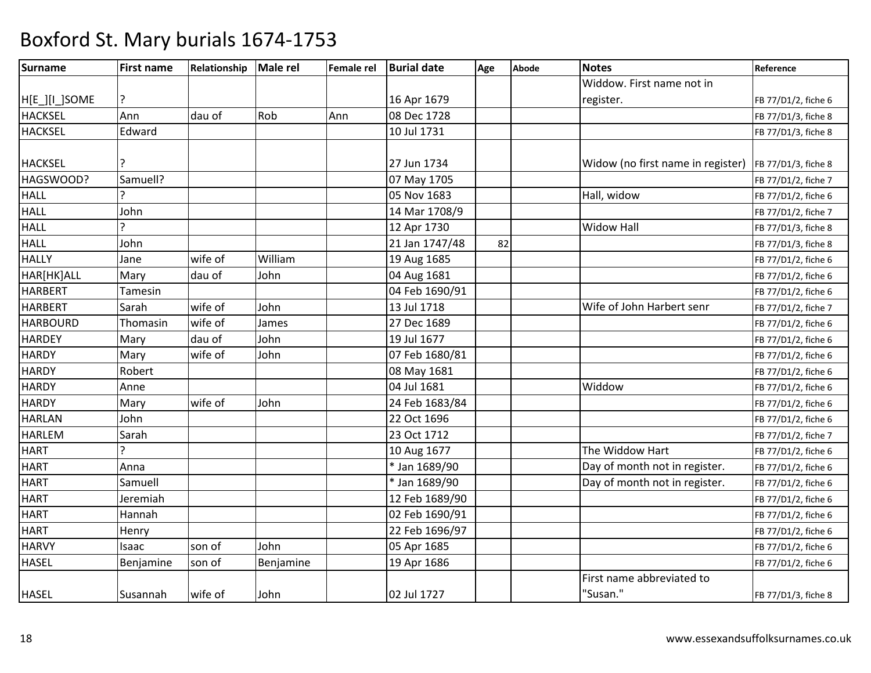| Surname         | <b>First name</b> | Relationship | Male rel  | Female rel | <b>Burial date</b> | Age | <b>Abode</b> | <b>Notes</b>                                           | Reference           |
|-----------------|-------------------|--------------|-----------|------------|--------------------|-----|--------------|--------------------------------------------------------|---------------------|
|                 |                   |              |           |            |                    |     |              | Widdow. First name not in                              |                     |
| H[E_][I_]SOME   |                   |              |           |            | 16 Apr 1679        |     |              | register.                                              | FB 77/D1/2, fiche 6 |
| <b>HACKSEL</b>  | Ann               | dau of       | Rob       | Ann        | 08 Dec 1728        |     |              |                                                        | FB 77/D1/3, fiche 8 |
| <b>HACKSEL</b>  | Edward            |              |           |            | 10 Jul 1731        |     |              |                                                        | FB 77/D1/3, fiche 8 |
| <b>HACKSEL</b>  |                   |              |           |            | 27 Jun 1734        |     |              | Widow (no first name in register)  FB 77/D1/3, fiche 8 |                     |
| HAGSWOOD?       | Samuell?          |              |           |            | 07 May 1705        |     |              |                                                        | FB 77/D1/2, fiche 7 |
| <b>HALL</b>     |                   |              |           |            | 05 Nov 1683        |     |              | Hall, widow                                            | FB 77/D1/2, fiche 6 |
| <b>HALL</b>     | John              |              |           |            | 14 Mar 1708/9      |     |              |                                                        | FB 77/D1/2, fiche 7 |
| <b>HALL</b>     |                   |              |           |            | 12 Apr 1730        |     |              | <b>Widow Hall</b>                                      | FB 77/D1/3, fiche 8 |
| <b>HALL</b>     | John              |              |           |            | 21 Jan 1747/48     | 82  |              |                                                        | FB 77/D1/3, fiche 8 |
| <b>HALLY</b>    | Jane              | wife of      | William   |            | 19 Aug 1685        |     |              |                                                        | FB 77/D1/2, fiche 6 |
| HAR[HK]ALL      | Mary              | dau of       | John      |            | 04 Aug 1681        |     |              |                                                        | FB 77/D1/2, fiche 6 |
| <b>HARBERT</b>  | Tamesin           |              |           |            | 04 Feb 1690/91     |     |              |                                                        | FB 77/D1/2, fiche 6 |
| <b>HARBERT</b>  | Sarah             | wife of      | John      |            | 13 Jul 1718        |     |              | Wife of John Harbert senr                              | FB 77/D1/2, fiche 7 |
| <b>HARBOURD</b> | Thomasin          | wife of      | James     |            | 27 Dec 1689        |     |              |                                                        | FB 77/D1/2, fiche 6 |
| <b>HARDEY</b>   | Mary              | dau of       | John      |            | 19 Jul 1677        |     |              |                                                        | FB 77/D1/2, fiche 6 |
| <b>HARDY</b>    | Mary              | wife of      | John      |            | 07 Feb 1680/81     |     |              |                                                        | FB 77/D1/2, fiche 6 |
| <b>HARDY</b>    | Robert            |              |           |            | 08 May 1681        |     |              |                                                        | FB 77/D1/2, fiche 6 |
| <b>HARDY</b>    | Anne              |              |           |            | 04 Jul 1681        |     |              | Widdow                                                 | FB 77/D1/2, fiche 6 |
| <b>HARDY</b>    | Mary              | wife of      | John      |            | 24 Feb 1683/84     |     |              |                                                        | FB 77/D1/2, fiche 6 |
| <b>HARLAN</b>   | John              |              |           |            | 22 Oct 1696        |     |              |                                                        | FB 77/D1/2, fiche 6 |
| <b>HARLEM</b>   | Sarah             |              |           |            | 23 Oct 1712        |     |              |                                                        | FB 77/D1/2, fiche 7 |
| <b>HART</b>     | C                 |              |           |            | 10 Aug 1677        |     |              | The Widdow Hart                                        | FB 77/D1/2, fiche 6 |
| <b>HART</b>     | Anna              |              |           |            | * Jan 1689/90      |     |              | Day of month not in register.                          | FB 77/D1/2, fiche 6 |
| <b>HART</b>     | Samuell           |              |           |            | * Jan 1689/90      |     |              | Day of month not in register.                          | FB 77/D1/2, fiche 6 |
| <b>HART</b>     | Jeremiah          |              |           |            | 12 Feb 1689/90     |     |              |                                                        | FB 77/D1/2, fiche 6 |
| <b>HART</b>     | Hannah            |              |           |            | 02 Feb 1690/91     |     |              |                                                        | FB 77/D1/2, fiche 6 |
| <b>HART</b>     | Henry             |              |           |            | 22 Feb 1696/97     |     |              |                                                        | FB 77/D1/2, fiche 6 |
| <b>HARVY</b>    | Isaac             | son of       | John      |            | 05 Apr 1685        |     |              |                                                        | FB 77/D1/2, fiche 6 |
| <b>HASEL</b>    | Benjamine         | son of       | Benjamine |            | 19 Apr 1686        |     |              |                                                        | FB 77/D1/2, fiche 6 |
|                 |                   |              |           |            |                    |     |              | First name abbreviated to                              |                     |
| <b>HASEL</b>    | Susannah          | wife of      | John      |            | 02 Jul 1727        |     |              | "Susan."                                               | FB 77/D1/3, fiche 8 |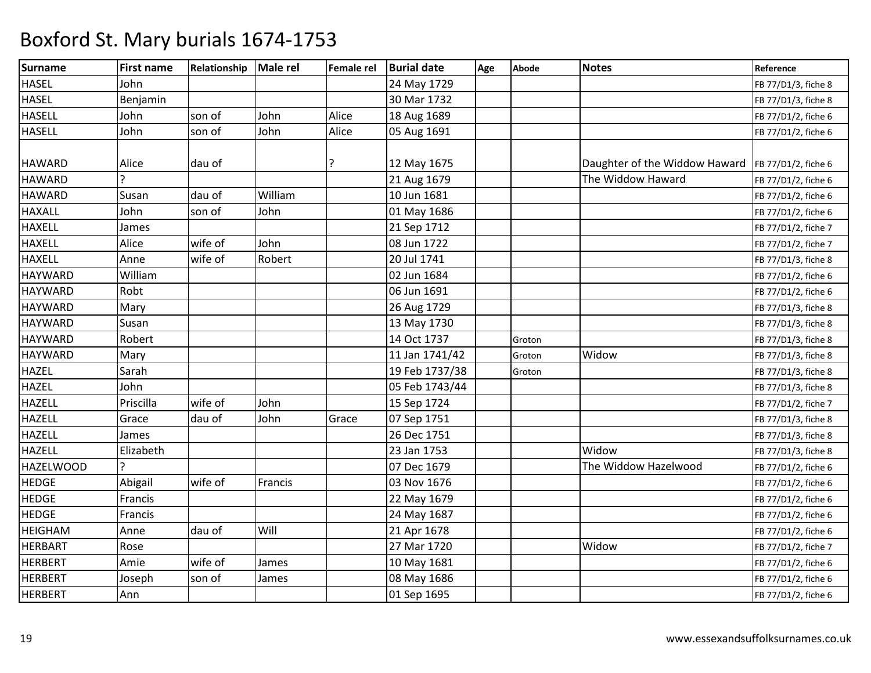| <b>Surname</b>   | <b>First name</b> | Relationship | Male rel | <b>Female rel</b> | <b>Burial date</b> | Age | <b>Abode</b> | <b>Notes</b>                                       | Reference           |
|------------------|-------------------|--------------|----------|-------------------|--------------------|-----|--------------|----------------------------------------------------|---------------------|
| <b>HASEL</b>     | John              |              |          |                   | 24 May 1729        |     |              |                                                    | FB 77/D1/3, fiche 8 |
| <b>HASEL</b>     | Benjamin          |              |          |                   | 30 Mar 1732        |     |              |                                                    | FB 77/D1/3, fiche 8 |
| <b>HASELL</b>    | John              | son of       | John     | Alice             | 18 Aug 1689        |     |              |                                                    | FB 77/D1/2, fiche 6 |
| <b>HASELL</b>    | John              | son of       | John     | Alice             | 05 Aug 1691        |     |              |                                                    | FB 77/D1/2, fiche 6 |
|                  |                   |              |          |                   |                    |     |              |                                                    |                     |
| <b>HAWARD</b>    | Alice             | dau of       |          |                   | 12 May 1675        |     |              | Daughter of the Widdow Haward  FB 77/D1/2, fiche 6 |                     |
| <b>HAWARD</b>    |                   |              |          |                   | 21 Aug 1679        |     |              | The Widdow Haward                                  | FB 77/D1/2, fiche 6 |
| <b>HAWARD</b>    | Susan             | dau of       | William  |                   | 10 Jun 1681        |     |              |                                                    | FB 77/D1/2, fiche 6 |
| <b>HAXALL</b>    | John              | son of       | John     |                   | 01 May 1686        |     |              |                                                    | FB 77/D1/2, fiche 6 |
| <b>HAXELL</b>    | James             |              |          |                   | 21 Sep 1712        |     |              |                                                    | FB 77/D1/2, fiche 7 |
| <b>HAXELL</b>    | Alice             | wife of      | John     |                   | 08 Jun 1722        |     |              |                                                    | FB 77/D1/2, fiche 7 |
| <b>HAXELL</b>    | Anne              | wife of      | Robert   |                   | 20 Jul 1741        |     |              |                                                    | FB 77/D1/3, fiche 8 |
| <b>HAYWARD</b>   | William           |              |          |                   | 02 Jun 1684        |     |              |                                                    | FB 77/D1/2, fiche 6 |
| <b>HAYWARD</b>   | Robt              |              |          |                   | 06 Jun 1691        |     |              |                                                    | FB 77/D1/2, fiche 6 |
| <b>HAYWARD</b>   | Mary              |              |          |                   | 26 Aug 1729        |     |              |                                                    | FB 77/D1/3, fiche 8 |
| <b>HAYWARD</b>   | Susan             |              |          |                   | 13 May 1730        |     |              |                                                    | FB 77/D1/3, fiche 8 |
| <b>HAYWARD</b>   | Robert            |              |          |                   | 14 Oct 1737        |     | Groton       |                                                    | FB 77/D1/3, fiche 8 |
| <b>HAYWARD</b>   | Mary              |              |          |                   | 11 Jan 1741/42     |     | Groton       | Widow                                              | FB 77/D1/3, fiche 8 |
| <b>HAZEL</b>     | Sarah             |              |          |                   | 19 Feb 1737/38     |     | Groton       |                                                    | FB 77/D1/3, fiche 8 |
| <b>HAZEL</b>     | John              |              |          |                   | 05 Feb 1743/44     |     |              |                                                    | FB 77/D1/3, fiche 8 |
| <b>HAZELL</b>    | Priscilla         | wife of      | John     |                   | 15 Sep 1724        |     |              |                                                    | FB 77/D1/2, fiche 7 |
| <b>HAZELL</b>    | Grace             | dau of       | John     | Grace             | 07 Sep 1751        |     |              |                                                    | FB 77/D1/3, fiche 8 |
| <b>HAZELL</b>    | James             |              |          |                   | 26 Dec 1751        |     |              |                                                    | FB 77/D1/3, fiche 8 |
| <b>HAZELL</b>    | Elizabeth         |              |          |                   | 23 Jan 1753        |     |              | Widow                                              | FB 77/D1/3, fiche 8 |
| <b>HAZELWOOD</b> |                   |              |          |                   | 07 Dec 1679        |     |              | The Widdow Hazelwood                               | FB 77/D1/2, fiche 6 |
| <b>HEDGE</b>     | Abigail           | wife of      | Francis  |                   | 03 Nov 1676        |     |              |                                                    | FB 77/D1/2, fiche 6 |
| <b>HEDGE</b>     | Francis           |              |          |                   | 22 May 1679        |     |              |                                                    | FB 77/D1/2, fiche 6 |
| <b>HEDGE</b>     | Francis           |              |          |                   | 24 May 1687        |     |              |                                                    | FB 77/D1/2, fiche 6 |
| <b>HEIGHAM</b>   | Anne              | dau of       | Will     |                   | 21 Apr 1678        |     |              |                                                    | FB 77/D1/2, fiche 6 |
| <b>HERBART</b>   | Rose              |              |          |                   | 27 Mar 1720        |     |              | Widow                                              | FB 77/D1/2, fiche 7 |
| <b>HERBERT</b>   | Amie              | wife of      | James    |                   | 10 May 1681        |     |              |                                                    | FB 77/D1/2, fiche 6 |
| <b>HERBERT</b>   | Joseph            | son of       | James    |                   | 08 May 1686        |     |              |                                                    | FB 77/D1/2, fiche 6 |
| <b>HERBERT</b>   | Ann               |              |          |                   | 01 Sep 1695        |     |              |                                                    | FB 77/D1/2, fiche 6 |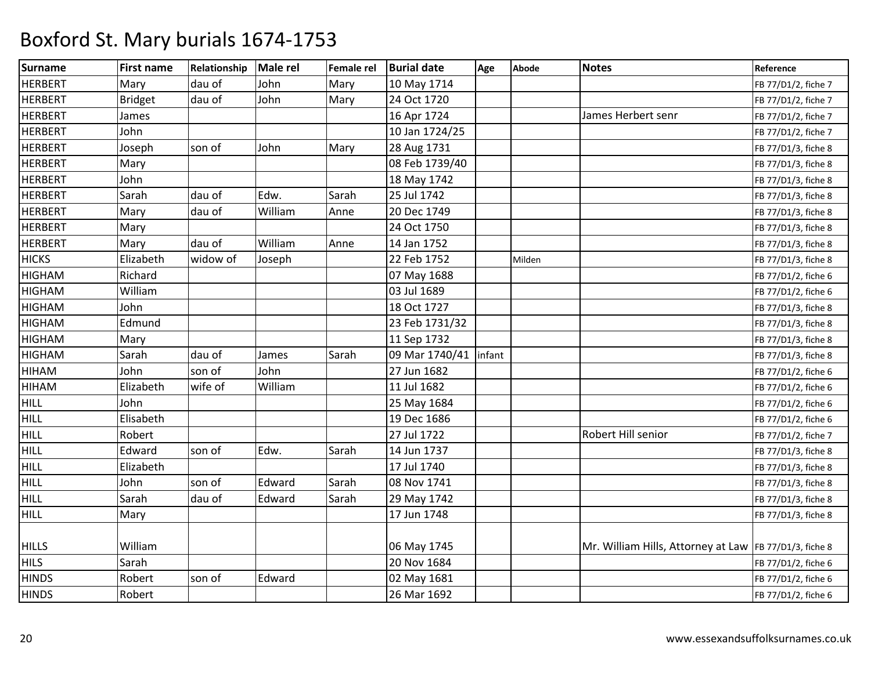| <b>Surname</b> | <b>First name</b> | Relationship | Male rel | <b>Female rel</b> | <b>Burial date</b>      | Age | <b>Abode</b> | <b>Notes</b>                                            | Reference           |
|----------------|-------------------|--------------|----------|-------------------|-------------------------|-----|--------------|---------------------------------------------------------|---------------------|
| <b>HERBERT</b> | Mary              | dau of       | John     | Mary              | 10 May 1714             |     |              |                                                         | FB 77/D1/2, fiche 7 |
| <b>HERBERT</b> | <b>Bridget</b>    | dau of       | John     | Mary              | 24 Oct 1720             |     |              |                                                         | FB 77/D1/2, fiche 7 |
| <b>HERBERT</b> | James             |              |          |                   | 16 Apr 1724             |     |              | James Herbert senr                                      | FB 77/D1/2, fiche 7 |
| <b>HERBERT</b> | John              |              |          |                   | 10 Jan 1724/25          |     |              |                                                         | FB 77/D1/2, fiche 7 |
| <b>HERBERT</b> | Joseph            | son of       | John     | Mary              | 28 Aug 1731             |     |              |                                                         | FB 77/D1/3, fiche 8 |
| <b>HERBERT</b> | Mary              |              |          |                   | 08 Feb 1739/40          |     |              |                                                         | FB 77/D1/3, fiche 8 |
| <b>HERBERT</b> | John              |              |          |                   | 18 May 1742             |     |              |                                                         | FB 77/D1/3, fiche 8 |
| <b>HERBERT</b> | Sarah             | dau of       | Edw.     | Sarah             | 25 Jul 1742             |     |              |                                                         | FB 77/D1/3, fiche 8 |
| <b>HERBERT</b> | Mary              | dau of       | William  | Anne              | 20 Dec 1749             |     |              |                                                         | FB 77/D1/3, fiche 8 |
| <b>HERBERT</b> | Mary              |              |          |                   | 24 Oct 1750             |     |              |                                                         | FB 77/D1/3, fiche 8 |
| <b>HERBERT</b> | Mary              | dau of       | William  | Anne              | 14 Jan 1752             |     |              |                                                         | FB 77/D1/3, fiche 8 |
| <b>HICKS</b>   | Elizabeth         | widow of     | Joseph   |                   | 22 Feb 1752             |     | Milden       |                                                         | FB 77/D1/3, fiche 8 |
| <b>HIGHAM</b>  | Richard           |              |          |                   | 07 May 1688             |     |              |                                                         | FB 77/D1/2, fiche 6 |
| <b>HIGHAM</b>  | William           |              |          |                   | 03 Jul 1689             |     |              |                                                         | FB 77/D1/2, fiche 6 |
| <b>HIGHAM</b>  | John              |              |          |                   | 18 Oct 1727             |     |              |                                                         | FB 77/D1/3, fiche 8 |
| <b>HIGHAM</b>  | Edmund            |              |          |                   | 23 Feb 1731/32          |     |              |                                                         | FB 77/D1/3, fiche 8 |
| <b>HIGHAM</b>  | Mary              |              |          |                   | 11 Sep 1732             |     |              |                                                         | FB 77/D1/3, fiche 8 |
| <b>HIGHAM</b>  | Sarah             | dau of       | James    | Sarah             | 09 Mar 1740/41   infant |     |              |                                                         | FB 77/D1/3, fiche 8 |
| <b>HIHAM</b>   | John              | son of       | John     |                   | 27 Jun 1682             |     |              |                                                         | FB 77/D1/2, fiche 6 |
| HIHAM          | Elizabeth         | wife of      | William  |                   | 11 Jul 1682             |     |              |                                                         | FB 77/D1/2, fiche 6 |
| <b>HILL</b>    | John              |              |          |                   | 25 May 1684             |     |              |                                                         | FB 77/D1/2, fiche 6 |
| <b>HILL</b>    | Elisabeth         |              |          |                   | 19 Dec 1686             |     |              |                                                         | FB 77/D1/2, fiche 6 |
| <b>HILL</b>    | Robert            |              |          |                   | 27 Jul 1722             |     |              | Robert Hill senior                                      | FB 77/D1/2, fiche 7 |
| <b>HILL</b>    | Edward            | son of       | Edw.     | Sarah             | 14 Jun 1737             |     |              |                                                         | FB 77/D1/3, fiche 8 |
| <b>HILL</b>    | Elizabeth         |              |          |                   | 17 Jul 1740             |     |              |                                                         | FB 77/D1/3, fiche 8 |
| <b>HILL</b>    | John              | son of       | Edward   | Sarah             | 08 Nov 1741             |     |              |                                                         | FB 77/D1/3, fiche 8 |
| <b>HILL</b>    | Sarah             | dau of       | Edward   | Sarah             | 29 May 1742             |     |              |                                                         | FB 77/D1/3, fiche 8 |
| <b>HILL</b>    | Mary              |              |          |                   | 17 Jun 1748             |     |              |                                                         | FB 77/D1/3, fiche 8 |
| <b>HILLS</b>   | William           |              |          |                   | 06 May 1745             |     |              | Mr. William Hills, Attorney at Law  FB 77/D1/3, fiche 8 |                     |
| <b>HILS</b>    | Sarah             |              |          |                   | 20 Nov 1684             |     |              |                                                         | FB 77/D1/2, fiche 6 |
| <b>HINDS</b>   | Robert            | son of       | Edward   |                   | 02 May 1681             |     |              |                                                         | FB 77/D1/2, fiche 6 |
| <b>HINDS</b>   | Robert            |              |          |                   | 26 Mar 1692             |     |              |                                                         | FB 77/D1/2, fiche 6 |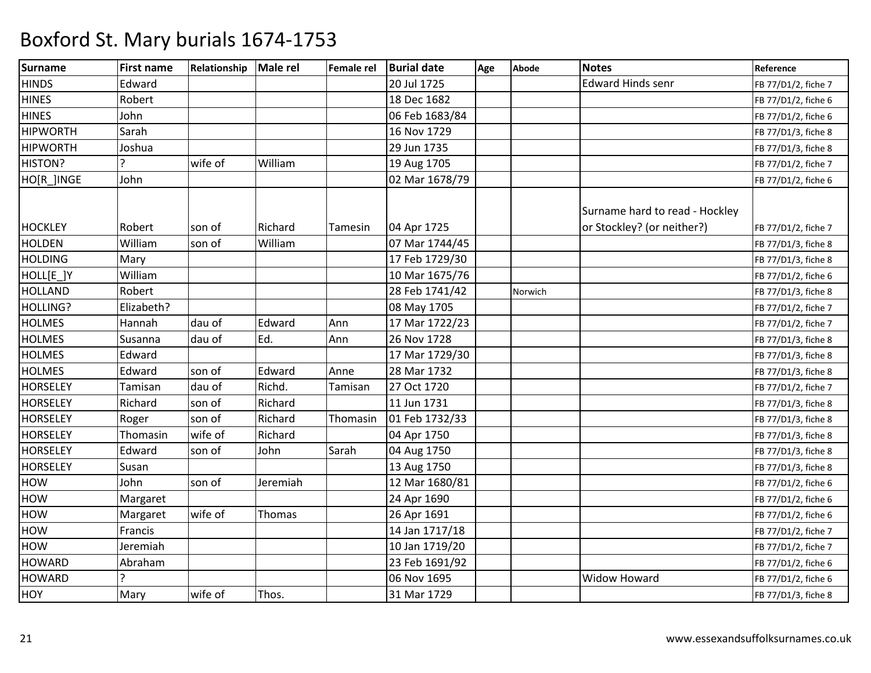| <b>Surname</b>  | <b>First name</b> | Relationship | Male rel | <b>Female rel</b> | <b>Burial date</b> | Age | <b>Abode</b> | <b>Notes</b>                                                 | Reference           |
|-----------------|-------------------|--------------|----------|-------------------|--------------------|-----|--------------|--------------------------------------------------------------|---------------------|
| <b>HINDS</b>    | Edward            |              |          |                   | 20 Jul 1725        |     |              | <b>Edward Hinds senr</b>                                     | FB 77/D1/2, fiche 7 |
| <b>HINES</b>    | Robert            |              |          |                   | 18 Dec 1682        |     |              |                                                              | FB 77/D1/2, fiche 6 |
| <b>HINES</b>    | John              |              |          |                   | 06 Feb 1683/84     |     |              |                                                              | FB 77/D1/2, fiche 6 |
| <b>HIPWORTH</b> | Sarah             |              |          |                   | 16 Nov 1729        |     |              |                                                              | FB 77/D1/3, fiche 8 |
| <b>HIPWORTH</b> | Joshua            |              |          |                   | 29 Jun 1735        |     |              |                                                              | FB 77/D1/3, fiche 8 |
| HISTON?         |                   | wife of      | William  |                   | 19 Aug 1705        |     |              |                                                              | FB 77/D1/2, fiche 7 |
| HO[R ]INGE      | John              |              |          |                   | 02 Mar 1678/79     |     |              |                                                              | FB 77/D1/2, fiche 6 |
| <b>HOCKLEY</b>  | Robert            | son of       | Richard  | Tamesin           | 04 Apr 1725        |     |              | Surname hard to read - Hockley<br>or Stockley? (or neither?) | FB 77/D1/2, fiche 7 |
| <b>HOLDEN</b>   | William           | son of       | William  |                   | 07 Mar 1744/45     |     |              |                                                              | FB 77/D1/3, fiche 8 |
| <b>HOLDING</b>  | Mary              |              |          |                   | 17 Feb 1729/30     |     |              |                                                              | FB 77/D1/3, fiche 8 |
| HOLL[E_]Y       | William           |              |          |                   | 10 Mar 1675/76     |     |              |                                                              | FB 77/D1/2, fiche 6 |
| <b>HOLLAND</b>  | Robert            |              |          |                   | 28 Feb 1741/42     |     | Norwich      |                                                              | FB 77/D1/3, fiche 8 |
| HOLLING?        | Elizabeth?        |              |          |                   | 08 May 1705        |     |              |                                                              | FB 77/D1/2, fiche 7 |
| <b>HOLMES</b>   | Hannah            | dau of       | Edward   | Ann               | 17 Mar 1722/23     |     |              |                                                              | FB 77/D1/2, fiche 7 |
| <b>HOLMES</b>   | Susanna           | dau of       | Ed.      | Ann               | 26 Nov 1728        |     |              |                                                              | FB 77/D1/3, fiche 8 |
| <b>HOLMES</b>   | Edward            |              |          |                   | 17 Mar 1729/30     |     |              |                                                              | FB 77/D1/3, fiche 8 |
| <b>HOLMES</b>   | Edward            | son of       | Edward   | Anne              | 28 Mar 1732        |     |              |                                                              | FB 77/D1/3, fiche 8 |
| <b>HORSELEY</b> | Tamisan           | dau of       | Richd.   | Tamisan           | 27 Oct 1720        |     |              |                                                              | FB 77/D1/2, fiche 7 |
| <b>HORSELEY</b> | Richard           | son of       | Richard  |                   | 11 Jun 1731        |     |              |                                                              | FB 77/D1/3, fiche 8 |
| <b>HORSELEY</b> | Roger             | son of       | Richard  | Thomasin          | 01 Feb 1732/33     |     |              |                                                              | FB 77/D1/3, fiche 8 |
| <b>HORSELEY</b> | Thomasin          | wife of      | Richard  |                   | 04 Apr 1750        |     |              |                                                              | FB 77/D1/3, fiche 8 |
| <b>HORSELEY</b> | Edward            | son of       | John     | Sarah             | 04 Aug 1750        |     |              |                                                              | FB 77/D1/3, fiche 8 |
| <b>HORSELEY</b> | Susan             |              |          |                   | 13 Aug 1750        |     |              |                                                              | FB 77/D1/3, fiche 8 |
| HOW             | John              | son of       | Jeremiah |                   | 12 Mar 1680/81     |     |              |                                                              | FB 77/D1/2, fiche 6 |
| HOW             | Margaret          |              |          |                   | 24 Apr 1690        |     |              |                                                              | FB 77/D1/2, fiche 6 |
| HOW             | Margaret          | wife of      | Thomas   |                   | 26 Apr 1691        |     |              |                                                              | FB 77/D1/2, fiche 6 |
| HOW             | Francis           |              |          |                   | 14 Jan 1717/18     |     |              |                                                              | FB 77/D1/2, fiche 7 |
| HOW             | Jeremiah          |              |          |                   | 10 Jan 1719/20     |     |              |                                                              | FB 77/D1/2, fiche 7 |
| <b>HOWARD</b>   | Abraham           |              |          |                   | 23 Feb 1691/92     |     |              |                                                              | FB 77/D1/2, fiche 6 |
| <b>HOWARD</b>   |                   |              |          |                   | 06 Nov 1695        |     |              | <b>Widow Howard</b>                                          | FB 77/D1/2, fiche 6 |
| HOY             | Mary              | wife of      | Thos.    |                   | 31 Mar 1729        |     |              |                                                              | FB 77/D1/3, fiche 8 |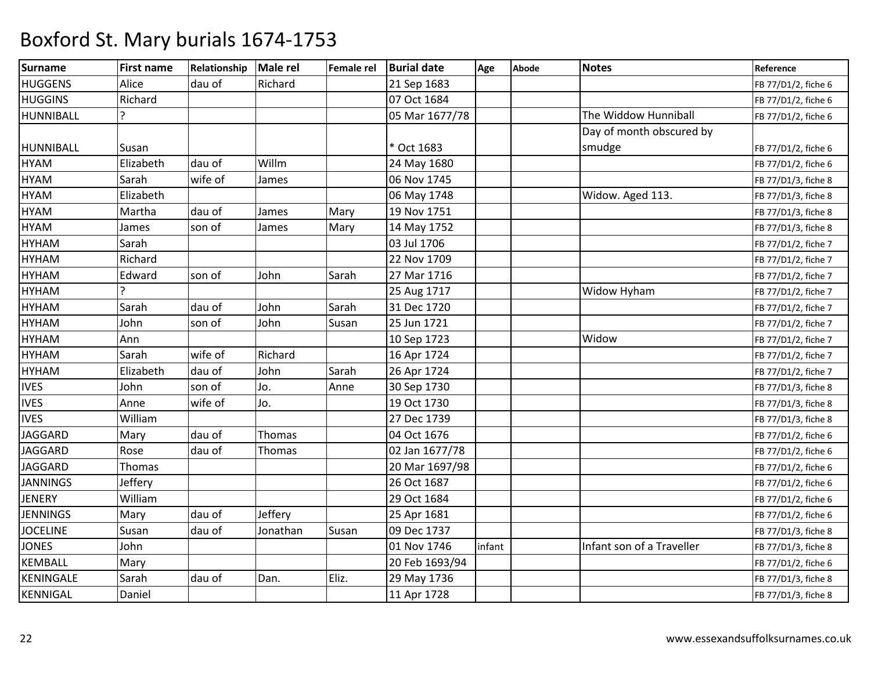| <b>Surname</b>   | <b>First name</b> | Relationship | Male rel | <b>Female rel</b> | <b>Burial date</b> | Age    | <b>Abode</b> | <b>Notes</b>              | Reference           |
|------------------|-------------------|--------------|----------|-------------------|--------------------|--------|--------------|---------------------------|---------------------|
| <b>HUGGENS</b>   | Alice             | dau of       | Richard  |                   | 21 Sep 1683        |        |              |                           | FB 77/D1/2, fiche 6 |
| <b>HUGGINS</b>   | Richard           |              |          |                   | 07 Oct 1684        |        |              |                           | FB 77/D1/2, fiche 6 |
| HUNNIBALL        | <sub>5</sub>      |              |          |                   | 05 Mar 1677/78     |        |              | The Widdow Hunniball      | FB 77/D1/2, fiche 6 |
|                  |                   |              |          |                   |                    |        |              | Day of month obscured by  |                     |
| <b>HUNNIBALL</b> | Susan             |              |          |                   | * Oct 1683         |        |              | smudge                    | FB 77/D1/2, fiche 6 |
| <b>HYAM</b>      | Elizabeth         | dau of       | Willm    |                   | 24 May 1680        |        |              |                           | FB 77/D1/2, fiche 6 |
| <b>HYAM</b>      | Sarah             | wife of      | James    |                   | 06 Nov 1745        |        |              |                           | FB 77/D1/3, fiche 8 |
| <b>HYAM</b>      | Elizabeth         |              |          |                   | 06 May 1748        |        |              | Widow. Aged 113.          | FB 77/D1/3, fiche 8 |
| <b>HYAM</b>      | Martha            | dau of       | James    | Mary              | 19 Nov 1751        |        |              |                           | FB 77/D1/3, fiche 8 |
| <b>HYAM</b>      | James             | son of       | James    | Mary              | 14 May 1752        |        |              |                           | FB 77/D1/3, fiche 8 |
| <b>HYHAM</b>     | Sarah             |              |          |                   | 03 Jul 1706        |        |              |                           | FB 77/D1/2, fiche 7 |
| <b>HYHAM</b>     | Richard           |              |          |                   | 22 Nov 1709        |        |              |                           | FB 77/D1/2, fiche 7 |
| <b>HYHAM</b>     | Edward            | son of       | John     | Sarah             | 27 Mar 1716        |        |              |                           | FB 77/D1/2, fiche 7 |
| <b>HYHAM</b>     |                   |              |          |                   | 25 Aug 1717        |        |              | Widow Hyham               | FB 77/D1/2, fiche 7 |
| <b>HYHAM</b>     | Sarah             | dau of       | John     | Sarah             | 31 Dec 1720        |        |              |                           | FB 77/D1/2, fiche 7 |
| <b>HYHAM</b>     | John              | son of       | John     | Susan             | 25 Jun 1721        |        |              |                           | FB 77/D1/2, fiche 7 |
| <b>HYHAM</b>     | Ann               |              |          |                   | 10 Sep 1723        |        |              | Widow                     | FB 77/D1/2, fiche 7 |
| <b>HYHAM</b>     | Sarah             | wife of      | Richard  |                   | 16 Apr 1724        |        |              |                           | FB 77/D1/2, fiche 7 |
| <b>HYHAM</b>     | Elizabeth         | dau of       | John     | Sarah             | 26 Apr 1724        |        |              |                           | FB 77/D1/2, fiche 7 |
| <b>IVES</b>      | John              | son of       | Jo.      | Anne              | 30 Sep 1730        |        |              |                           | FB 77/D1/3, fiche 8 |
| <b>IVES</b>      | Anne              | wife of      | Jo.      |                   | 19 Oct 1730        |        |              |                           | FB 77/D1/3, fiche 8 |
| <b>IVES</b>      | William           |              |          |                   | 27 Dec 1739        |        |              |                           | FB 77/D1/3, fiche 8 |
| <b>JAGGARD</b>   | Mary              | dau of       | Thomas   |                   | 04 Oct 1676        |        |              |                           | FB 77/D1/2, fiche 6 |
| <b>JAGGARD</b>   | Rose              | dau of       | Thomas   |                   | 02 Jan 1677/78     |        |              |                           | FB 77/D1/2, fiche 6 |
| <b>JAGGARD</b>   | Thomas            |              |          |                   | 20 Mar 1697/98     |        |              |                           | FB 77/D1/2, fiche 6 |
| <b>JANNINGS</b>  | Jeffery           |              |          |                   | 26 Oct 1687        |        |              |                           | FB 77/D1/2, fiche 6 |
| <b>JENERY</b>    | William           |              |          |                   | 29 Oct 1684        |        |              |                           | FB 77/D1/2, fiche 6 |
| <b>JENNINGS</b>  | Mary              | dau of       | Jeffery  |                   | 25 Apr 1681        |        |              |                           | FB 77/D1/2, fiche 6 |
| <b>JOCELINE</b>  | Susan             | dau of       | Jonathan | Susan             | 09 Dec 1737        |        |              |                           | FB 77/D1/3, fiche 8 |
| <b>JONES</b>     | John              |              |          |                   | 01 Nov 1746        | infant |              | Infant son of a Traveller | FB 77/D1/3, fiche 8 |
| <b>KEMBALL</b>   | Mary              |              |          |                   | 20 Feb 1693/94     |        |              |                           | FB 77/D1/2, fiche 6 |
| KENINGALE        | Sarah             | dau of       | Dan.     | Eliz.             | 29 May 1736        |        |              |                           | FB 77/D1/3, fiche 8 |
| <b>KENNIGAL</b>  | Daniel            |              |          |                   | 11 Apr 1728        |        |              |                           | FB 77/D1/3, fiche 8 |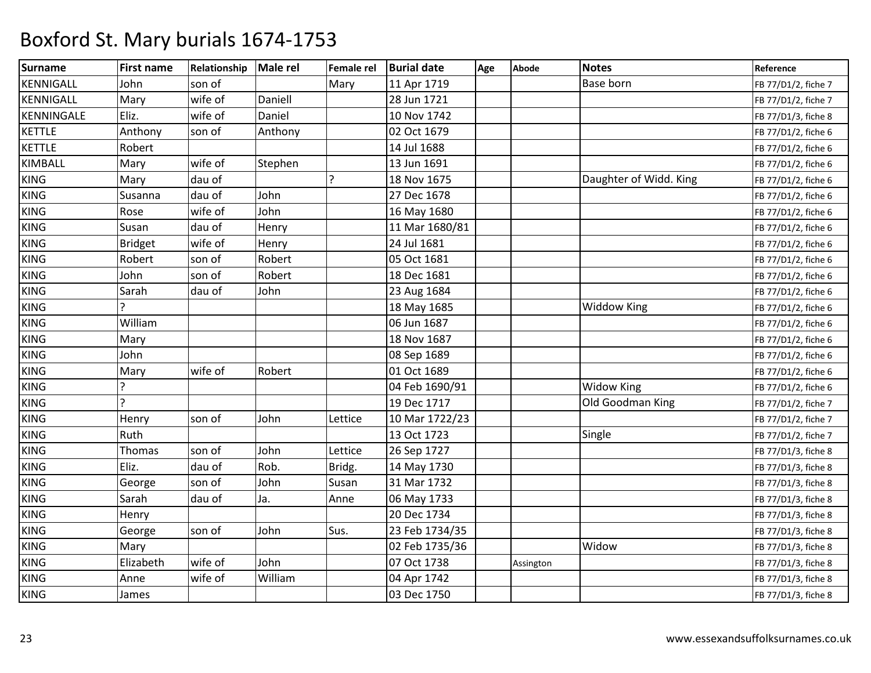| <b>Surname</b> | <b>First name</b> | Relationship | Male rel | <b>Female rel</b> | <b>Burial date</b> | Age | <b>Abode</b> | <b>Notes</b>           | Reference           |
|----------------|-------------------|--------------|----------|-------------------|--------------------|-----|--------------|------------------------|---------------------|
| KENNIGALL      | John              | son of       |          | Mary              | 11 Apr 1719        |     |              | Base born              | FB 77/D1/2, fiche 7 |
| KENNIGALL      | Mary              | wife of      | Daniell  |                   | 28 Jun 1721        |     |              |                        | FB 77/D1/2, fiche 7 |
| KENNINGALE     | Eliz.             | wife of      | Daniel   |                   | 10 Nov 1742        |     |              |                        | FB 77/D1/3, fiche 8 |
| <b>KETTLE</b>  | Anthony           | son of       | Anthony  |                   | 02 Oct 1679        |     |              |                        | FB 77/D1/2, fiche 6 |
| <b>KETTLE</b>  | Robert            |              |          |                   | 14 Jul 1688        |     |              |                        | FB 77/D1/2, fiche 6 |
| <b>KIMBALL</b> | Mary              | wife of      | Stephen  |                   | 13 Jun 1691        |     |              |                        | FB 77/D1/2, fiche 6 |
| <b>KING</b>    | Mary              | dau of       |          | ?                 | 18 Nov 1675        |     |              | Daughter of Widd. King | FB 77/D1/2, fiche 6 |
| <b>KING</b>    | Susanna           | dau of       | John     |                   | 27 Dec 1678        |     |              |                        | FB 77/D1/2, fiche 6 |
| <b>KING</b>    | Rose              | wife of      | John     |                   | 16 May 1680        |     |              |                        | FB 77/D1/2, fiche 6 |
| <b>KING</b>    | Susan             | dau of       | Henry    |                   | 11 Mar 1680/81     |     |              |                        | FB 77/D1/2, fiche 6 |
| KING           | <b>Bridget</b>    | wife of      | Henry    |                   | 24 Jul 1681        |     |              |                        | FB 77/D1/2, fiche 6 |
| <b>KING</b>    | Robert            | son of       | Robert   |                   | 05 Oct 1681        |     |              |                        | FB 77/D1/2, fiche 6 |
| <b>KING</b>    | John              | son of       | Robert   |                   | 18 Dec 1681        |     |              |                        | FB 77/D1/2, fiche 6 |
| <b>KING</b>    | Sarah             | dau of       | John     |                   | 23 Aug 1684        |     |              |                        | FB 77/D1/2, fiche 6 |
| <b>KING</b>    |                   |              |          |                   | 18 May 1685        |     |              | <b>Widdow King</b>     | FB 77/D1/2, fiche 6 |
| <b>KING</b>    | William           |              |          |                   | 06 Jun 1687        |     |              |                        | FB 77/D1/2, fiche 6 |
| <b>KING</b>    | Mary              |              |          |                   | 18 Nov 1687        |     |              |                        | FB 77/D1/2, fiche 6 |
| <b>KING</b>    | John              |              |          |                   | 08 Sep 1689        |     |              |                        | FB 77/D1/2, fiche 6 |
| <b>KING</b>    | Mary              | wife of      | Robert   |                   | 01 Oct 1689        |     |              |                        | FB 77/D1/2, fiche 6 |
| <b>KING</b>    |                   |              |          |                   | 04 Feb 1690/91     |     |              | <b>Widow King</b>      | FB 77/D1/2, fiche 6 |
| <b>KING</b>    | ς                 |              |          |                   | 19 Dec 1717        |     |              | Old Goodman King       | FB 77/D1/2, fiche 7 |
| <b>KING</b>    | Henry             | son of       | John     | Lettice           | 10 Mar 1722/23     |     |              |                        | FB 77/D1/2, fiche 7 |
| <b>KING</b>    | Ruth              |              |          |                   | 13 Oct 1723        |     |              | Single                 | FB 77/D1/2, fiche 7 |
| <b>KING</b>    | Thomas            | son of       | John     | Lettice           | 26 Sep 1727        |     |              |                        | FB 77/D1/3, fiche 8 |
| <b>KING</b>    | Eliz.             | dau of       | Rob.     | Bridg.            | 14 May 1730        |     |              |                        | FB 77/D1/3, fiche 8 |
| <b>KING</b>    | George            | son of       | John     | Susan             | 31 Mar 1732        |     |              |                        | FB 77/D1/3, fiche 8 |
| <b>KING</b>    | Sarah             | dau of       | Ja.      | Anne              | 06 May 1733        |     |              |                        | FB 77/D1/3, fiche 8 |
| <b>KING</b>    | Henry             |              |          |                   | 20 Dec 1734        |     |              |                        | FB 77/D1/3, fiche 8 |
| <b>KING</b>    | George            | son of       | John     | Sus.              | 23 Feb 1734/35     |     |              |                        | FB 77/D1/3, fiche 8 |
| <b>KING</b>    | Mary              |              |          |                   | 02 Feb 1735/36     |     |              | Widow                  | FB 77/D1/3, fiche 8 |
| <b>KING</b>    | Elizabeth         | wife of      | John     |                   | 07 Oct 1738        |     | Assington    |                        | FB 77/D1/3, fiche 8 |
| <b>KING</b>    | Anne              | wife of      | William  |                   | 04 Apr 1742        |     |              |                        | FB 77/D1/3, fiche 8 |
| <b>KING</b>    | James             |              |          |                   | 03 Dec 1750        |     |              |                        | FB 77/D1/3, fiche 8 |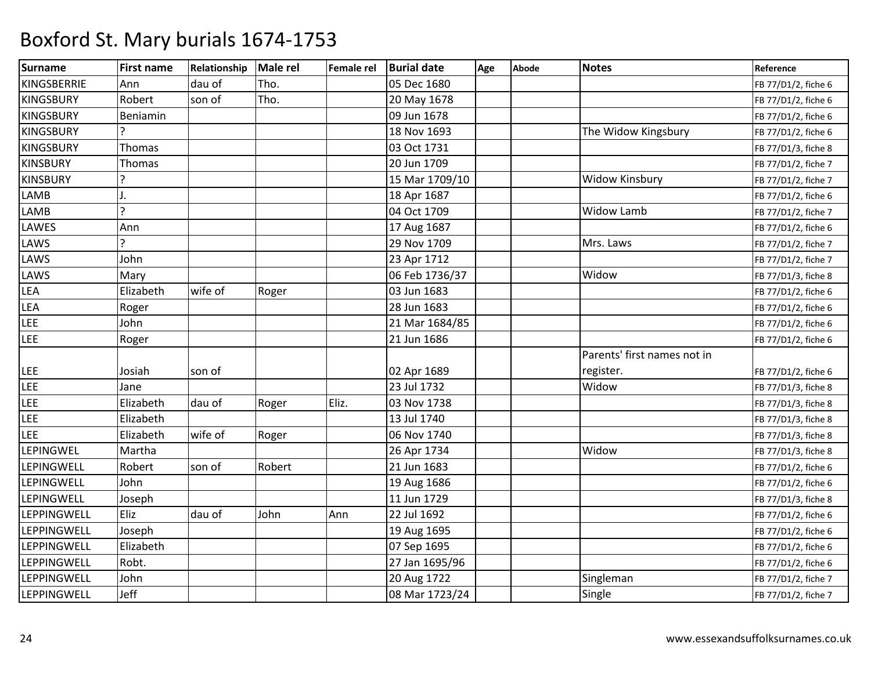| Surname            | <b>First name</b> | Relationship | Male rel | <b>Female rel</b> | <b>Burial date</b> | Age | <b>Abode</b> | <b>Notes</b>                | Reference           |
|--------------------|-------------------|--------------|----------|-------------------|--------------------|-----|--------------|-----------------------------|---------------------|
| <b>KINGSBERRIE</b> | Ann               | dau of       | Tho.     |                   | 05 Dec 1680        |     |              |                             | FB 77/D1/2, fiche 6 |
| <b>KINGSBURY</b>   | Robert            | son of       | Tho.     |                   | 20 May 1678        |     |              |                             | FB 77/D1/2, fiche 6 |
| <b>KINGSBURY</b>   | Beniamin          |              |          |                   | 09 Jun 1678        |     |              |                             | FB 77/D1/2, fiche 6 |
| <b>KINGSBURY</b>   |                   |              |          |                   | 18 Nov 1693        |     |              | The Widow Kingsbury         | FB 77/D1/2, fiche 6 |
| <b>KINGSBURY</b>   | Thomas            |              |          |                   | 03 Oct 1731        |     |              |                             | FB 77/D1/3, fiche 8 |
| <b>KINSBURY</b>    | Thomas            |              |          |                   | 20 Jun 1709        |     |              |                             | FB 77/D1/2, fiche 7 |
| <b>KINSBURY</b>    |                   |              |          |                   | 15 Mar 1709/10     |     |              | <b>Widow Kinsbury</b>       | FB 77/D1/2, fiche 7 |
| <b>LAMB</b>        |                   |              |          |                   | 18 Apr 1687        |     |              |                             | FB 77/D1/2, fiche 6 |
| LAMB               | C                 |              |          |                   | 04 Oct 1709        |     |              | <b>Widow Lamb</b>           | FB 77/D1/2, fiche 7 |
| LAWES              | Ann               |              |          |                   | 17 Aug 1687        |     |              |                             | FB 77/D1/2, fiche 6 |
| LAWS               |                   |              |          |                   | 29 Nov 1709        |     |              | Mrs. Laws                   | FB 77/D1/2, fiche 7 |
| LAWS               | John              |              |          |                   | 23 Apr 1712        |     |              |                             | FB 77/D1/2, fiche 7 |
| LAWS               | Mary              |              |          |                   | 06 Feb 1736/37     |     |              | Widow                       | FB 77/D1/3, fiche 8 |
| <b>LEA</b>         | Elizabeth         | wife of      | Roger    |                   | 03 Jun 1683        |     |              |                             | FB 77/D1/2, fiche 6 |
| <b>LEA</b>         | Roger             |              |          |                   | 28 Jun 1683        |     |              |                             | FB 77/D1/2, fiche 6 |
| LEE                | John              |              |          |                   | 21 Mar 1684/85     |     |              |                             | FB 77/D1/2, fiche 6 |
| <b>LEE</b>         | Roger             |              |          |                   | 21 Jun 1686        |     |              |                             | FB 77/D1/2, fiche 6 |
|                    |                   |              |          |                   |                    |     |              | Parents' first names not in |                     |
| LEE                | Josiah            | son of       |          |                   | 02 Apr 1689        |     |              | register.                   | FB 77/D1/2, fiche 6 |
| LEE                | Jane              |              |          |                   | 23 Jul 1732        |     |              | Widow                       | FB 77/D1/3, fiche 8 |
| LEE                | Elizabeth         | dau of       | Roger    | Eliz.             | 03 Nov 1738        |     |              |                             | FB 77/D1/3, fiche 8 |
| LEE                | Elizabeth         |              |          |                   | 13 Jul 1740        |     |              |                             | FB 77/D1/3, fiche 8 |
| LEE                | Elizabeth         | wife of      | Roger    |                   | 06 Nov 1740        |     |              |                             | FB 77/D1/3, fiche 8 |
| <b>LEPINGWEL</b>   | Martha            |              |          |                   | 26 Apr 1734        |     |              | Widow                       | FB 77/D1/3, fiche 8 |
| <b>LEPINGWELL</b>  | Robert            | son of       | Robert   |                   | 21 Jun 1683        |     |              |                             | FB 77/D1/2, fiche 6 |
| <b>LEPINGWELL</b>  | John              |              |          |                   | 19 Aug 1686        |     |              |                             | FB 77/D1/2, fiche 6 |
| <b>LEPINGWELL</b>  | Joseph            |              |          |                   | 11 Jun 1729        |     |              |                             | FB 77/D1/3, fiche 8 |
| <b>LEPPINGWELL</b> | Eliz              | dau of       | John     | Ann               | 22 Jul 1692        |     |              |                             | FB 77/D1/2, fiche 6 |
| <b>LEPPINGWELL</b> | Joseph            |              |          |                   | 19 Aug 1695        |     |              |                             | FB 77/D1/2, fiche 6 |
| <b>LEPPINGWELL</b> | Elizabeth         |              |          |                   | 07 Sep 1695        |     |              |                             | FB 77/D1/2, fiche 6 |
| <b>LEPPINGWELL</b> | Robt.             |              |          |                   | 27 Jan 1695/96     |     |              |                             | FB 77/D1/2, fiche 6 |
| <b>LEPPINGWELL</b> | John              |              |          |                   | 20 Aug 1722        |     |              | Singleman                   | FB 77/D1/2, fiche 7 |
| <b>LEPPINGWELL</b> | Jeff              |              |          |                   | 08 Mar 1723/24     |     |              | Single                      | FB 77/D1/2, fiche 7 |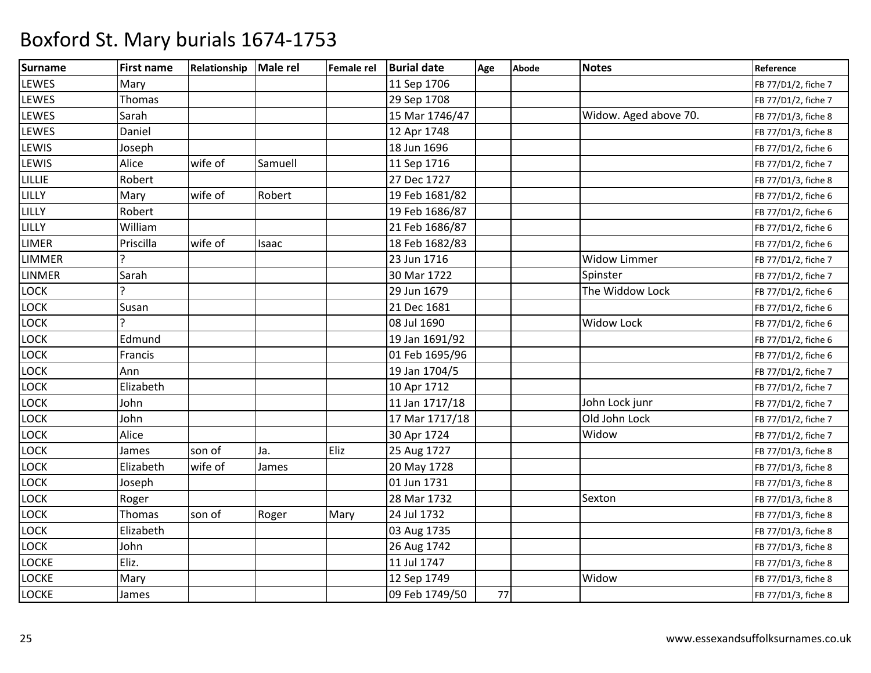| <b>Surname</b> | <b>First name</b> | Relationship | Male rel | <b>Female rel</b> | <b>Burial date</b> | Age | <b>Abode</b> | <b>Notes</b>          | Reference           |
|----------------|-------------------|--------------|----------|-------------------|--------------------|-----|--------------|-----------------------|---------------------|
| LEWES          | Mary              |              |          |                   | 11 Sep 1706        |     |              |                       | FB 77/D1/2, fiche 7 |
| LEWES          | Thomas            |              |          |                   | 29 Sep 1708        |     |              |                       | FB 77/D1/2, fiche 7 |
| LEWES          | Sarah             |              |          |                   | 15 Mar 1746/47     |     |              | Widow. Aged above 70. | FB 77/D1/3, fiche 8 |
| LEWES          | Daniel            |              |          |                   | 12 Apr 1748        |     |              |                       | FB 77/D1/3, fiche 8 |
| LEWIS          | Joseph            |              |          |                   | 18 Jun 1696        |     |              |                       | FB 77/D1/2, fiche 6 |
| LEWIS          | Alice             | wife of      | Samuell  |                   | 11 Sep 1716        |     |              |                       | FB 77/D1/2, fiche 7 |
| <b>LILLIE</b>  | Robert            |              |          |                   | 27 Dec 1727        |     |              |                       | FB 77/D1/3, fiche 8 |
| LILLY          | Mary              | wife of      | Robert   |                   | 19 Feb 1681/82     |     |              |                       | FB 77/D1/2, fiche 6 |
| LILLY          | Robert            |              |          |                   | 19 Feb 1686/87     |     |              |                       | FB 77/D1/2, fiche 6 |
| LILLY          | William           |              |          |                   | 21 Feb 1686/87     |     |              |                       | FB 77/D1/2, fiche 6 |
| LIMER          | Priscilla         | wife of      | Isaac    |                   | 18 Feb 1682/83     |     |              |                       | FB 77/D1/2, fiche 6 |
| <b>LIMMER</b>  |                   |              |          |                   | 23 Jun 1716        |     |              | <b>Widow Limmer</b>   | FB 77/D1/2, fiche 7 |
| LINMER         | Sarah             |              |          |                   | 30 Mar 1722        |     |              | Spinster              | FB 77/D1/2, fiche 7 |
| LOCK           |                   |              |          |                   | 29 Jun 1679        |     |              | The Widdow Lock       | FB 77/D1/2, fiche 6 |
| LOCK           | Susan             |              |          |                   | 21 Dec 1681        |     |              |                       | FB 77/D1/2, fiche 6 |
| LOCK           |                   |              |          |                   | 08 Jul 1690        |     |              | <b>Widow Lock</b>     | FB 77/D1/2, fiche 6 |
| LOCK           | Edmund            |              |          |                   | 19 Jan 1691/92     |     |              |                       | FB 77/D1/2, fiche 6 |
| LOCK           | Francis           |              |          |                   | 01 Feb 1695/96     |     |              |                       | FB 77/D1/2, fiche 6 |
| LOCK           | Ann               |              |          |                   | 19 Jan 1704/5      |     |              |                       | FB 77/D1/2, fiche 7 |
| LOCK           | Elizabeth         |              |          |                   | 10 Apr 1712        |     |              |                       | FB 77/D1/2, fiche 7 |
| LOCK           | John              |              |          |                   | 11 Jan 1717/18     |     |              | John Lock junr        | FB 77/D1/2, fiche 7 |
| LOCK           | John              |              |          |                   | 17 Mar 1717/18     |     |              | Old John Lock         | FB 77/D1/2, fiche 7 |
| LOCK           | Alice             |              |          |                   | 30 Apr 1724        |     |              | Widow                 | FB 77/D1/2, fiche 7 |
| LOCK           | James             | son of       | Ja.      | Eliz              | 25 Aug 1727        |     |              |                       | FB 77/D1/3, fiche 8 |
| LOCK           | Elizabeth         | wife of      | James    |                   | 20 May 1728        |     |              |                       | FB 77/D1/3, fiche 8 |
| LOCK           | Joseph            |              |          |                   | 01 Jun 1731        |     |              |                       | FB 77/D1/3, fiche 8 |
| LOCK           | Roger             |              |          |                   | 28 Mar 1732        |     |              | Sexton                | FB 77/D1/3, fiche 8 |
| LOCK           | Thomas            | son of       | Roger    | Mary              | 24 Jul 1732        |     |              |                       | FB 77/D1/3, fiche 8 |
| LOCK           | Elizabeth         |              |          |                   | 03 Aug 1735        |     |              |                       | FB 77/D1/3, fiche 8 |
| LOCK           | John              |              |          |                   | 26 Aug 1742        |     |              |                       | FB 77/D1/3, fiche 8 |
| LOCKE          | Eliz.             |              |          |                   | 11 Jul 1747        |     |              |                       | FB 77/D1/3, fiche 8 |
| <b>LOCKE</b>   | Mary              |              |          |                   | 12 Sep 1749        |     |              | Widow                 | FB 77/D1/3, fiche 8 |
| <b>LOCKE</b>   | James             |              |          |                   | 09 Feb 1749/50     | 77  |              |                       | FB 77/D1/3, fiche 8 |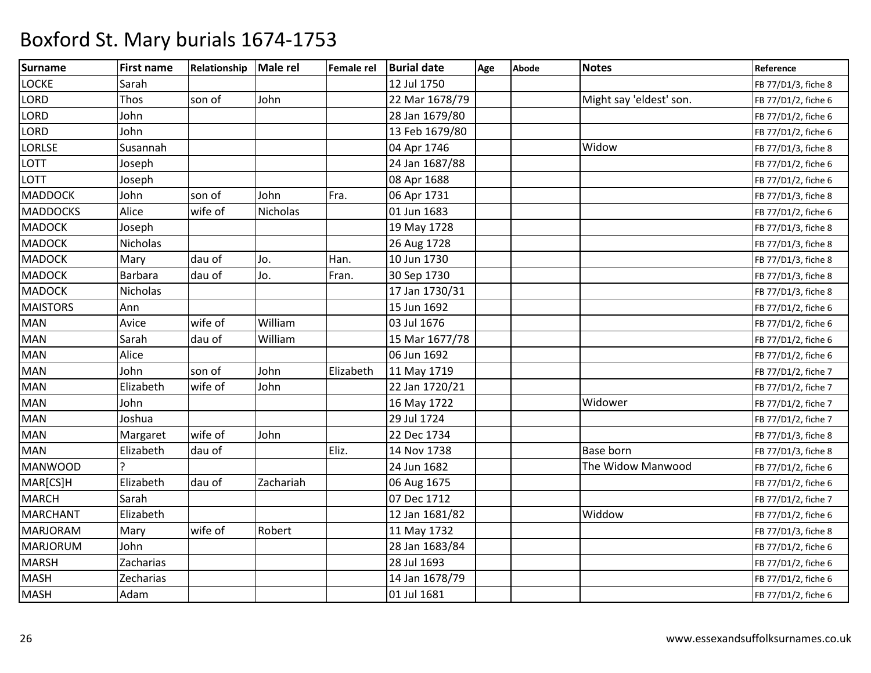| <b>Surname</b>  | <b>First name</b> | Relationship | Male rel  | Female rel | <b>Burial date</b> | Age | <b>Abode</b> | <b>Notes</b>            | Reference           |
|-----------------|-------------------|--------------|-----------|------------|--------------------|-----|--------------|-------------------------|---------------------|
| LOCKE           | Sarah             |              |           |            | 12 Jul 1750        |     |              |                         | FB 77/D1/3, fiche 8 |
| LORD            | Thos              | son of       | John      |            | 22 Mar 1678/79     |     |              | Might say 'eldest' son. | FB 77/D1/2, fiche 6 |
| LORD            | John              |              |           |            | 28 Jan 1679/80     |     |              |                         | FB 77/D1/2, fiche 6 |
| LORD            | John              |              |           |            | 13 Feb 1679/80     |     |              |                         | FB 77/D1/2, fiche 6 |
| <b>LORLSE</b>   | Susannah          |              |           |            | 04 Apr 1746        |     |              | Widow                   | FB 77/D1/3, fiche 8 |
| LOTT            | Joseph            |              |           |            | 24 Jan 1687/88     |     |              |                         | FB 77/D1/2, fiche 6 |
| LOTT            | Joseph            |              |           |            | 08 Apr 1688        |     |              |                         | FB 77/D1/2, fiche 6 |
| <b>MADDOCK</b>  | John              | son of       | John      | Fra.       | 06 Apr 1731        |     |              |                         | FB 77/D1/3, fiche 8 |
| <b>MADDOCKS</b> | Alice             | wife of      | Nicholas  |            | 01 Jun 1683        |     |              |                         | FB 77/D1/2, fiche 6 |
| <b>MADOCK</b>   | Joseph            |              |           |            | 19 May 1728        |     |              |                         | FB 77/D1/3, fiche 8 |
| <b>MADOCK</b>   | <b>Nicholas</b>   |              |           |            | 26 Aug 1728        |     |              |                         | FB 77/D1/3, fiche 8 |
| <b>MADOCK</b>   | Mary              | dau of       | Jo.       | Han.       | 10 Jun 1730        |     |              |                         | FB 77/D1/3, fiche 8 |
| <b>MADOCK</b>   | <b>Barbara</b>    | dau of       | Jo.       | Fran.      | 30 Sep 1730        |     |              |                         | FB 77/D1/3, fiche 8 |
| <b>MADOCK</b>   | <b>Nicholas</b>   |              |           |            | 17 Jan 1730/31     |     |              |                         | FB 77/D1/3, fiche 8 |
| <b>MAISTORS</b> | Ann               |              |           |            | 15 Jun 1692        |     |              |                         | FB 77/D1/2, fiche 6 |
| MAN             | Avice             | wife of      | William   |            | 03 Jul 1676        |     |              |                         | FB 77/D1/2, fiche 6 |
| <b>MAN</b>      | Sarah             | dau of       | William   |            | 15 Mar 1677/78     |     |              |                         | FB 77/D1/2, fiche 6 |
| MAN             | Alice             |              |           |            | 06 Jun 1692        |     |              |                         | FB 77/D1/2, fiche 6 |
| MAN             | John              | son of       | John      | Elizabeth  | 11 May 1719        |     |              |                         | FB 77/D1/2, fiche 7 |
| <b>MAN</b>      | Elizabeth         | wife of      | John      |            | 22 Jan 1720/21     |     |              |                         | FB 77/D1/2, fiche 7 |
| <b>MAN</b>      | John              |              |           |            | 16 May 1722        |     |              | Widower                 | FB 77/D1/2, fiche 7 |
| <b>MAN</b>      | Joshua            |              |           |            | 29 Jul 1724        |     |              |                         | FB 77/D1/2, fiche 7 |
| <b>MAN</b>      | Margaret          | wife of      | John      |            | 22 Dec 1734        |     |              |                         | FB 77/D1/3, fiche 8 |
| <b>MAN</b>      | Elizabeth         | dau of       |           | Eliz.      | 14 Nov 1738        |     |              | <b>Base born</b>        | FB 77/D1/3, fiche 8 |
| <b>MANWOOD</b>  |                   |              |           |            | 24 Jun 1682        |     |              | The Widow Manwood       | FB 77/D1/2, fiche 6 |
| MAR[CS]H        | Elizabeth         | dau of       | Zachariah |            | 06 Aug 1675        |     |              |                         | FB 77/D1/2, fiche 6 |
| <b>MARCH</b>    | Sarah             |              |           |            | 07 Dec 1712        |     |              |                         | FB 77/D1/2, fiche 7 |
| <b>MARCHANT</b> | Elizabeth         |              |           |            | 12 Jan 1681/82     |     |              | Widdow                  | FB 77/D1/2, fiche 6 |
| <b>MARJORAM</b> | Mary              | wife of      | Robert    |            | 11 May 1732        |     |              |                         | FB 77/D1/3, fiche 8 |
| <b>MARJORUM</b> | John              |              |           |            | 28 Jan 1683/84     |     |              |                         | FB 77/D1/2, fiche 6 |
| <b>MARSH</b>    | Zacharias         |              |           |            | 28 Jul 1693        |     |              |                         | FB 77/D1/2, fiche 6 |
| <b>MASH</b>     | Zecharias         |              |           |            | 14 Jan 1678/79     |     |              |                         | FB 77/D1/2, fiche 6 |
| <b>MASH</b>     | Adam              |              |           |            | 01 Jul 1681        |     |              |                         | FB 77/D1/2, fiche 6 |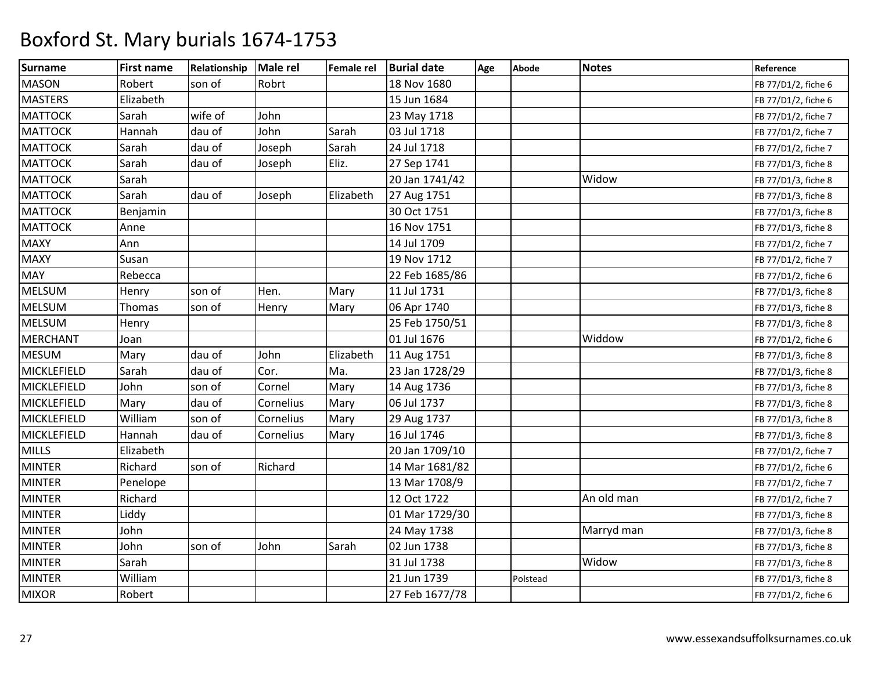| <b>Surname</b>     | <b>First name</b> | Relationship | Male rel  | <b>Female rel</b> | <b>Burial date</b> | Age | <b>Abode</b> | <b>Notes</b> | Reference           |
|--------------------|-------------------|--------------|-----------|-------------------|--------------------|-----|--------------|--------------|---------------------|
| <b>MASON</b>       | Robert            | son of       | Robrt     |                   | 18 Nov 1680        |     |              |              | FB 77/D1/2, fiche 6 |
| <b>MASTERS</b>     | Elizabeth         |              |           |                   | 15 Jun 1684        |     |              |              | FB 77/D1/2, fiche 6 |
| <b>MATTOCK</b>     | Sarah             | wife of      | John      |                   | 23 May 1718        |     |              |              | FB 77/D1/2, fiche 7 |
| <b>MATTOCK</b>     | Hannah            | dau of       | John      | Sarah             | 03 Jul 1718        |     |              |              | FB 77/D1/2, fiche 7 |
| <b>MATTOCK</b>     | Sarah             | dau of       | Joseph    | Sarah             | 24 Jul 1718        |     |              |              | FB 77/D1/2, fiche 7 |
| <b>MATTOCK</b>     | Sarah             | dau of       | Joseph    | Eliz.             | 27 Sep 1741        |     |              |              | FB 77/D1/3, fiche 8 |
| <b>MATTOCK</b>     | Sarah             |              |           |                   | 20 Jan 1741/42     |     |              | Widow        | FB 77/D1/3, fiche 8 |
| <b>MATTOCK</b>     | Sarah             | dau of       | Joseph    | Elizabeth         | 27 Aug 1751        |     |              |              | FB 77/D1/3, fiche 8 |
| <b>MATTOCK</b>     | Benjamin          |              |           |                   | 30 Oct 1751        |     |              |              | FB 77/D1/3, fiche 8 |
| <b>MATTOCK</b>     | Anne              |              |           |                   | 16 Nov 1751        |     |              |              | FB 77/D1/3, fiche 8 |
| <b>MAXY</b>        | Ann               |              |           |                   | 14 Jul 1709        |     |              |              | FB 77/D1/2, fiche 7 |
| <b>MAXY</b>        | Susan             |              |           |                   | 19 Nov 1712        |     |              |              | FB 77/D1/2, fiche 7 |
| <b>MAY</b>         | Rebecca           |              |           |                   | 22 Feb 1685/86     |     |              |              | FB 77/D1/2, fiche 6 |
| <b>MELSUM</b>      | Henry             | son of       | Hen.      | Mary              | 11 Jul 1731        |     |              |              | FB 77/D1/3, fiche 8 |
| <b>MELSUM</b>      | Thomas            | son of       | Henry     | Mary              | 06 Apr 1740        |     |              |              | FB 77/D1/3, fiche 8 |
| MELSUM             | Henry             |              |           |                   | 25 Feb 1750/51     |     |              |              | FB 77/D1/3, fiche 8 |
| <b>MERCHANT</b>    | Joan              |              |           |                   | 01 Jul 1676        |     |              | Widdow       | FB 77/D1/2, fiche 6 |
| <b>MESUM</b>       | Mary              | dau of       | John      | Elizabeth         | 11 Aug 1751        |     |              |              | FB 77/D1/3, fiche 8 |
| <b>MICKLEFIELD</b> | Sarah             | dau of       | Cor.      | Ma.               | 23 Jan 1728/29     |     |              |              | FB 77/D1/3, fiche 8 |
| <b>MICKLEFIELD</b> | John              | son of       | Cornel    | Mary              | 14 Aug 1736        |     |              |              | FB 77/D1/3, fiche 8 |
| MICKLEFIELD        | Mary              | dau of       | Cornelius | Mary              | 06 Jul 1737        |     |              |              | FB 77/D1/3, fiche 8 |
| MICKLEFIELD        | William           | son of       | Cornelius | Mary              | 29 Aug 1737        |     |              |              | FB 77/D1/3, fiche 8 |
| <b>MICKLEFIELD</b> | Hannah            | dau of       | Cornelius | Mary              | 16 Jul 1746        |     |              |              | FB 77/D1/3, fiche 8 |
| <b>MILLS</b>       | Elizabeth         |              |           |                   | 20 Jan 1709/10     |     |              |              | FB 77/D1/2, fiche 7 |
| <b>MINTER</b>      | Richard           | son of       | Richard   |                   | 14 Mar 1681/82     |     |              |              | FB 77/D1/2, fiche 6 |
| <b>MINTER</b>      | Penelope          |              |           |                   | 13 Mar 1708/9      |     |              |              | FB 77/D1/2, fiche 7 |
| <b>MINTER</b>      | Richard           |              |           |                   | 12 Oct 1722        |     |              | An old man   | FB 77/D1/2, fiche 7 |
| <b>MINTER</b>      | Liddy             |              |           |                   | 01 Mar 1729/30     |     |              |              | FB 77/D1/3, fiche 8 |
| <b>MINTER</b>      | John              |              |           |                   | 24 May 1738        |     |              | Marryd man   | FB 77/D1/3, fiche 8 |
| <b>MINTER</b>      | John              | son of       | John      | Sarah             | 02 Jun 1738        |     |              |              | FB 77/D1/3, fiche 8 |
| <b>MINTER</b>      | Sarah             |              |           |                   | 31 Jul 1738        |     |              | Widow        | FB 77/D1/3, fiche 8 |
| <b>MINTER</b>      | William           |              |           |                   | 21 Jun 1739        |     | Polstead     |              | FB 77/D1/3, fiche 8 |
| <b>MIXOR</b>       | Robert            |              |           |                   | 27 Feb 1677/78     |     |              |              | FB 77/D1/2, fiche 6 |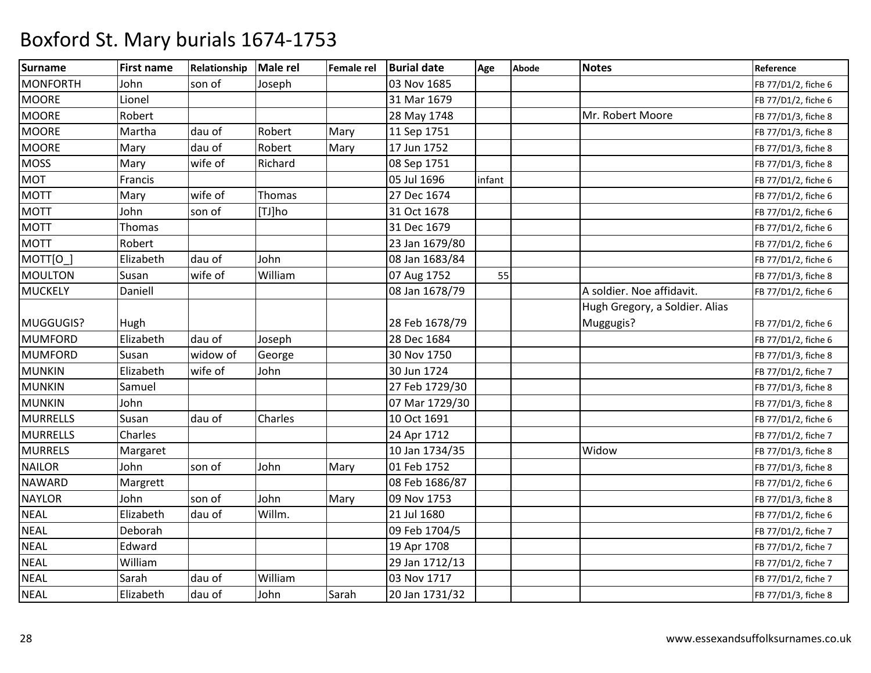| <b>Surname</b>  | <b>First name</b> | Relationship | Male rel | Female rel | <b>Burial date</b> | Age    | <b>Abode</b> | <b>Notes</b>                   | Reference           |
|-----------------|-------------------|--------------|----------|------------|--------------------|--------|--------------|--------------------------------|---------------------|
| <b>MONFORTH</b> | John              | son of       | Joseph   |            | 03 Nov 1685        |        |              |                                | FB 77/D1/2, fiche 6 |
| <b>MOORE</b>    | Lionel            |              |          |            | 31 Mar 1679        |        |              |                                | FB 77/D1/2, fiche 6 |
| <b>MOORE</b>    | Robert            |              |          |            | 28 May 1748        |        |              | Mr. Robert Moore               | FB 77/D1/3, fiche 8 |
| <b>MOORE</b>    | Martha            | dau of       | Robert   | Mary       | 11 Sep 1751        |        |              |                                | FB 77/D1/3, fiche 8 |
| <b>MOORE</b>    | Mary              | dau of       | Robert   | Mary       | 17 Jun 1752        |        |              |                                | FB 77/D1/3, fiche 8 |
| <b>MOSS</b>     | Mary              | wife of      | Richard  |            | 08 Sep 1751        |        |              |                                | FB 77/D1/3, fiche 8 |
| <b>MOT</b>      | Francis           |              |          |            | 05 Jul 1696        | infant |              |                                | FB 77/D1/2, fiche 6 |
| <b>MOTT</b>     | Mary              | wife of      | Thomas   |            | 27 Dec 1674        |        |              |                                | FB 77/D1/2, fiche 6 |
| <b>MOTT</b>     | John              | son of       | [TJ]ho   |            | 31 Oct 1678        |        |              |                                | FB 77/D1/2, fiche 6 |
| <b>MOTT</b>     | <b>Thomas</b>     |              |          |            | 31 Dec 1679        |        |              |                                | FB 77/D1/2, fiche 6 |
| <b>MOTT</b>     | Robert            |              |          |            | 23 Jan 1679/80     |        |              |                                | FB 77/D1/2, fiche 6 |
| MOTT[O          | Elizabeth         | dau of       | John     |            | 08 Jan 1683/84     |        |              |                                | FB 77/D1/2, fiche 6 |
| <b>MOULTON</b>  | Susan             | wife of      | William  |            | 07 Aug 1752        | 55     |              |                                | FB 77/D1/3, fiche 8 |
| <b>MUCKELY</b>  | Daniell           |              |          |            | 08 Jan 1678/79     |        |              | A soldier. Noe affidavit.      | FB 77/D1/2, fiche 6 |
|                 |                   |              |          |            |                    |        |              | Hugh Gregory, a Soldier. Alias |                     |
| MUGGUGIS?       | Hugh              |              |          |            | 28 Feb 1678/79     |        |              | Muggugis?                      | FB 77/D1/2, fiche 6 |
| <b>MUMFORD</b>  | Elizabeth         | dau of       | Joseph   |            | 28 Dec 1684        |        |              |                                | FB 77/D1/2, fiche 6 |
| <b>MUMFORD</b>  | Susan             | widow of     | George   |            | 30 Nov 1750        |        |              |                                | FB 77/D1/3, fiche 8 |
| <b>MUNKIN</b>   | Elizabeth         | wife of      | John     |            | 30 Jun 1724        |        |              |                                | FB 77/D1/2, fiche 7 |
| <b>MUNKIN</b>   | Samuel            |              |          |            | 27 Feb 1729/30     |        |              |                                | FB 77/D1/3, fiche 8 |
| <b>MUNKIN</b>   | John              |              |          |            | 07 Mar 1729/30     |        |              |                                | FB 77/D1/3, fiche 8 |
| <b>MURRELLS</b> | Susan             | dau of       | Charles  |            | 10 Oct 1691        |        |              |                                | FB 77/D1/2, fiche 6 |
| <b>MURRELLS</b> | Charles           |              |          |            | 24 Apr 1712        |        |              |                                | FB 77/D1/2, fiche 7 |
| <b>MURRELS</b>  | Margaret          |              |          |            | 10 Jan 1734/35     |        |              | Widow                          | FB 77/D1/3, fiche 8 |
| <b>NAILOR</b>   | John              | son of       | John     | Mary       | 01 Feb 1752        |        |              |                                | FB 77/D1/3, fiche 8 |
| <b>NAWARD</b>   | Margrett          |              |          |            | 08 Feb 1686/87     |        |              |                                | FB 77/D1/2, fiche 6 |
| <b>NAYLOR</b>   | John              | son of       | John     | Mary       | 09 Nov 1753        |        |              |                                | FB 77/D1/3, fiche 8 |
| <b>NEAL</b>     | Elizabeth         | dau of       | Willm.   |            | 21 Jul 1680        |        |              |                                | FB 77/D1/2, fiche 6 |
| <b>NEAL</b>     | Deborah           |              |          |            | 09 Feb 1704/5      |        |              |                                | FB 77/D1/2, fiche 7 |
| <b>NEAL</b>     | Edward            |              |          |            | 19 Apr 1708        |        |              |                                | FB 77/D1/2, fiche 7 |
| <b>NEAL</b>     | William           |              |          |            | 29 Jan 1712/13     |        |              |                                | FB 77/D1/2, fiche 7 |
| <b>NEAL</b>     | Sarah             | dau of       | William  |            | 03 Nov 1717        |        |              |                                | FB 77/D1/2, fiche 7 |
| <b>NEAL</b>     | Elizabeth         | dau of       | John     | Sarah      | 20 Jan 1731/32     |        |              |                                | FB 77/D1/3, fiche 8 |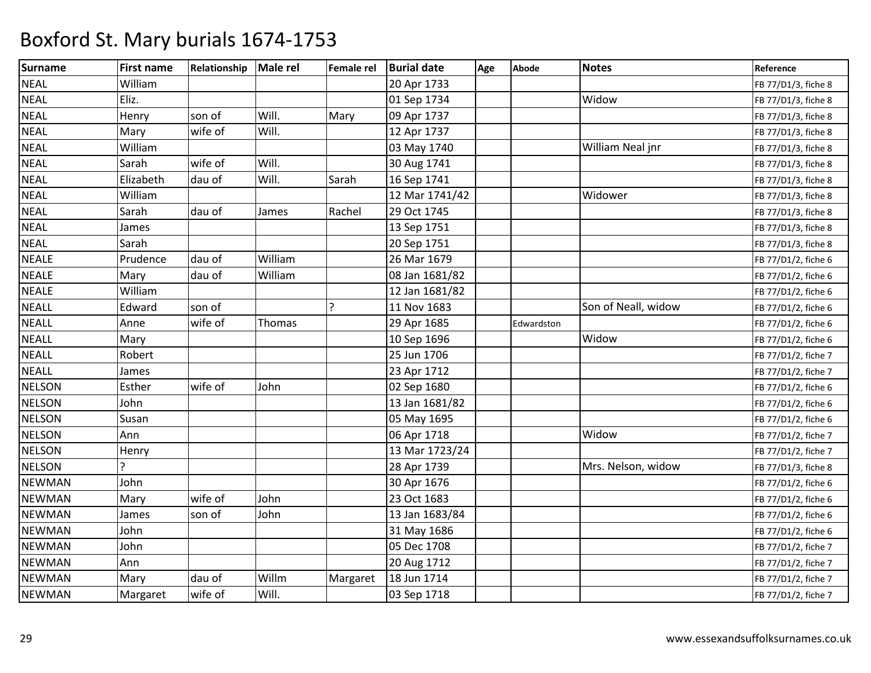| <b>Surname</b> | <b>First name</b> | <b>Relationship</b> | Male rel | <b>Female rel</b> | <b>Burial date</b> | Age | <b>Abode</b> | <b>Notes</b>        | Reference           |
|----------------|-------------------|---------------------|----------|-------------------|--------------------|-----|--------------|---------------------|---------------------|
| <b>NEAL</b>    | William           |                     |          |                   | 20 Apr 1733        |     |              |                     | FB 77/D1/3, fiche 8 |
| <b>NEAL</b>    | Eliz.             |                     |          |                   | 01 Sep 1734        |     |              | Widow               | FB 77/D1/3, fiche 8 |
| <b>NEAL</b>    | Henry             | son of              | Will.    | Mary              | 09 Apr 1737        |     |              |                     | FB 77/D1/3, fiche 8 |
| <b>NEAL</b>    | Mary              | wife of             | Will.    |                   | 12 Apr 1737        |     |              |                     | FB 77/D1/3, fiche 8 |
| <b>NEAL</b>    | William           |                     |          |                   | 03 May 1740        |     |              | William Neal jnr    | FB 77/D1/3, fiche 8 |
| <b>NEAL</b>    | Sarah             | wife of             | Will.    |                   | 30 Aug 1741        |     |              |                     | FB 77/D1/3, fiche 8 |
| <b>NEAL</b>    | Elizabeth         | dau of              | Will.    | Sarah             | 16 Sep 1741        |     |              |                     | FB 77/D1/3, fiche 8 |
| <b>NEAL</b>    | William           |                     |          |                   | 12 Mar 1741/42     |     |              | Widower             | FB 77/D1/3, fiche 8 |
| <b>NEAL</b>    | Sarah             | dau of              | James    | Rachel            | 29 Oct 1745        |     |              |                     | FB 77/D1/3, fiche 8 |
| <b>NEAL</b>    | James             |                     |          |                   | 13 Sep 1751        |     |              |                     | FB 77/D1/3, fiche 8 |
| <b>NEAL</b>    | Sarah             |                     |          |                   | 20 Sep 1751        |     |              |                     | FB 77/D1/3, fiche 8 |
| <b>NEALE</b>   | Prudence          | dau of              | William  |                   | 26 Mar 1679        |     |              |                     | FB 77/D1/2, fiche 6 |
| <b>NEALE</b>   | Mary              | dau of              | William  |                   | 08 Jan 1681/82     |     |              |                     | FB 77/D1/2, fiche 6 |
| <b>NEALE</b>   | William           |                     |          |                   | 12 Jan 1681/82     |     |              |                     | FB 77/D1/2, fiche 6 |
| <b>NEALL</b>   | Edward            | son of              |          | <sup>2</sup>      | 11 Nov 1683        |     |              | Son of Neall, widow | FB 77/D1/2, fiche 6 |
| <b>NEALL</b>   | Anne              | wife of             | Thomas   |                   | 29 Apr 1685        |     | Edwardston   |                     | FB 77/D1/2, fiche 6 |
| <b>NEALL</b>   | Mary              |                     |          |                   | 10 Sep 1696        |     |              | Widow               | FB 77/D1/2, fiche 6 |
| <b>NEALL</b>   | Robert            |                     |          |                   | 25 Jun 1706        |     |              |                     | FB 77/D1/2, fiche 7 |
| <b>NEALL</b>   | James             |                     |          |                   | 23 Apr 1712        |     |              |                     | FB 77/D1/2, fiche 7 |
| <b>NELSON</b>  | Esther            | wife of             | John     |                   | 02 Sep 1680        |     |              |                     | FB 77/D1/2, fiche 6 |
| <b>NELSON</b>  | John              |                     |          |                   | 13 Jan 1681/82     |     |              |                     | FB 77/D1/2, fiche 6 |
| <b>NELSON</b>  | Susan             |                     |          |                   | 05 May 1695        |     |              |                     | FB 77/D1/2, fiche 6 |
| <b>NELSON</b>  | Ann               |                     |          |                   | 06 Apr 1718        |     |              | Widow               | FB 77/D1/2, fiche 7 |
| <b>NELSON</b>  | Henry             |                     |          |                   | 13 Mar 1723/24     |     |              |                     | FB 77/D1/2, fiche 7 |
| <b>NELSON</b>  |                   |                     |          |                   | 28 Apr 1739        |     |              | Mrs. Nelson, widow  | FB 77/D1/3, fiche 8 |
| <b>NEWMAN</b>  | John              |                     |          |                   | 30 Apr 1676        |     |              |                     | FB 77/D1/2, fiche 6 |
| <b>NEWMAN</b>  | Mary              | wife of             | John     |                   | 23 Oct 1683        |     |              |                     | FB 77/D1/2, fiche 6 |
| <b>NEWMAN</b>  | James             | son of              | John     |                   | 13 Jan 1683/84     |     |              |                     | FB 77/D1/2, fiche 6 |
| <b>NEWMAN</b>  | John              |                     |          |                   | 31 May 1686        |     |              |                     | FB 77/D1/2, fiche 6 |
| <b>NEWMAN</b>  | John              |                     |          |                   | 05 Dec 1708        |     |              |                     | FB 77/D1/2, fiche 7 |
| <b>NEWMAN</b>  | Ann               |                     |          |                   | 20 Aug 1712        |     |              |                     | FB 77/D1/2, fiche 7 |
| <b>NEWMAN</b>  | Mary              | dau of              | Willm    | Margaret          | 18 Jun 1714        |     |              |                     | FB 77/D1/2, fiche 7 |
| <b>NEWMAN</b>  | Margaret          | wife of             | Will.    |                   | 03 Sep 1718        |     |              |                     | FB 77/D1/2, fiche 7 |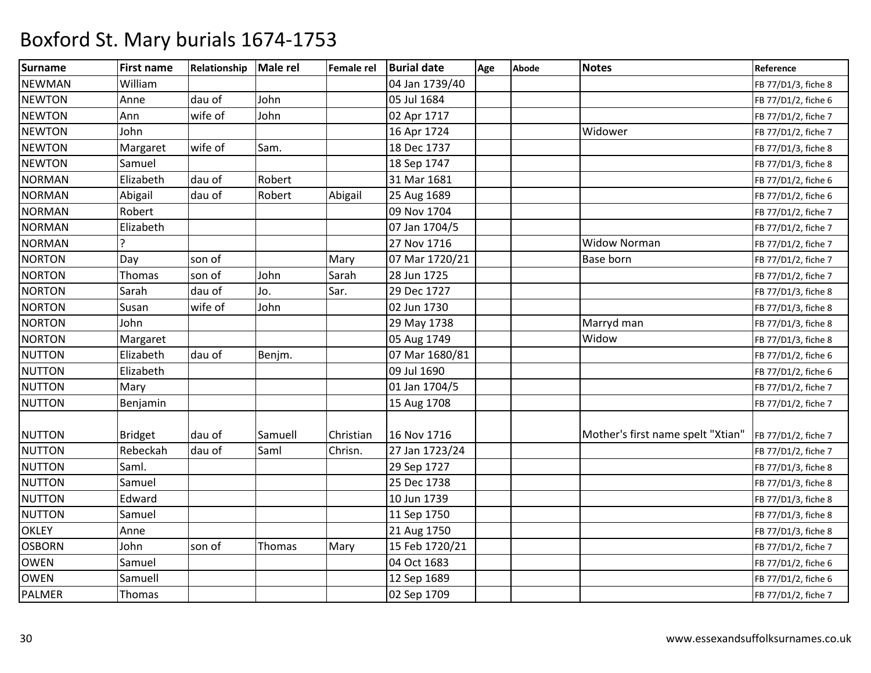| <b>Surname</b> | <b>First name</b> | Relationship | Male rel | <b>Female rel</b> | <b>Burial date</b> | Age | <b>Abode</b> | <b>Notes</b>                                           | Reference           |
|----------------|-------------------|--------------|----------|-------------------|--------------------|-----|--------------|--------------------------------------------------------|---------------------|
| <b>NEWMAN</b>  | William           |              |          |                   | 04 Jan 1739/40     |     |              |                                                        | FB 77/D1/3, fiche 8 |
| <b>NEWTON</b>  | Anne              | dau of       | John     |                   | 05 Jul 1684        |     |              |                                                        | FB 77/D1/2, fiche 6 |
| <b>NEWTON</b>  | Ann               | wife of      | John     |                   | 02 Apr 1717        |     |              |                                                        | FB 77/D1/2, fiche 7 |
| <b>NEWTON</b>  | John              |              |          |                   | 16 Apr 1724        |     |              | Widower                                                | FB 77/D1/2, fiche 7 |
| <b>NEWTON</b>  | Margaret          | wife of      | Sam.     |                   | 18 Dec 1737        |     |              |                                                        | FB 77/D1/3, fiche 8 |
| <b>NEWTON</b>  | Samuel            |              |          |                   | 18 Sep 1747        |     |              |                                                        | FB 77/D1/3, fiche 8 |
| <b>NORMAN</b>  | Elizabeth         | dau of       | Robert   |                   | 31 Mar 1681        |     |              |                                                        | FB 77/D1/2, fiche 6 |
| <b>NORMAN</b>  | Abigail           | dau of       | Robert   | Abigail           | 25 Aug 1689        |     |              |                                                        | FB 77/D1/2, fiche 6 |
| <b>NORMAN</b>  | Robert            |              |          |                   | 09 Nov 1704        |     |              |                                                        | FB 77/D1/2, fiche 7 |
| <b>NORMAN</b>  | Elizabeth         |              |          |                   | 07 Jan 1704/5      |     |              |                                                        | FB 77/D1/2, fiche 7 |
| <b>NORMAN</b>  |                   |              |          |                   | 27 Nov 1716        |     |              | <b>Widow Norman</b>                                    | FB 77/D1/2, fiche 7 |
| <b>NORTON</b>  | Day               | son of       |          | Mary              | 07 Mar 1720/21     |     |              | <b>Base born</b>                                       | FB 77/D1/2, fiche 7 |
| <b>NORTON</b>  | Thomas            | son of       | John     | Sarah             | 28 Jun 1725        |     |              |                                                        | FB 77/D1/2, fiche 7 |
| <b>NORTON</b>  | Sarah             | dau of       | Jo.      | Sar.              | 29 Dec 1727        |     |              |                                                        | FB 77/D1/3, fiche 8 |
| <b>NORTON</b>  | Susan             | wife of      | John     |                   | 02 Jun 1730        |     |              |                                                        | FB 77/D1/3, fiche 8 |
| <b>NORTON</b>  | John              |              |          |                   | 29 May 1738        |     |              | Marryd man                                             | FB 77/D1/3, fiche 8 |
| <b>NORTON</b>  | Margaret          |              |          |                   | 05 Aug 1749        |     |              | Widow                                                  | FB 77/D1/3, fiche 8 |
| <b>NUTTON</b>  | Elizabeth         | dau of       | Benjm.   |                   | 07 Mar 1680/81     |     |              |                                                        | FB 77/D1/2, fiche 6 |
| <b>NUTTON</b>  | Elizabeth         |              |          |                   | 09 Jul 1690        |     |              |                                                        | FB 77/D1/2, fiche 6 |
| <b>NUTTON</b>  | Mary              |              |          |                   | 01 Jan 1704/5      |     |              |                                                        | FB 77/D1/2, fiche 7 |
| <b>NUTTON</b>  | Benjamin          |              |          |                   | 15 Aug 1708        |     |              |                                                        | FB 77/D1/2, fiche 7 |
|                |                   |              |          |                   |                    |     |              |                                                        |                     |
| <b>NUTTON</b>  | <b>Bridget</b>    | dau of       | Samuell  | Christian         | 16 Nov 1716        |     |              | Mother's first name spelt "Xtian"  FB 77/D1/2, fiche 7 |                     |
| <b>NUTTON</b>  | Rebeckah          | dau of       | Saml     | Chrisn.           | 27 Jan 1723/24     |     |              |                                                        | FB 77/D1/2, fiche 7 |
| <b>NUTTON</b>  | Saml.             |              |          |                   | 29 Sep 1727        |     |              |                                                        | FB 77/D1/3, fiche 8 |
| <b>NUTTON</b>  | Samuel            |              |          |                   | 25 Dec 1738        |     |              |                                                        | FB 77/D1/3, fiche 8 |
| <b>NUTTON</b>  | Edward            |              |          |                   | 10 Jun 1739        |     |              |                                                        | FB 77/D1/3, fiche 8 |
| <b>NUTTON</b>  | Samuel            |              |          |                   | 11 Sep 1750        |     |              |                                                        | FB 77/D1/3, fiche 8 |
| <b>OKLEY</b>   | Anne              |              |          |                   | 21 Aug 1750        |     |              |                                                        | FB 77/D1/3, fiche 8 |
| <b>OSBORN</b>  | John              | son of       | Thomas   | Mary              | 15 Feb 1720/21     |     |              |                                                        | FB 77/D1/2, fiche 7 |
| <b>OWEN</b>    | Samuel            |              |          |                   | 04 Oct 1683        |     |              |                                                        | FB 77/D1/2, fiche 6 |
| <b>OWEN</b>    | Samuell           |              |          |                   | 12 Sep 1689        |     |              |                                                        | FB 77/D1/2, fiche 6 |
| <b>PALMER</b>  | Thomas            |              |          |                   | 02 Sep 1709        |     |              |                                                        | FB 77/D1/2, fiche 7 |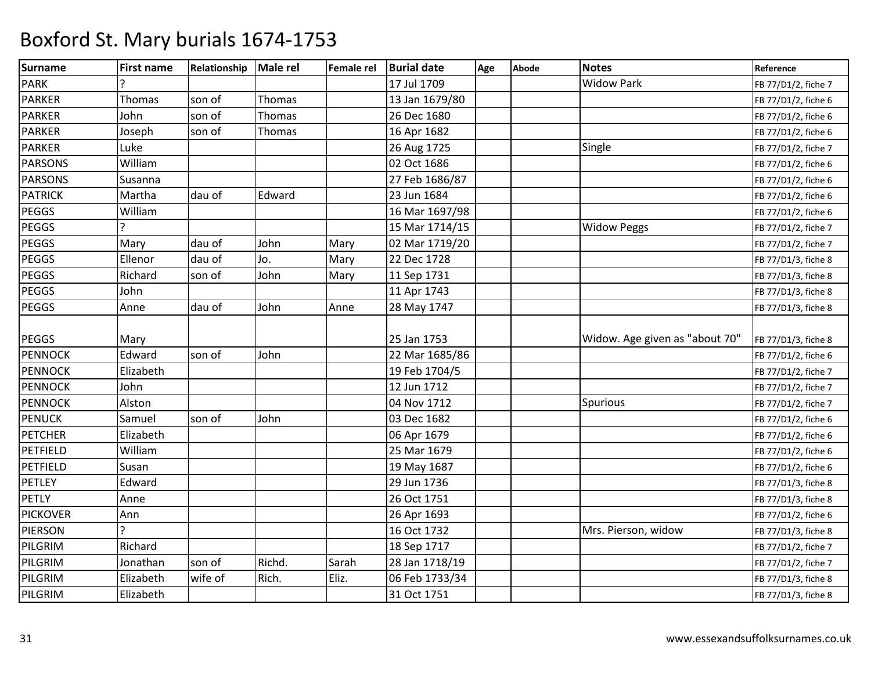| <b>Surname</b>  | <b>First name</b> | Relationship | Male rel | <b>Female rel</b> | <b>Burial date</b> | Age | <b>Abode</b> | <b>Notes</b>                   | Reference           |
|-----------------|-------------------|--------------|----------|-------------------|--------------------|-----|--------------|--------------------------------|---------------------|
| <b>PARK</b>     |                   |              |          |                   | 17 Jul 1709        |     |              | <b>Widow Park</b>              | FB 77/D1/2, fiche 7 |
| <b>PARKER</b>   | Thomas            | son of       | Thomas   |                   | 13 Jan 1679/80     |     |              |                                | FB 77/D1/2, fiche 6 |
| <b>PARKER</b>   | John              | son of       | Thomas   |                   | 26 Dec 1680        |     |              |                                | FB 77/D1/2, fiche 6 |
| <b>PARKER</b>   | Joseph            | son of       | Thomas   |                   | 16 Apr 1682        |     |              |                                | FB 77/D1/2, fiche 6 |
| <b>PARKER</b>   | Luke              |              |          |                   | 26 Aug 1725        |     |              | Single                         | FB 77/D1/2, fiche 7 |
| <b>PARSONS</b>  | William           |              |          |                   | 02 Oct 1686        |     |              |                                | FB 77/D1/2, fiche 6 |
| <b>PARSONS</b>  | Susanna           |              |          |                   | 27 Feb 1686/87     |     |              |                                | FB 77/D1/2, fiche 6 |
| <b>PATRICK</b>  | Martha            | dau of       | Edward   |                   | 23 Jun 1684        |     |              |                                | FB 77/D1/2, fiche 6 |
| <b>PEGGS</b>    | William           |              |          |                   | 16 Mar 1697/98     |     |              |                                | FB 77/D1/2, fiche 6 |
| PEGGS           |                   |              |          |                   | 15 Mar 1714/15     |     |              | <b>Widow Peggs</b>             | FB 77/D1/2, fiche 7 |
| <b>PEGGS</b>    | Mary              | dau of       | John     | Mary              | 02 Mar 1719/20     |     |              |                                | FB 77/D1/2, fiche 7 |
| PEGGS           | Ellenor           | dau of       | Jo.      | Mary              | 22 Dec 1728        |     |              |                                | FB 77/D1/3, fiche 8 |
| <b>PEGGS</b>    | Richard           | son of       | John     | Mary              | 11 Sep 1731        |     |              |                                | FB 77/D1/3, fiche 8 |
| <b>PEGGS</b>    | John              |              |          |                   | 11 Apr 1743        |     |              |                                | FB 77/D1/3, fiche 8 |
| <b>PEGGS</b>    | Anne              | dau of       | John     | Anne              | 28 May 1747        |     |              |                                | FB 77/D1/3, fiche 8 |
|                 |                   |              |          |                   |                    |     |              |                                |                     |
| <b>PEGGS</b>    | Mary              |              |          |                   | 25 Jan 1753        |     |              | Widow. Age given as "about 70" | FB 77/D1/3, fiche 8 |
| <b>PENNOCK</b>  | Edward            | son of       | John     |                   | 22 Mar 1685/86     |     |              |                                | FB 77/D1/2, fiche 6 |
| <b>PENNOCK</b>  | Elizabeth         |              |          |                   | 19 Feb 1704/5      |     |              |                                | FB 77/D1/2, fiche 7 |
| <b>PENNOCK</b>  | John              |              |          |                   | 12 Jun 1712        |     |              |                                | FB 77/D1/2, fiche 7 |
| <b>PENNOCK</b>  | Alston            |              |          |                   | 04 Nov 1712        |     |              | Spurious                       | FB 77/D1/2, fiche 7 |
| <b>PENUCK</b>   | Samuel            | son of       | John     |                   | 03 Dec 1682        |     |              |                                | FB 77/D1/2, fiche 6 |
| <b>PETCHER</b>  | Elizabeth         |              |          |                   | 06 Apr 1679        |     |              |                                | FB 77/D1/2, fiche 6 |
| <b>PETFIELD</b> | William           |              |          |                   | 25 Mar 1679        |     |              |                                | FB 77/D1/2, fiche 6 |
| PETFIELD        | Susan             |              |          |                   | 19 May 1687        |     |              |                                | FB 77/D1/2, fiche 6 |
| PETLEY          | Edward            |              |          |                   | 29 Jun 1736        |     |              |                                | FB 77/D1/3, fiche 8 |
| <b>PETLY</b>    | Anne              |              |          |                   | 26 Oct 1751        |     |              |                                | FB 77/D1/3, fiche 8 |
| <b>PICKOVER</b> | Ann               |              |          |                   | 26 Apr 1693        |     |              |                                | FB 77/D1/2, fiche 6 |
| PIERSON         |                   |              |          |                   | 16 Oct 1732        |     |              | Mrs. Pierson, widow            | FB 77/D1/3, fiche 8 |
| PILGRIM         | Richard           |              |          |                   | 18 Sep 1717        |     |              |                                | FB 77/D1/2, fiche 7 |
| PILGRIM         | Jonathan          | son of       | Richd.   | Sarah             | 28 Jan 1718/19     |     |              |                                | FB 77/D1/2, fiche 7 |
| PILGRIM         | Elizabeth         | wife of      | Rich.    | Eliz.             | 06 Feb 1733/34     |     |              |                                | FB 77/D1/3, fiche 8 |
| PILGRIM         | Elizabeth         |              |          |                   | 31 Oct 1751        |     |              |                                | FB 77/D1/3, fiche 8 |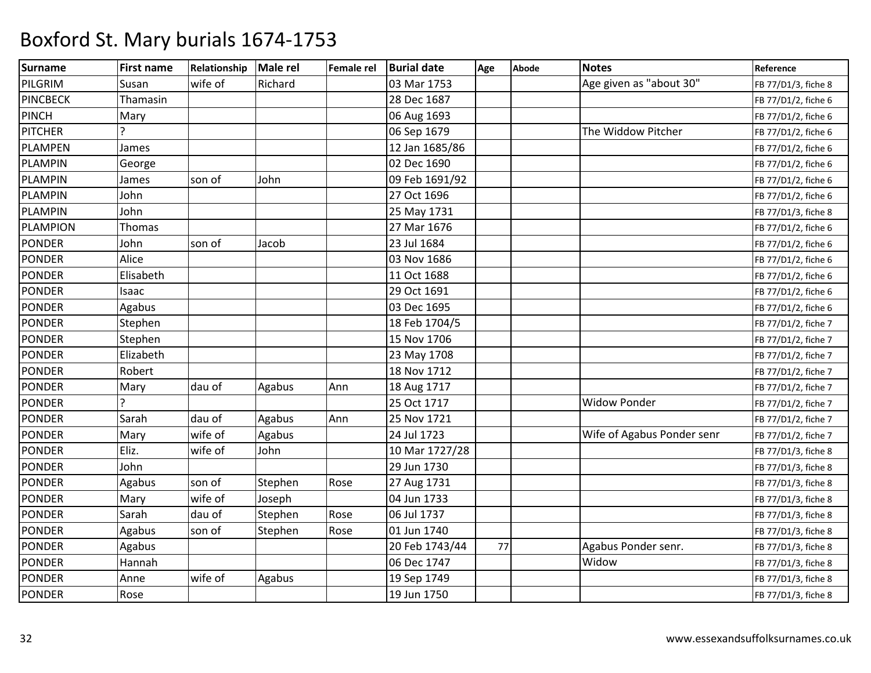| Surname         | <b>First name</b> | Relationship | <b>Male rel</b> | <b>Female rel</b> | <b>Burial date</b> | Age | <b>Abode</b> | <b>Notes</b>               | Reference           |
|-----------------|-------------------|--------------|-----------------|-------------------|--------------------|-----|--------------|----------------------------|---------------------|
| PILGRIM         | Susan             | wife of      | Richard         |                   | 03 Mar 1753        |     |              | Age given as "about 30"    | FB 77/D1/3, fiche 8 |
| <b>PINCBECK</b> | Thamasin          |              |                 |                   | 28 Dec 1687        |     |              |                            | FB 77/D1/2, fiche 6 |
| <b>PINCH</b>    | Mary              |              |                 |                   | 06 Aug 1693        |     |              |                            | FB 77/D1/2, fiche 6 |
| <b>PITCHER</b>  | ς                 |              |                 |                   | 06 Sep 1679        |     |              | The Widdow Pitcher         | FB 77/D1/2, fiche 6 |
| <b>PLAMPEN</b>  | James             |              |                 |                   | 12 Jan 1685/86     |     |              |                            | FB 77/D1/2, fiche 6 |
| <b>PLAMPIN</b>  | George            |              |                 |                   | 02 Dec 1690        |     |              |                            | FB 77/D1/2, fiche 6 |
| <b>PLAMPIN</b>  | James             | son of       | John            |                   | 09 Feb 1691/92     |     |              |                            | FB 77/D1/2, fiche 6 |
| <b>PLAMPIN</b>  | John              |              |                 |                   | 27 Oct 1696        |     |              |                            | FB 77/D1/2, fiche 6 |
| <b>PLAMPIN</b>  | John              |              |                 |                   | 25 May 1731        |     |              |                            | FB 77/D1/3, fiche 8 |
| <b>PLAMPION</b> | Thomas            |              |                 |                   | 27 Mar 1676        |     |              |                            | FB 77/D1/2, fiche 6 |
| <b>PONDER</b>   | John              | son of       | Jacob           |                   | 23 Jul 1684        |     |              |                            | FB 77/D1/2, fiche 6 |
| <b>PONDER</b>   | Alice             |              |                 |                   | 03 Nov 1686        |     |              |                            | FB 77/D1/2, fiche 6 |
| <b>PONDER</b>   | Elisabeth         |              |                 |                   | 11 Oct 1688        |     |              |                            | FB 77/D1/2, fiche 6 |
| <b>PONDER</b>   | Isaac             |              |                 |                   | 29 Oct 1691        |     |              |                            | FB 77/D1/2, fiche 6 |
| <b>PONDER</b>   | Agabus            |              |                 |                   | 03 Dec 1695        |     |              |                            | FB 77/D1/2, fiche 6 |
| <b>PONDER</b>   | Stephen           |              |                 |                   | 18 Feb 1704/5      |     |              |                            | FB 77/D1/2, fiche 7 |
| <b>PONDER</b>   | Stephen           |              |                 |                   | 15 Nov 1706        |     |              |                            | FB 77/D1/2, fiche 7 |
| <b>PONDER</b>   | Elizabeth         |              |                 |                   | 23 May 1708        |     |              |                            | FB 77/D1/2, fiche 7 |
| <b>PONDER</b>   | Robert            |              |                 |                   | 18 Nov 1712        |     |              |                            | FB 77/D1/2, fiche 7 |
| <b>PONDER</b>   | Mary              | dau of       | Agabus          | Ann               | 18 Aug 1717        |     |              |                            | FB 77/D1/2, fiche 7 |
| <b>PONDER</b>   |                   |              |                 |                   | 25 Oct 1717        |     |              | <b>Widow Ponder</b>        | FB 77/D1/2, fiche 7 |
| <b>PONDER</b>   | Sarah             | dau of       | Agabus          | Ann               | 25 Nov 1721        |     |              |                            | FB 77/D1/2, fiche 7 |
| <b>PONDER</b>   | Mary              | wife of      | Agabus          |                   | 24 Jul 1723        |     |              | Wife of Agabus Ponder senr | FB 77/D1/2, fiche 7 |
| <b>PONDER</b>   | Eliz.             | wife of      | John            |                   | 10 Mar 1727/28     |     |              |                            | FB 77/D1/3, fiche 8 |
| <b>PONDER</b>   | John              |              |                 |                   | 29 Jun 1730        |     |              |                            | FB 77/D1/3, fiche 8 |
| <b>PONDER</b>   | Agabus            | son of       | Stephen         | Rose              | 27 Aug 1731        |     |              |                            | FB 77/D1/3, fiche 8 |
| <b>PONDER</b>   | Mary              | wife of      | Joseph          |                   | 04 Jun 1733        |     |              |                            | FB 77/D1/3, fiche 8 |
| <b>PONDER</b>   | Sarah             | dau of       | Stephen         | Rose              | 06 Jul 1737        |     |              |                            | FB 77/D1/3, fiche 8 |
| <b>PONDER</b>   | Agabus            | son of       | Stephen         | Rose              | 01 Jun 1740        |     |              |                            | FB 77/D1/3, fiche 8 |
| <b>PONDER</b>   | Agabus            |              |                 |                   | 20 Feb 1743/44     | 77  |              | Agabus Ponder senr.        | FB 77/D1/3, fiche 8 |
| <b>PONDER</b>   | Hannah            |              |                 |                   | 06 Dec 1747        |     |              | Widow                      | FB 77/D1/3, fiche 8 |
| <b>PONDER</b>   | Anne              | wife of      | Agabus          |                   | 19 Sep 1749        |     |              |                            | FB 77/D1/3, fiche 8 |
| PONDER          | Rose              |              |                 |                   | 19 Jun 1750        |     |              |                            | FB 77/D1/3, fiche 8 |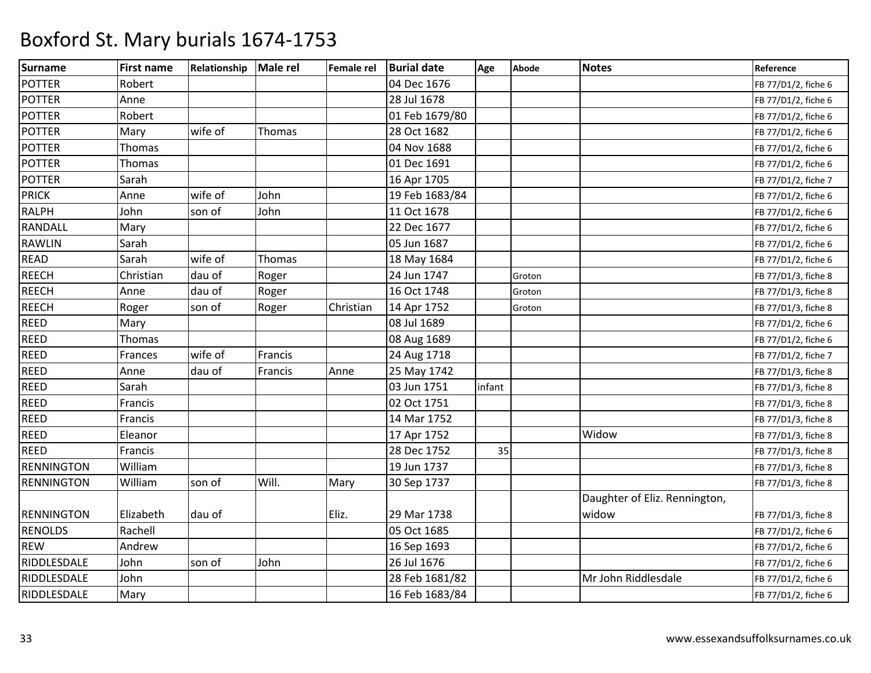| <b>Surname</b>    | <b>First name</b> | Relationship | Male rel | <b>Female rel</b> | <b>Burial date</b> | Age    | <b>Abode</b> | <b>Notes</b>                  | Reference           |
|-------------------|-------------------|--------------|----------|-------------------|--------------------|--------|--------------|-------------------------------|---------------------|
| <b>POTTER</b>     | Robert            |              |          |                   | 04 Dec 1676        |        |              |                               | FB 77/D1/2, fiche 6 |
| <b>POTTER</b>     | Anne              |              |          |                   | 28 Jul 1678        |        |              |                               | FB 77/D1/2, fiche 6 |
| <b>POTTER</b>     | Robert            |              |          |                   | 01 Feb 1679/80     |        |              |                               | FB 77/D1/2, fiche 6 |
| <b>POTTER</b>     | Mary              | wife of      | Thomas   |                   | 28 Oct 1682        |        |              |                               | FB 77/D1/2, fiche 6 |
| <b>POTTER</b>     | <b>Thomas</b>     |              |          |                   | 04 Nov 1688        |        |              |                               | FB 77/D1/2, fiche 6 |
| <b>POTTER</b>     | <b>Thomas</b>     |              |          |                   | 01 Dec 1691        |        |              |                               | FB 77/D1/2, fiche 6 |
| <b>POTTER</b>     | Sarah             |              |          |                   | 16 Apr 1705        |        |              |                               | FB 77/D1/2, fiche 7 |
| <b>PRICK</b>      | Anne              | wife of      | John     |                   | 19 Feb 1683/84     |        |              |                               | FB 77/D1/2, fiche 6 |
| <b>RALPH</b>      | John              | son of       | John     |                   | 11 Oct 1678        |        |              |                               | FB 77/D1/2, fiche 6 |
| RANDALL           | Mary              |              |          |                   | 22 Dec 1677        |        |              |                               | FB 77/D1/2, fiche 6 |
| <b>RAWLIN</b>     | Sarah             |              |          |                   | 05 Jun 1687        |        |              |                               | FB 77/D1/2, fiche 6 |
| <b>READ</b>       | Sarah             | wife of      | Thomas   |                   | 18 May 1684        |        |              |                               | FB 77/D1/2, fiche 6 |
| <b>REECH</b>      | Christian         | dau of       | Roger    |                   | 24 Jun 1747        |        | Groton       |                               | FB 77/D1/3, fiche 8 |
| <b>REECH</b>      | Anne              | dau of       | Roger    |                   | 16 Oct 1748        |        | Groton       |                               | FB 77/D1/3, fiche 8 |
| <b>REECH</b>      | Roger             | son of       | Roger    | Christian         | 14 Apr 1752        |        | Groton       |                               | FB 77/D1/3, fiche 8 |
| REED              | Mary              |              |          |                   | 08 Jul 1689        |        |              |                               | FB 77/D1/2, fiche 6 |
| <b>REED</b>       | <b>Thomas</b>     |              |          |                   | 08 Aug 1689        |        |              |                               | FB 77/D1/2, fiche 6 |
| <b>REED</b>       | Frances           | wife of      | Francis  |                   | 24 Aug 1718        |        |              |                               | FB 77/D1/2, fiche 7 |
| <b>REED</b>       | Anne              | dau of       | Francis  | Anne              | 25 May 1742        |        |              |                               | FB 77/D1/3, fiche 8 |
| <b>REED</b>       | Sarah             |              |          |                   | 03 Jun 1751        | infant |              |                               | FB 77/D1/3, fiche 8 |
| <b>REED</b>       | Francis           |              |          |                   | 02 Oct 1751        |        |              |                               | FB 77/D1/3, fiche 8 |
| <b>REED</b>       | Francis           |              |          |                   | 14 Mar 1752        |        |              |                               | FB 77/D1/3, fiche 8 |
| REED              | Eleanor           |              |          |                   | 17 Apr 1752        |        |              | Widow                         | FB 77/D1/3, fiche 8 |
| <b>REED</b>       | Francis           |              |          |                   | 28 Dec 1752        | 35     |              |                               | FB 77/D1/3, fiche 8 |
| <b>RENNINGTON</b> | William           |              |          |                   | 19 Jun 1737        |        |              |                               | FB 77/D1/3, fiche 8 |
| <b>RENNINGTON</b> | William           | son of       | Will.    | Mary              | 30 Sep 1737        |        |              |                               | FB 77/D1/3, fiche 8 |
|                   |                   |              |          |                   |                    |        |              | Daughter of Eliz. Rennington, |                     |
| <b>RENNINGTON</b> | Elizabeth         | dau of       |          | Eliz.             | 29 Mar 1738        |        |              | widow                         | FB 77/D1/3, fiche 8 |
| <b>RENOLDS</b>    | Rachell           |              |          |                   | 05 Oct 1685        |        |              |                               | FB 77/D1/2, fiche 6 |
| <b>REW</b>        | Andrew            |              |          |                   | 16 Sep 1693        |        |              |                               | FB 77/D1/2, fiche 6 |
| RIDDLESDALE       | John              | son of       | John     |                   | 26 Jul 1676        |        |              |                               | FB 77/D1/2, fiche 6 |
| RIDDLESDALE       | John              |              |          |                   | 28 Feb 1681/82     |        |              | Mr John Riddlesdale           | FB 77/D1/2, fiche 6 |
| RIDDLESDALE       | Mary              |              |          |                   | 16 Feb 1683/84     |        |              |                               | FB 77/D1/2, fiche 6 |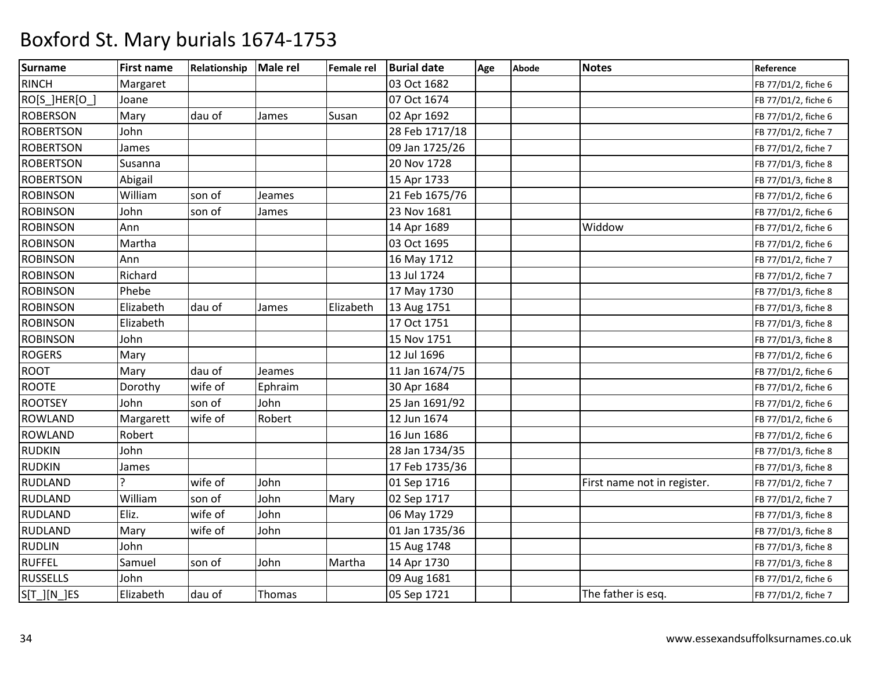| <b>Surname</b>   | <b>First name</b> | Relationship Male rel |         | Female rel | <b>Burial date</b> | Age | <b>Abode</b> | <b>Notes</b>                | Reference           |
|------------------|-------------------|-----------------------|---------|------------|--------------------|-----|--------------|-----------------------------|---------------------|
| <b>RINCH</b>     | Margaret          |                       |         |            | 03 Oct 1682        |     |              |                             | FB 77/D1/2, fiche 6 |
| RO[S_]HER[O_]    | Joane             |                       |         |            | 07 Oct 1674        |     |              |                             | FB 77/D1/2, fiche 6 |
| <b>ROBERSON</b>  | Mary              | dau of                | James   | Susan      | 02 Apr 1692        |     |              |                             | FB 77/D1/2, fiche 6 |
| <b>ROBERTSON</b> | John              |                       |         |            | 28 Feb 1717/18     |     |              |                             | FB 77/D1/2, fiche 7 |
| <b>ROBERTSON</b> | James             |                       |         |            | 09 Jan 1725/26     |     |              |                             | FB 77/D1/2, fiche 7 |
| <b>ROBERTSON</b> | Susanna           |                       |         |            | 20 Nov 1728        |     |              |                             | FB 77/D1/3, fiche 8 |
| <b>ROBERTSON</b> | Abigail           |                       |         |            | 15 Apr 1733        |     |              |                             | FB 77/D1/3, fiche 8 |
| <b>ROBINSON</b>  | William           | son of                | Jeames  |            | 21 Feb 1675/76     |     |              |                             | FB 77/D1/2, fiche 6 |
| <b>ROBINSON</b>  | John              | son of                | James   |            | 23 Nov 1681        |     |              |                             | FB 77/D1/2, fiche 6 |
| <b>ROBINSON</b>  | Ann               |                       |         |            | 14 Apr 1689        |     |              | Widdow                      | FB 77/D1/2, fiche 6 |
| <b>ROBINSON</b>  | Martha            |                       |         |            | 03 Oct 1695        |     |              |                             | FB 77/D1/2, fiche 6 |
| <b>ROBINSON</b>  | Ann               |                       |         |            | 16 May 1712        |     |              |                             | FB 77/D1/2, fiche 7 |
| <b>ROBINSON</b>  | Richard           |                       |         |            | 13 Jul 1724        |     |              |                             | FB 77/D1/2, fiche 7 |
| <b>ROBINSON</b>  | Phebe             |                       |         |            | 17 May 1730        |     |              |                             | FB 77/D1/3, fiche 8 |
| <b>ROBINSON</b>  | Elizabeth         | dau of                | James   | Elizabeth  | 13 Aug 1751        |     |              |                             | FB 77/D1/3, fiche 8 |
| <b>ROBINSON</b>  | Elizabeth         |                       |         |            | 17 Oct 1751        |     |              |                             | FB 77/D1/3, fiche 8 |
| <b>ROBINSON</b>  | John              |                       |         |            | 15 Nov 1751        |     |              |                             | FB 77/D1/3, fiche 8 |
| <b>ROGERS</b>    | Mary              |                       |         |            | 12 Jul 1696        |     |              |                             | FB 77/D1/2, fiche 6 |
| <b>ROOT</b>      | Mary              | dau of                | Jeames  |            | 11 Jan 1674/75     |     |              |                             | FB 77/D1/2, fiche 6 |
| <b>ROOTE</b>     | Dorothy           | wife of               | Ephraim |            | 30 Apr 1684        |     |              |                             | FB 77/D1/2, fiche 6 |
| <b>ROOTSEY</b>   | John              | son of                | John    |            | 25 Jan 1691/92     |     |              |                             | FB 77/D1/2, fiche 6 |
| <b>ROWLAND</b>   | Margarett         | wife of               | Robert  |            | 12 Jun 1674        |     |              |                             | FB 77/D1/2, fiche 6 |
| <b>ROWLAND</b>   | Robert            |                       |         |            | 16 Jun 1686        |     |              |                             | FB 77/D1/2, fiche 6 |
| <b>RUDKIN</b>    | John              |                       |         |            | 28 Jan 1734/35     |     |              |                             | FB 77/D1/3, fiche 8 |
| <b>RUDKIN</b>    | James             |                       |         |            | 17 Feb 1735/36     |     |              |                             | FB 77/D1/3, fiche 8 |
| <b>RUDLAND</b>   |                   | wife of               | John    |            | 01 Sep 1716        |     |              | First name not in register. | FB 77/D1/2, fiche 7 |
| <b>RUDLAND</b>   | William           | son of                | John    | Mary       | 02 Sep 1717        |     |              |                             | FB 77/D1/2, fiche 7 |
| <b>RUDLAND</b>   | Eliz.             | wife of               | John    |            | 06 May 1729        |     |              |                             | FB 77/D1/3, fiche 8 |
| <b>RUDLAND</b>   | Mary              | wife of               | John    |            | 01 Jan 1735/36     |     |              |                             | FB 77/D1/3, fiche 8 |
| <b>RUDLIN</b>    | John              |                       |         |            | 15 Aug 1748        |     |              |                             | FB 77/D1/3, fiche 8 |
| <b>RUFFEL</b>    | Samuel            | son of                | John    | Martha     | 14 Apr 1730        |     |              |                             | FB 77/D1/3, fiche 8 |
| <b>RUSSELLS</b>  | John              |                       |         |            | 09 Aug 1681        |     |              |                             | FB 77/D1/2, fiche 6 |
| S[T_][N_]ES      | Elizabeth         | dau of                | Thomas  |            | 05 Sep 1721        |     |              | The father is esq.          | FB 77/D1/2, fiche 7 |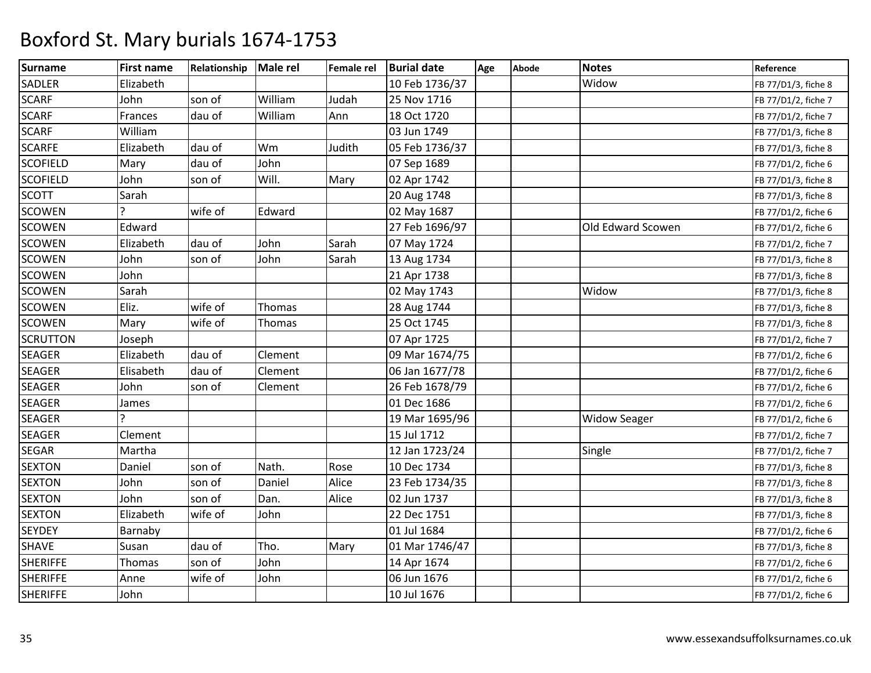| <b>Surname</b>  | <b>First name</b> | Relationship | <b>Male rel</b> | <b>Female rel</b> | <b>Burial date</b> | Age | <b>Abode</b> | <b>Notes</b>        | Reference           |
|-----------------|-------------------|--------------|-----------------|-------------------|--------------------|-----|--------------|---------------------|---------------------|
| SADLER          | Elizabeth         |              |                 |                   | 10 Feb 1736/37     |     |              | Widow               | FB 77/D1/3, fiche 8 |
| <b>SCARF</b>    | John              | son of       | William         | Judah             | 25 Nov 1716        |     |              |                     | FB 77/D1/2, fiche 7 |
| <b>SCARF</b>    | Frances           | dau of       | William         | Ann               | 18 Oct 1720        |     |              |                     | FB 77/D1/2, fiche 7 |
| <b>SCARF</b>    | William           |              |                 |                   | 03 Jun 1749        |     |              |                     | FB 77/D1/3, fiche 8 |
| <b>SCARFE</b>   | Elizabeth         | dau of       | Wm              | Judith            | 05 Feb 1736/37     |     |              |                     | FB 77/D1/3, fiche 8 |
| <b>SCOFIELD</b> | Mary              | dau of       | John            |                   | 07 Sep 1689        |     |              |                     | FB 77/D1/2, fiche 6 |
| <b>SCOFIELD</b> | John              | son of       | Will.           | Mary              | 02 Apr 1742        |     |              |                     | FB 77/D1/3, fiche 8 |
| <b>SCOTT</b>    | Sarah             |              |                 |                   | 20 Aug 1748        |     |              |                     | FB 77/D1/3, fiche 8 |
| <b>SCOWEN</b>   |                   | wife of      | Edward          |                   | 02 May 1687        |     |              |                     | FB 77/D1/2, fiche 6 |
| <b>SCOWEN</b>   | Edward            |              |                 |                   | 27 Feb 1696/97     |     |              | Old Edward Scowen   | FB 77/D1/2, fiche 6 |
| <b>SCOWEN</b>   | Elizabeth         | dau of       | John            | Sarah             | 07 May 1724        |     |              |                     | FB 77/D1/2, fiche 7 |
| <b>SCOWEN</b>   | John              | son of       | John            | Sarah             | 13 Aug 1734        |     |              |                     | FB 77/D1/3, fiche 8 |
| <b>SCOWEN</b>   | John              |              |                 |                   | 21 Apr 1738        |     |              |                     | FB 77/D1/3, fiche 8 |
| <b>SCOWEN</b>   | Sarah             |              |                 |                   | 02 May 1743        |     |              | Widow               | FB 77/D1/3, fiche 8 |
| <b>SCOWEN</b>   | Eliz.             | wife of      | Thomas          |                   | 28 Aug 1744        |     |              |                     | FB 77/D1/3, fiche 8 |
| <b>SCOWEN</b>   | Mary              | wife of      | Thomas          |                   | 25 Oct 1745        |     |              |                     | FB 77/D1/3, fiche 8 |
| <b>SCRUTTON</b> | Joseph            |              |                 |                   | 07 Apr 1725        |     |              |                     | FB 77/D1/2, fiche 7 |
| <b>SEAGER</b>   | Elizabeth         | dau of       | Clement         |                   | 09 Mar 1674/75     |     |              |                     | FB 77/D1/2, fiche 6 |
| <b>SEAGER</b>   | Elisabeth         | dau of       | Clement         |                   | 06 Jan 1677/78     |     |              |                     | FB 77/D1/2, fiche 6 |
| <b>SEAGER</b>   | John              | son of       | Clement         |                   | 26 Feb 1678/79     |     |              |                     | FB 77/D1/2, fiche 6 |
| <b>SEAGER</b>   | James             |              |                 |                   | 01 Dec 1686        |     |              |                     | FB 77/D1/2, fiche 6 |
| <b>SEAGER</b>   |                   |              |                 |                   | 19 Mar 1695/96     |     |              | <b>Widow Seager</b> | FB 77/D1/2, fiche 6 |
| <b>SEAGER</b>   | Clement           |              |                 |                   | 15 Jul 1712        |     |              |                     | FB 77/D1/2, fiche 7 |
| <b>SEGAR</b>    | Martha            |              |                 |                   | 12 Jan 1723/24     |     |              | Single              | FB 77/D1/2, fiche 7 |
| <b>SEXTON</b>   | Daniel            | son of       | Nath.           | Rose              | 10 Dec 1734        |     |              |                     | FB 77/D1/3, fiche 8 |
| <b>SEXTON</b>   | John              | son of       | Daniel          | Alice             | 23 Feb 1734/35     |     |              |                     | FB 77/D1/3, fiche 8 |
| <b>SEXTON</b>   | John              | son of       | Dan.            | Alice             | 02 Jun 1737        |     |              |                     | FB 77/D1/3, fiche 8 |
| <b>SEXTON</b>   | Elizabeth         | wife of      | John            |                   | 22 Dec 1751        |     |              |                     | FB 77/D1/3, fiche 8 |
| <b>SEYDEY</b>   | Barnaby           |              |                 |                   | 01 Jul 1684        |     |              |                     | FB 77/D1/2, fiche 6 |
| <b>SHAVE</b>    | Susan             | dau of       | Tho.            | Mary              | 01 Mar 1746/47     |     |              |                     | FB 77/D1/3, fiche 8 |
| <b>SHERIFFE</b> | <b>Thomas</b>     | son of       | John            |                   | 14 Apr 1674        |     |              |                     | FB 77/D1/2, fiche 6 |
| <b>SHERIFFE</b> | Anne              | wife of      | John            |                   | 06 Jun 1676        |     |              |                     | FB 77/D1/2, fiche 6 |
| <b>SHERIFFE</b> | John              |              |                 |                   | 10 Jul 1676        |     |              |                     | FB 77/D1/2, fiche 6 |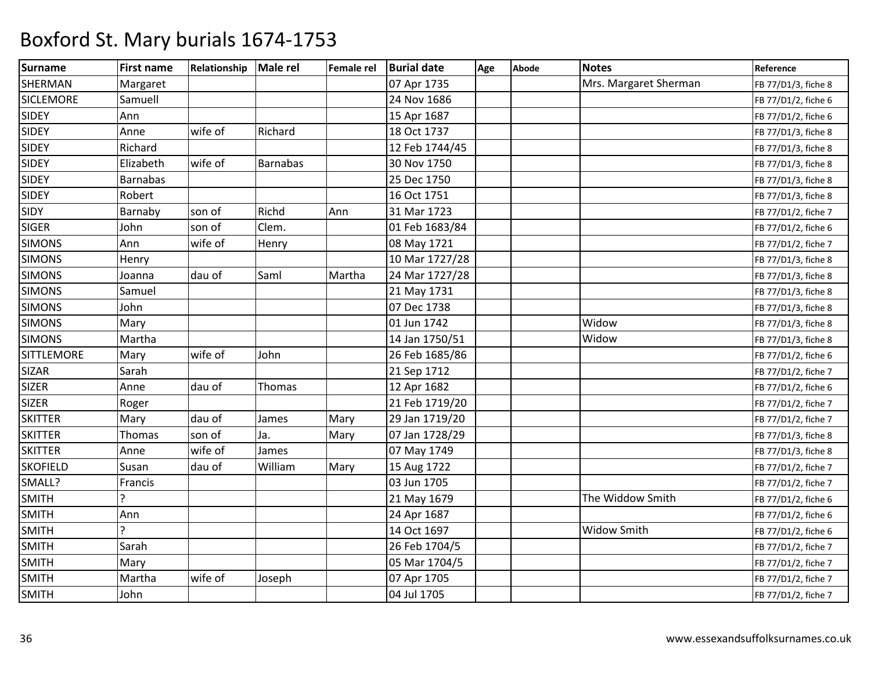| <b>Surname</b>    | <b>First name</b> | Relationship | <b>Male rel</b> | Female rel | <b>Burial date</b> | Age | <b>Abode</b> | <b>Notes</b>          | Reference           |
|-------------------|-------------------|--------------|-----------------|------------|--------------------|-----|--------------|-----------------------|---------------------|
| SHERMAN           | Margaret          |              |                 |            | 07 Apr 1735        |     |              | Mrs. Margaret Sherman | FB 77/D1/3, fiche 8 |
| <b>SICLEMORE</b>  | Samuell           |              |                 |            | 24 Nov 1686        |     |              |                       | FB 77/D1/2, fiche 6 |
| <b>SIDEY</b>      | Ann               |              |                 |            | 15 Apr 1687        |     |              |                       | FB 77/D1/2, fiche 6 |
| <b>SIDEY</b>      | Anne              | wife of      | Richard         |            | 18 Oct 1737        |     |              |                       | FB 77/D1/3, fiche 8 |
| <b>SIDEY</b>      | Richard           |              |                 |            | 12 Feb 1744/45     |     |              |                       | FB 77/D1/3, fiche 8 |
| <b>SIDEY</b>      | Elizabeth         | wife of      | <b>Barnabas</b> |            | 30 Nov 1750        |     |              |                       | FB 77/D1/3, fiche 8 |
| <b>SIDEY</b>      | <b>Barnabas</b>   |              |                 |            | 25 Dec 1750        |     |              |                       | FB 77/D1/3, fiche 8 |
| <b>SIDEY</b>      | Robert            |              |                 |            | 16 Oct 1751        |     |              |                       | FB 77/D1/3, fiche 8 |
| <b>SIDY</b>       | Barnaby           | son of       | Richd           | Ann        | 31 Mar 1723        |     |              |                       | FB 77/D1/2, fiche 7 |
| <b>SIGER</b>      | John              | son of       | Clem.           |            | 01 Feb 1683/84     |     |              |                       | FB 77/D1/2, fiche 6 |
| <b>SIMONS</b>     | Ann               | wife of      | Henry           |            | 08 May 1721        |     |              |                       | FB 77/D1/2, fiche 7 |
| <b>SIMONS</b>     | Henry             |              |                 |            | 10 Mar 1727/28     |     |              |                       | FB 77/D1/3, fiche 8 |
| <b>SIMONS</b>     | Joanna            | dau of       | Saml            | Martha     | 24 Mar 1727/28     |     |              |                       | FB 77/D1/3, fiche 8 |
| <b>SIMONS</b>     | Samuel            |              |                 |            | 21 May 1731        |     |              |                       | FB 77/D1/3, fiche 8 |
| <b>SIMONS</b>     | John              |              |                 |            | 07 Dec 1738        |     |              |                       | FB 77/D1/3, fiche 8 |
| <b>SIMONS</b>     | Mary              |              |                 |            | 01 Jun 1742        |     |              | Widow                 | FB 77/D1/3, fiche 8 |
| <b>SIMONS</b>     | Martha            |              |                 |            | 14 Jan 1750/51     |     |              | Widow                 | FB 77/D1/3, fiche 8 |
| <b>SITTLEMORE</b> | Mary              | wife of      | John            |            | 26 Feb 1685/86     |     |              |                       | FB 77/D1/2, fiche 6 |
| <b>SIZAR</b>      | Sarah             |              |                 |            | 21 Sep 1712        |     |              |                       | FB 77/D1/2, fiche 7 |
| <b>SIZER</b>      | Anne              | dau of       | Thomas          |            | 12 Apr 1682        |     |              |                       | FB 77/D1/2, fiche 6 |
| <b>SIZER</b>      | Roger             |              |                 |            | 21 Feb 1719/20     |     |              |                       | FB 77/D1/2, fiche 7 |
| <b>SKITTER</b>    | Mary              | dau of       | James           | Mary       | 29 Jan 1719/20     |     |              |                       | FB 77/D1/2, fiche 7 |
| <b>SKITTER</b>    | Thomas            | son of       | Ja.             | Mary       | 07 Jan 1728/29     |     |              |                       | FB 77/D1/3, fiche 8 |
| <b>SKITTER</b>    | Anne              | wife of      | James           |            | 07 May 1749        |     |              |                       | FB 77/D1/3, fiche 8 |
| <b>SKOFIELD</b>   | Susan             | dau of       | William         | Mary       | 15 Aug 1722        |     |              |                       | FB 77/D1/2, fiche 7 |
| SMALL?            | Francis           |              |                 |            | 03 Jun 1705        |     |              |                       | FB 77/D1/2, fiche 7 |
| <b>SMITH</b>      |                   |              |                 |            | 21 May 1679        |     |              | The Widdow Smith      | FB 77/D1/2, fiche 6 |
| <b>SMITH</b>      | Ann               |              |                 |            | 24 Apr 1687        |     |              |                       | FB 77/D1/2, fiche 6 |
| <b>SMITH</b>      | $\overline{ }$    |              |                 |            | 14 Oct 1697        |     |              | Widow Smith           | FB 77/D1/2, fiche 6 |
| <b>SMITH</b>      | Sarah             |              |                 |            | 26 Feb 1704/5      |     |              |                       | FB 77/D1/2, fiche 7 |
| <b>SMITH</b>      | Mary              |              |                 |            | 05 Mar 1704/5      |     |              |                       | FB 77/D1/2, fiche 7 |
| <b>SMITH</b>      | Martha            | wife of      | Joseph          |            | 07 Apr 1705        |     |              |                       | FB 77/D1/2, fiche 7 |
| <b>SMITH</b>      | John              |              |                 |            | 04 Jul 1705        |     |              |                       | FB 77/D1/2, fiche 7 |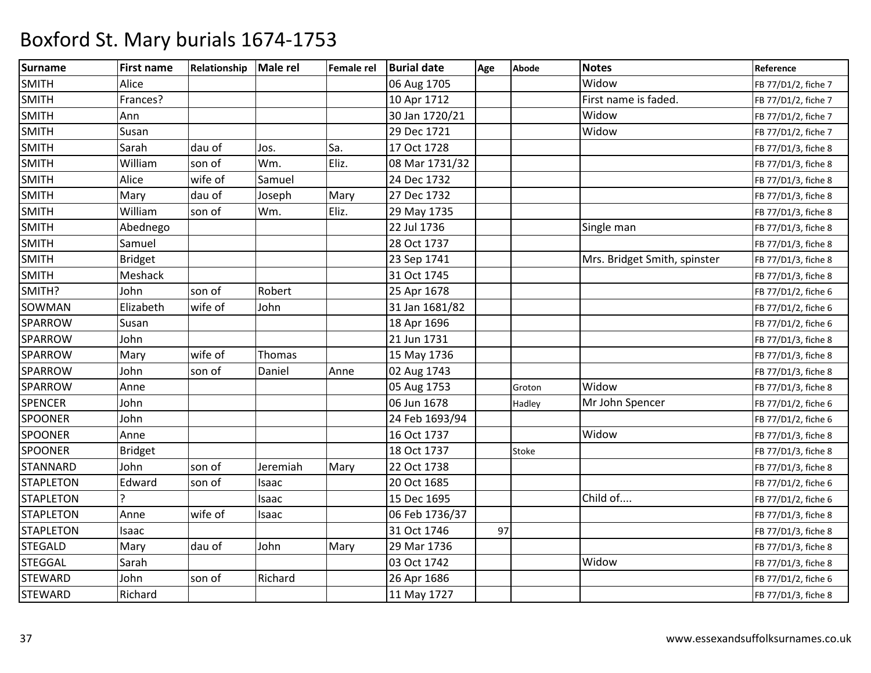| <b>Surname</b>   | <b>First name</b> | Relationship | Male rel | Female rel | <b>Burial date</b> | Age | <b>Abode</b> | <b>Notes</b>                 | Reference           |
|------------------|-------------------|--------------|----------|------------|--------------------|-----|--------------|------------------------------|---------------------|
| <b>SMITH</b>     | Alice             |              |          |            | 06 Aug 1705        |     |              | Widow                        | FB 77/D1/2, fiche 7 |
| <b>SMITH</b>     | Frances?          |              |          |            | 10 Apr 1712        |     |              | First name is faded.         | FB 77/D1/2, fiche 7 |
| <b>SMITH</b>     | Ann               |              |          |            | 30 Jan 1720/21     |     |              | Widow                        | FB 77/D1/2, fiche 7 |
| <b>SMITH</b>     | Susan             |              |          |            | 29 Dec 1721        |     |              | Widow                        | FB 77/D1/2, fiche 7 |
| <b>SMITH</b>     | Sarah             | dau of       | Jos.     | Sa.        | 17 Oct 1728        |     |              |                              | FB 77/D1/3, fiche 8 |
| <b>SMITH</b>     | William           | son of       | Wm.      | Eliz.      | 08 Mar 1731/32     |     |              |                              | FB 77/D1/3, fiche 8 |
| <b>SMITH</b>     | Alice             | wife of      | Samuel   |            | 24 Dec 1732        |     |              |                              | FB 77/D1/3, fiche 8 |
| <b>SMITH</b>     | Mary              | dau of       | Joseph   | Mary       | 27 Dec 1732        |     |              |                              | FB 77/D1/3, fiche 8 |
| <b>SMITH</b>     | William           | son of       | Wm.      | Eliz.      | 29 May 1735        |     |              |                              | FB 77/D1/3, fiche 8 |
| <b>SMITH</b>     | Abednego          |              |          |            | 22 Jul 1736        |     |              | Single man                   | FB 77/D1/3, fiche 8 |
| <b>SMITH</b>     | Samuel            |              |          |            | 28 Oct 1737        |     |              |                              | FB 77/D1/3, fiche 8 |
| <b>SMITH</b>     | <b>Bridget</b>    |              |          |            | 23 Sep 1741        |     |              | Mrs. Bridget Smith, spinster | FB 77/D1/3, fiche 8 |
| <b>SMITH</b>     | Meshack           |              |          |            | 31 Oct 1745        |     |              |                              | FB 77/D1/3, fiche 8 |
| SMITH?           | John              | son of       | Robert   |            | 25 Apr 1678        |     |              |                              | FB 77/D1/2, fiche 6 |
| SOWMAN           | Elizabeth         | wife of      | John     |            | 31 Jan 1681/82     |     |              |                              | FB 77/D1/2, fiche 6 |
| SPARROW          | Susan             |              |          |            | 18 Apr 1696        |     |              |                              | FB 77/D1/2, fiche 6 |
| SPARROW          | John              |              |          |            | 21 Jun 1731        |     |              |                              | FB 77/D1/3, fiche 8 |
| SPARROW          | Mary              | wife of      | Thomas   |            | 15 May 1736        |     |              |                              | FB 77/D1/3, fiche 8 |
| SPARROW          | John              | son of       | Daniel   | Anne       | 02 Aug 1743        |     |              |                              | FB 77/D1/3, fiche 8 |
| SPARROW          | Anne              |              |          |            | 05 Aug 1753        |     | Groton       | Widow                        | FB 77/D1/3, fiche 8 |
| <b>SPENCER</b>   | John              |              |          |            | 06 Jun 1678        |     | Hadley       | Mr John Spencer              | FB 77/D1/2, fiche 6 |
| <b>SPOONER</b>   | John              |              |          |            | 24 Feb 1693/94     |     |              |                              | FB 77/D1/2, fiche 6 |
| <b>SPOONER</b>   | Anne              |              |          |            | 16 Oct 1737        |     |              | Widow                        | FB 77/D1/3, fiche 8 |
| <b>SPOONER</b>   | <b>Bridget</b>    |              |          |            | 18 Oct 1737        |     | Stoke        |                              | FB 77/D1/3, fiche 8 |
| <b>STANNARD</b>  | John              | son of       | Jeremiah | Mary       | 22 Oct 1738        |     |              |                              | FB 77/D1/3, fiche 8 |
| <b>STAPLETON</b> | Edward            | son of       | Isaac    |            | 20 Oct 1685        |     |              |                              | FB 77/D1/2, fiche 6 |
| <b>STAPLETON</b> |                   |              | Isaac    |            | 15 Dec 1695        |     |              | Child of                     | FB 77/D1/2, fiche 6 |
| <b>STAPLETON</b> | Anne              | wife of      | Isaac    |            | 06 Feb 1736/37     |     |              |                              | FB 77/D1/3, fiche 8 |
| <b>STAPLETON</b> | Isaac             |              |          |            | 31 Oct 1746        | 97  |              |                              | FB 77/D1/3, fiche 8 |
| <b>STEGALD</b>   | Mary              | dau of       | John     | Mary       | 29 Mar 1736        |     |              |                              | FB 77/D1/3, fiche 8 |
| <b>STEGGAL</b>   | Sarah             |              |          |            | 03 Oct 1742        |     |              | Widow                        | FB 77/D1/3, fiche 8 |
| <b>STEWARD</b>   | John              | son of       | Richard  |            | 26 Apr 1686        |     |              |                              | FB 77/D1/2, fiche 6 |
| <b>STEWARD</b>   | Richard           |              |          |            | 11 May 1727        |     |              |                              | FB 77/D1/3, fiche 8 |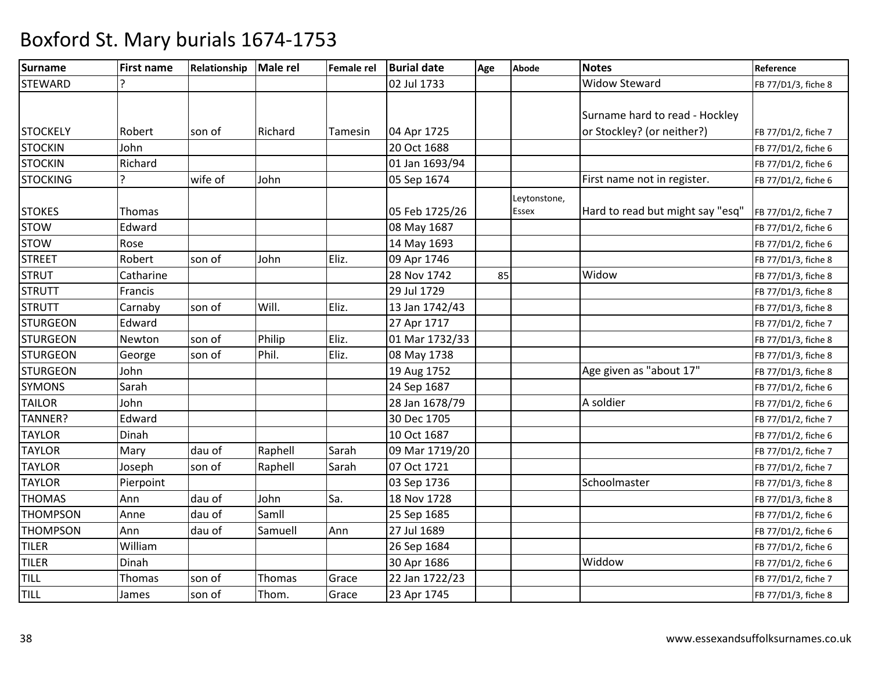| <b>Surname</b>  | <b>First name</b> | Relationship | Male rel | <b>Female rel</b> | <b>Burial date</b> | Age | <b>Abode</b> | <b>Notes</b>                     | Reference           |
|-----------------|-------------------|--------------|----------|-------------------|--------------------|-----|--------------|----------------------------------|---------------------|
| <b>STEWARD</b>  |                   |              |          |                   | 02 Jul 1733        |     |              | <b>Widow Steward</b>             | FB 77/D1/3, fiche 8 |
|                 |                   |              |          |                   |                    |     |              |                                  |                     |
|                 |                   |              |          |                   |                    |     |              | Surname hard to read - Hockley   |                     |
| <b>STOCKELY</b> | Robert            | son of       | Richard  | Tamesin           | 04 Apr 1725        |     |              | or Stockley? (or neither?)       | FB 77/D1/2, fiche 7 |
| <b>STOCKIN</b>  | John              |              |          |                   | 20 Oct 1688        |     |              |                                  | FB 77/D1/2, fiche 6 |
| <b>STOCKIN</b>  | Richard           |              |          |                   | 01 Jan 1693/94     |     |              |                                  | FB 77/D1/2, fiche 6 |
| <b>STOCKING</b> | 2                 | wife of      | John     |                   | 05 Sep 1674        |     |              | First name not in register.      | FB 77/D1/2, fiche 6 |
|                 |                   |              |          |                   |                    |     | Leytonstone, |                                  |                     |
| <b>STOKES</b>   | Thomas            |              |          |                   | 05 Feb 1725/26     |     | <b>Essex</b> | Hard to read but might say "esq" | FB 77/D1/2, fiche 7 |
| <b>STOW</b>     | Edward            |              |          |                   | 08 May 1687        |     |              |                                  | FB 77/D1/2, fiche 6 |
| <b>STOW</b>     | Rose              |              |          |                   | 14 May 1693        |     |              |                                  | FB 77/D1/2, fiche 6 |
| <b>STREET</b>   | Robert            | son of       | John     | Eliz.             | 09 Apr 1746        |     |              |                                  | FB 77/D1/3, fiche 8 |
| <b>STRUT</b>    | Catharine         |              |          |                   | 28 Nov 1742        | 85  |              | Widow                            | FB 77/D1/3, fiche 8 |
| <b>STRUTT</b>   | Francis           |              |          |                   | 29 Jul 1729        |     |              |                                  | FB 77/D1/3, fiche 8 |
| <b>STRUTT</b>   | Carnaby           | son of       | Will.    | Eliz.             | 13 Jan 1742/43     |     |              |                                  | FB 77/D1/3, fiche 8 |
| <b>STURGEON</b> | Edward            |              |          |                   | 27 Apr 1717        |     |              |                                  | FB 77/D1/2, fiche 7 |
| <b>STURGEON</b> | Newton            | son of       | Philip   | Eliz.             | 01 Mar 1732/33     |     |              |                                  | FB 77/D1/3, fiche 8 |
| <b>STURGEON</b> | George            | son of       | Phil.    | Eliz.             | 08 May 1738        |     |              |                                  | FB 77/D1/3, fiche 8 |
| <b>STURGEON</b> | John              |              |          |                   | 19 Aug 1752        |     |              | Age given as "about 17"          | FB 77/D1/3, fiche 8 |
| <b>SYMONS</b>   | Sarah             |              |          |                   | 24 Sep 1687        |     |              |                                  | FB 77/D1/2, fiche 6 |
| <b>TAILOR</b>   | John              |              |          |                   | 28 Jan 1678/79     |     |              | A soldier                        | FB 77/D1/2, fiche 6 |
| TANNER?         | Edward            |              |          |                   | 30 Dec 1705        |     |              |                                  | FB 77/D1/2, fiche 7 |
| <b>TAYLOR</b>   | Dinah             |              |          |                   | 10 Oct 1687        |     |              |                                  | FB 77/D1/2, fiche 6 |
| <b>TAYLOR</b>   | Mary              | dau of       | Raphell  | Sarah             | 09 Mar 1719/20     |     |              |                                  | FB 77/D1/2, fiche 7 |
| <b>TAYLOR</b>   | Joseph            | son of       | Raphell  | Sarah             | 07 Oct 1721        |     |              |                                  | FB 77/D1/2, fiche 7 |
| <b>TAYLOR</b>   | Pierpoint         |              |          |                   | 03 Sep 1736        |     |              | Schoolmaster                     | FB 77/D1/3, fiche 8 |
| <b>THOMAS</b>   | Ann               | dau of       | John     | Sa.               | 18 Nov 1728        |     |              |                                  | FB 77/D1/3, fiche 8 |
| <b>THOMPSON</b> | Anne              | dau of       | Samll    |                   | 25 Sep 1685        |     |              |                                  | FB 77/D1/2, fiche 6 |
| <b>THOMPSON</b> | Ann               | dau of       | Samuell  | Ann               | 27 Jul 1689        |     |              |                                  | FB 77/D1/2, fiche 6 |
| <b>TILER</b>    | William           |              |          |                   | 26 Sep 1684        |     |              |                                  | FB 77/D1/2, fiche 6 |
| <b>TILER</b>    | Dinah             |              |          |                   | 30 Apr 1686        |     |              | Widdow                           | FB 77/D1/2, fiche 6 |
| TILL            | <b>Thomas</b>     | son of       | Thomas   | Grace             | 22 Jan 1722/23     |     |              |                                  | FB 77/D1/2, fiche 7 |
| TILL            | James             | son of       | Thom.    | Grace             | 23 Apr 1745        |     |              |                                  | FB 77/D1/3, fiche 8 |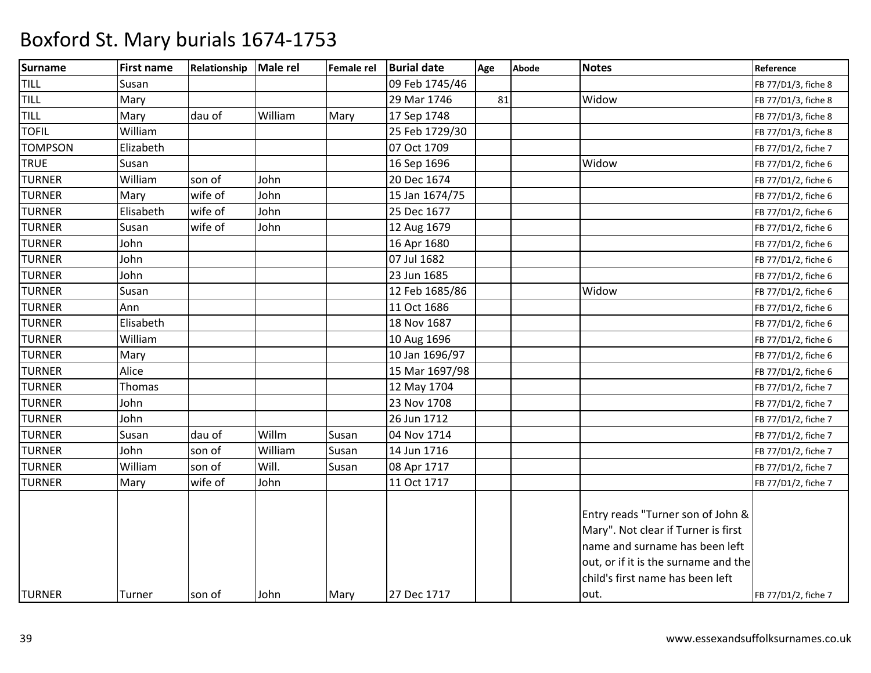| <b>Surname</b> | <b>First name</b> | Relationship | Male rel | Female rel | <b>Burial date</b> | Age | <b>Abode</b> | <b>Notes</b>                                                                                                                                                                           | Reference           |
|----------------|-------------------|--------------|----------|------------|--------------------|-----|--------------|----------------------------------------------------------------------------------------------------------------------------------------------------------------------------------------|---------------------|
| TILL           | Susan             |              |          |            | 09 Feb 1745/46     |     |              |                                                                                                                                                                                        | FB 77/D1/3, fiche 8 |
| <b>TILL</b>    | Mary              |              |          |            | 29 Mar 1746        | 81  |              | Widow                                                                                                                                                                                  | FB 77/D1/3, fiche 8 |
| TILL           | Mary              | dau of       | William  | Mary       | 17 Sep 1748        |     |              |                                                                                                                                                                                        | FB 77/D1/3, fiche 8 |
| <b>TOFIL</b>   | William           |              |          |            | 25 Feb 1729/30     |     |              |                                                                                                                                                                                        | FB 77/D1/3, fiche 8 |
| <b>TOMPSON</b> | Elizabeth         |              |          |            | 07 Oct 1709        |     |              |                                                                                                                                                                                        | FB 77/D1/2, fiche 7 |
| <b>TRUE</b>    | Susan             |              |          |            | 16 Sep 1696        |     |              | Widow                                                                                                                                                                                  | FB 77/D1/2, fiche 6 |
| <b>TURNER</b>  | William           | son of       | John     |            | 20 Dec 1674        |     |              |                                                                                                                                                                                        | FB 77/D1/2, fiche 6 |
| <b>TURNER</b>  | Mary              | wife of      | John     |            | 15 Jan 1674/75     |     |              |                                                                                                                                                                                        | FB 77/D1/2, fiche 6 |
| <b>TURNER</b>  | Elisabeth         | wife of      | John     |            | 25 Dec 1677        |     |              |                                                                                                                                                                                        | FB 77/D1/2, fiche 6 |
| <b>TURNER</b>  | Susan             | wife of      | John     |            | 12 Aug 1679        |     |              |                                                                                                                                                                                        | FB 77/D1/2, fiche 6 |
| <b>TURNER</b>  | John              |              |          |            | 16 Apr 1680        |     |              |                                                                                                                                                                                        | FB 77/D1/2, fiche 6 |
| <b>TURNER</b>  | John              |              |          |            | 07 Jul 1682        |     |              |                                                                                                                                                                                        | FB 77/D1/2, fiche 6 |
| <b>TURNER</b>  | John              |              |          |            | 23 Jun 1685        |     |              |                                                                                                                                                                                        | FB 77/D1/2, fiche 6 |
| <b>TURNER</b>  | Susan             |              |          |            | 12 Feb 1685/86     |     |              | Widow                                                                                                                                                                                  | FB 77/D1/2, fiche 6 |
| <b>TURNER</b>  | Ann               |              |          |            | 11 Oct 1686        |     |              |                                                                                                                                                                                        | FB 77/D1/2, fiche 6 |
| <b>TURNER</b>  | Elisabeth         |              |          |            | 18 Nov 1687        |     |              |                                                                                                                                                                                        | FB 77/D1/2, fiche 6 |
| <b>TURNER</b>  | William           |              |          |            | 10 Aug 1696        |     |              |                                                                                                                                                                                        | FB 77/D1/2, fiche 6 |
| <b>TURNER</b>  | Mary              |              |          |            | 10 Jan 1696/97     |     |              |                                                                                                                                                                                        | FB 77/D1/2, fiche 6 |
| <b>TURNER</b>  | Alice             |              |          |            | 15 Mar 1697/98     |     |              |                                                                                                                                                                                        | FB 77/D1/2, fiche 6 |
| <b>TURNER</b>  | <b>Thomas</b>     |              |          |            | 12 May 1704        |     |              |                                                                                                                                                                                        | FB 77/D1/2, fiche 7 |
| <b>TURNER</b>  | John              |              |          |            | 23 Nov 1708        |     |              |                                                                                                                                                                                        | FB 77/D1/2, fiche 7 |
| <b>TURNER</b>  | John              |              |          |            | 26 Jun 1712        |     |              |                                                                                                                                                                                        | FB 77/D1/2, fiche 7 |
| <b>TURNER</b>  | Susan             | dau of       | Willm    | Susan      | 04 Nov 1714        |     |              |                                                                                                                                                                                        | FB 77/D1/2, fiche 7 |
| <b>TURNER</b>  | John              | son of       | William  | Susan      | 14 Jun 1716        |     |              |                                                                                                                                                                                        | FB 77/D1/2, fiche 7 |
| <b>TURNER</b>  | William           | son of       | Will.    | Susan      | 08 Apr 1717        |     |              |                                                                                                                                                                                        | FB 77/D1/2, fiche 7 |
| <b>TURNER</b>  | Mary              | wife of      | John     |            | 11 Oct 1717        |     |              |                                                                                                                                                                                        | FB 77/D1/2, fiche 7 |
|                |                   |              |          |            |                    |     |              | Entry reads "Turner son of John &<br>Mary". Not clear if Turner is first<br>name and surname has been left<br>out, or if it is the surname and the<br>child's first name has been left |                     |
| <b>TURNER</b>  | Turner            | son of       | John     | Mary       | 27 Dec 1717        |     |              | out.                                                                                                                                                                                   | FB 77/D1/2, fiche 7 |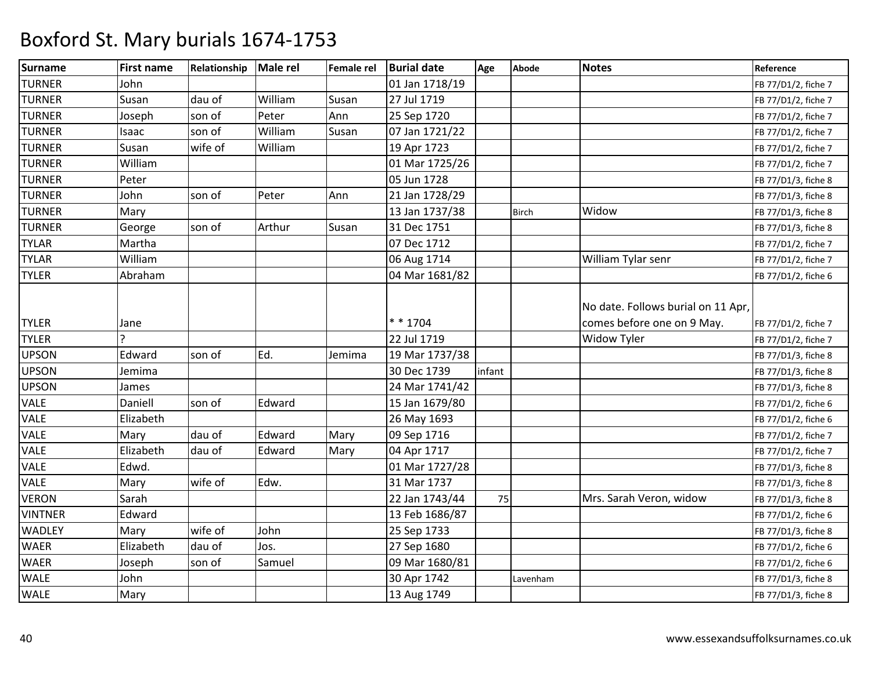| <b>Surname</b> | <b>First name</b> | Relationship | Male rel | <b>Female rel</b> | <b>Burial date</b> | Age    | <b>Abode</b> | <b>Notes</b>                                                     | Reference           |
|----------------|-------------------|--------------|----------|-------------------|--------------------|--------|--------------|------------------------------------------------------------------|---------------------|
| <b>TURNER</b>  | John              |              |          |                   | 01 Jan 1718/19     |        |              |                                                                  | FB 77/D1/2, fiche 7 |
| <b>TURNER</b>  | Susan             | dau of       | William  | Susan             | 27 Jul 1719        |        |              |                                                                  | FB 77/D1/2, fiche 7 |
| <b>TURNER</b>  | Joseph            | son of       | Peter    | Ann               | 25 Sep 1720        |        |              |                                                                  | FB 77/D1/2, fiche 7 |
| <b>TURNER</b>  | Isaac             | son of       | William  | Susan             | 07 Jan 1721/22     |        |              |                                                                  | FB 77/D1/2, fiche 7 |
| <b>TURNER</b>  | Susan             | wife of      | William  |                   | 19 Apr 1723        |        |              |                                                                  | FB 77/D1/2, fiche 7 |
| <b>TURNER</b>  | William           |              |          |                   | 01 Mar 1725/26     |        |              |                                                                  | FB 77/D1/2, fiche 7 |
| <b>TURNER</b>  | Peter             |              |          |                   | 05 Jun 1728        |        |              |                                                                  | FB 77/D1/3, fiche 8 |
| <b>TURNER</b>  | John              | son of       | Peter    | Ann               | 21 Jan 1728/29     |        |              |                                                                  | FB 77/D1/3, fiche 8 |
| <b>TURNER</b>  | Mary              |              |          |                   | 13 Jan 1737/38     |        | <b>Birch</b> | Widow                                                            | FB 77/D1/3, fiche 8 |
| <b>TURNER</b>  | George            | son of       | Arthur   | Susan             | 31 Dec 1751        |        |              |                                                                  | FB 77/D1/3, fiche 8 |
| <b>TYLAR</b>   | Martha            |              |          |                   | 07 Dec 1712        |        |              |                                                                  | FB 77/D1/2, fiche 7 |
| <b>TYLAR</b>   | William           |              |          |                   | 06 Aug 1714        |        |              | William Tylar senr                                               | FB 77/D1/2, fiche 7 |
| <b>TYLER</b>   | Abraham           |              |          |                   | 04 Mar 1681/82     |        |              |                                                                  | FB 77/D1/2, fiche 6 |
| <b>TYLER</b>   | Jane              |              |          |                   | * * 1704           |        |              | No date. Follows burial on 11 Apr,<br>comes before one on 9 May. | FB 77/D1/2, fiche 7 |
| <b>TYLER</b>   | 2                 |              |          |                   | 22 Jul 1719        |        |              | <b>Widow Tyler</b>                                               | FB 77/D1/2, fiche 7 |
| <b>UPSON</b>   | Edward            | son of       | Ed.      | Jemima            | 19 Mar 1737/38     |        |              |                                                                  | FB 77/D1/3, fiche 8 |
| <b>UPSON</b>   | Jemima            |              |          |                   | 30 Dec 1739        | infant |              |                                                                  | FB 77/D1/3, fiche 8 |
| <b>UPSON</b>   | James             |              |          |                   | 24 Mar 1741/42     |        |              |                                                                  | FB 77/D1/3, fiche 8 |
| <b>VALE</b>    | Daniell           | son of       | Edward   |                   | 15 Jan 1679/80     |        |              |                                                                  | FB 77/D1/2, fiche 6 |
| <b>VALE</b>    | Elizabeth         |              |          |                   | 26 May 1693        |        |              |                                                                  | FB 77/D1/2, fiche 6 |
| <b>VALE</b>    | Mary              | dau of       | Edward   | Mary              | 09 Sep 1716        |        |              |                                                                  | FB 77/D1/2, fiche 7 |
| <b>VALE</b>    | Elizabeth         | dau of       | Edward   | Mary              | 04 Apr 1717        |        |              |                                                                  | FB 77/D1/2, fiche 7 |
| <b>VALE</b>    | Edwd.             |              |          |                   | 01 Mar 1727/28     |        |              |                                                                  | FB 77/D1/3, fiche 8 |
| <b>VALE</b>    | Mary              | wife of      | Edw.     |                   | 31 Mar 1737        |        |              |                                                                  | FB 77/D1/3, fiche 8 |
| <b>VERON</b>   | Sarah             |              |          |                   | 22 Jan 1743/44     | 75     |              | Mrs. Sarah Veron, widow                                          | FB 77/D1/3, fiche 8 |
| <b>VINTNER</b> | Edward            |              |          |                   | 13 Feb 1686/87     |        |              |                                                                  | FB 77/D1/2, fiche 6 |
| <b>WADLEY</b>  | Mary              | wife of      | John     |                   | 25 Sep 1733        |        |              |                                                                  | FB 77/D1/3, fiche 8 |
| <b>WAER</b>    | Elizabeth         | dau of       | Jos.     |                   | 27 Sep 1680        |        |              |                                                                  | FB 77/D1/2, fiche 6 |
| <b>WAER</b>    | Joseph            | son of       | Samuel   |                   | 09 Mar 1680/81     |        |              |                                                                  | FB 77/D1/2, fiche 6 |
| <b>WALE</b>    | John              |              |          |                   | 30 Apr 1742        |        | Lavenham     |                                                                  | FB 77/D1/3, fiche 8 |
| <b>WALE</b>    | Mary              |              |          |                   | 13 Aug 1749        |        |              |                                                                  | FB 77/D1/3, fiche 8 |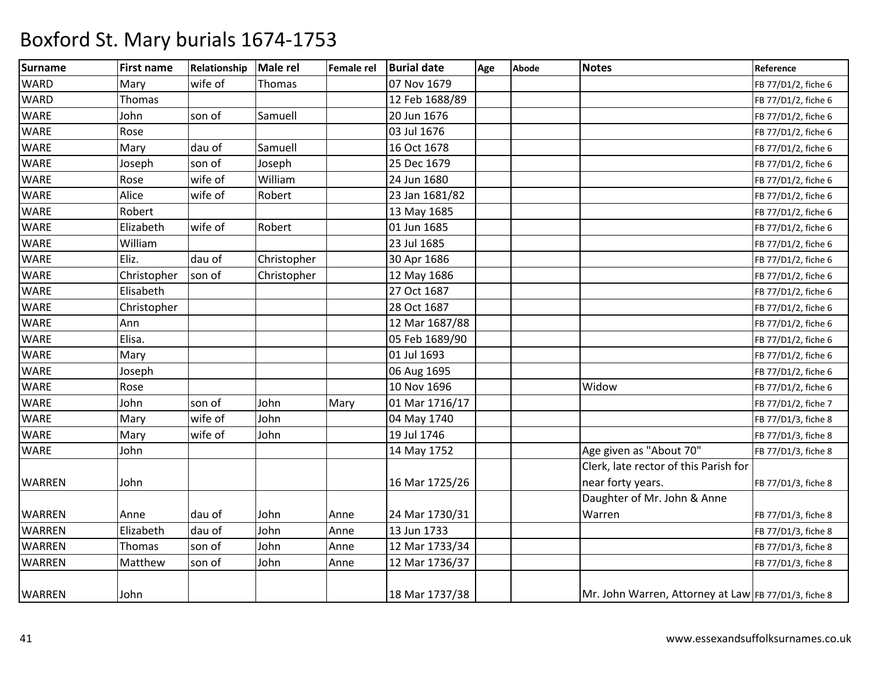| <b>Surname</b> | <b>First name</b> | Relationship | Male rel    | Female rel | <b>Burial date</b> | Age | <b>Abode</b> | <b>Notes</b>                                         | Reference           |
|----------------|-------------------|--------------|-------------|------------|--------------------|-----|--------------|------------------------------------------------------|---------------------|
| <b>WARD</b>    | Mary              | wife of      | Thomas      |            | 07 Nov 1679        |     |              |                                                      | FB 77/D1/2, fiche 6 |
| <b>WARD</b>    | Thomas            |              |             |            | 12 Feb 1688/89     |     |              |                                                      | FB 77/D1/2, fiche 6 |
| <b>WARE</b>    | John              | son of       | Samuell     |            | 20 Jun 1676        |     |              |                                                      | FB 77/D1/2, fiche 6 |
| <b>WARE</b>    | Rose              |              |             |            | 03 Jul 1676        |     |              |                                                      | FB 77/D1/2, fiche 6 |
| WARE           | Mary              | dau of       | Samuell     |            | 16 Oct 1678        |     |              |                                                      | FB 77/D1/2, fiche 6 |
| <b>WARE</b>    | Joseph            | son of       | Joseph      |            | 25 Dec 1679        |     |              |                                                      | FB 77/D1/2, fiche 6 |
| <b>WARE</b>    | Rose              | wife of      | William     |            | 24 Jun 1680        |     |              |                                                      | FB 77/D1/2, fiche 6 |
| <b>WARE</b>    | Alice             | wife of      | Robert      |            | 23 Jan 1681/82     |     |              |                                                      | FB 77/D1/2, fiche 6 |
| <b>WARE</b>    | Robert            |              |             |            | 13 May 1685        |     |              |                                                      | FB 77/D1/2, fiche 6 |
| WARE           | Elizabeth         | wife of      | Robert      |            | 01 Jun 1685        |     |              |                                                      | FB 77/D1/2, fiche 6 |
| <b>WARE</b>    | William           |              |             |            | 23 Jul 1685        |     |              |                                                      | FB 77/D1/2, fiche 6 |
| <b>WARE</b>    | Eliz.             | dau of       | Christopher |            | 30 Apr 1686        |     |              |                                                      | FB 77/D1/2, fiche 6 |
| <b>WARE</b>    | Christopher       | son of       | Christopher |            | 12 May 1686        |     |              |                                                      | FB 77/D1/2, fiche 6 |
| <b>WARE</b>    | Elisabeth         |              |             |            | 27 Oct 1687        |     |              |                                                      | FB 77/D1/2, fiche 6 |
| <b>WARE</b>    | Christopher       |              |             |            | 28 Oct 1687        |     |              |                                                      | FB 77/D1/2, fiche 6 |
| <b>WARE</b>    | Ann               |              |             |            | 12 Mar 1687/88     |     |              |                                                      | FB 77/D1/2, fiche 6 |
| <b>WARE</b>    | Elisa.            |              |             |            | 05 Feb 1689/90     |     |              |                                                      | FB 77/D1/2, fiche 6 |
| WARE           | Mary              |              |             |            | 01 Jul 1693        |     |              |                                                      | FB 77/D1/2, fiche 6 |
| <b>WARE</b>    | Joseph            |              |             |            | 06 Aug 1695        |     |              |                                                      | FB 77/D1/2, fiche 6 |
| <b>WARE</b>    | Rose              |              |             |            | 10 Nov 1696        |     |              | Widow                                                | FB 77/D1/2, fiche 6 |
| <b>WARE</b>    | John              | son of       | John        | Mary       | 01 Mar 1716/17     |     |              |                                                      | FB 77/D1/2, fiche 7 |
| <b>WARE</b>    | Mary              | wife of      | John        |            | 04 May 1740        |     |              |                                                      | FB 77/D1/3, fiche 8 |
| <b>WARE</b>    | Mary              | wife of      | John        |            | 19 Jul 1746        |     |              |                                                      | FB 77/D1/3, fiche 8 |
| WARE           | John              |              |             |            | 14 May 1752        |     |              | Age given as "About 70"                              | FB 77/D1/3, fiche 8 |
|                |                   |              |             |            |                    |     |              | Clerk, late rector of this Parish for                |                     |
| <b>WARREN</b>  | John              |              |             |            | 16 Mar 1725/26     |     |              | near forty years.                                    | FB 77/D1/3, fiche 8 |
|                |                   |              |             |            |                    |     |              | Daughter of Mr. John & Anne                          |                     |
| <b>WARREN</b>  | Anne              | dau of       | John        | Anne       | 24 Mar 1730/31     |     |              | Warren                                               | FB 77/D1/3, fiche 8 |
| <b>WARREN</b>  | Elizabeth         | dau of       | John        | Anne       | 13 Jun 1733        |     |              |                                                      | FB 77/D1/3, fiche 8 |
| <b>WARREN</b>  | Thomas            | son of       | John        | Anne       | 12 Mar 1733/34     |     |              |                                                      | FB 77/D1/3, fiche 8 |
| <b>WARREN</b>  | Matthew           | son of       | John        | Anne       | 12 Mar 1736/37     |     |              |                                                      | FB 77/D1/3, fiche 8 |
| <b>WARREN</b>  | John              |              |             |            | 18 Mar 1737/38     |     |              | Mr. John Warren, Attorney at Law FB 77/D1/3, fiche 8 |                     |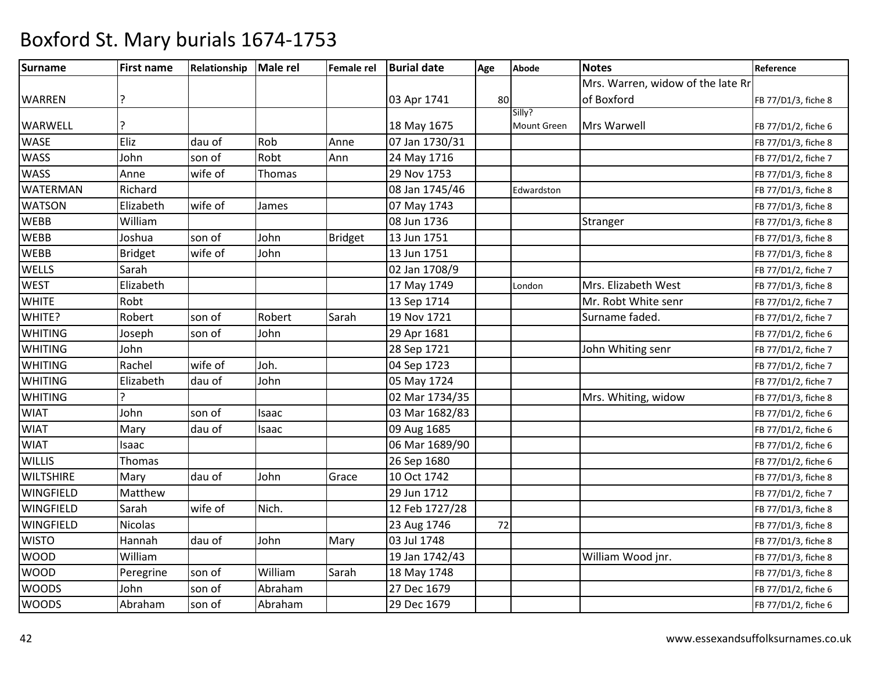| <b>Surname</b>   | <b>First name</b> | Relationship | Male rel | <b>Female rel</b> | <b>Burial date</b> | Age | <b>Abode</b> | <b>Notes</b>                      | Reference           |
|------------------|-------------------|--------------|----------|-------------------|--------------------|-----|--------------|-----------------------------------|---------------------|
|                  |                   |              |          |                   |                    |     |              | Mrs. Warren, widow of the late Rr |                     |
| <b>WARREN</b>    |                   |              |          |                   | 03 Apr 1741        | 80  |              | of Boxford                        | FB 77/D1/3, fiche 8 |
|                  | ς                 |              |          |                   |                    |     | Silly?       |                                   |                     |
| <b>WARWELL</b>   |                   |              |          |                   | 18 May 1675        |     | Mount Green  | Mrs Warwell                       | FB 77/D1/2, fiche 6 |
| <b>WASE</b>      | Eliz              | dau of       | Rob      | Anne              | 07 Jan 1730/31     |     |              |                                   | FB 77/D1/3, fiche 8 |
| <b>WASS</b>      | John              | son of       | Robt     | Ann               | 24 May 1716        |     |              |                                   | FB 77/D1/2, fiche 7 |
| <b>WASS</b>      | Anne              | wife of      | Thomas   |                   | 29 Nov 1753        |     |              |                                   | FB 77/D1/3, fiche 8 |
| <b>WATERMAN</b>  | Richard           |              |          |                   | 08 Jan 1745/46     |     | Edwardston   |                                   | FB 77/D1/3, fiche 8 |
| <b>WATSON</b>    | Elizabeth         | wife of      | James    |                   | 07 May 1743        |     |              |                                   | FB 77/D1/3, fiche 8 |
| <b>WEBB</b>      | William           |              |          |                   | 08 Jun 1736        |     |              | Stranger                          | FB 77/D1/3, fiche 8 |
| <b>WEBB</b>      | Joshua            | son of       | John     | <b>Bridget</b>    | 13 Jun 1751        |     |              |                                   | FB 77/D1/3, fiche 8 |
| <b>WEBB</b>      | <b>Bridget</b>    | wife of      | John     |                   | 13 Jun 1751        |     |              |                                   | FB 77/D1/3, fiche 8 |
| <b>WELLS</b>     | Sarah             |              |          |                   | 02 Jan 1708/9      |     |              |                                   | FB 77/D1/2, fiche 7 |
| <b>WEST</b>      | Elizabeth         |              |          |                   | 17 May 1749        |     | London       | Mrs. Elizabeth West               | FB 77/D1/3, fiche 8 |
| <b>WHITE</b>     | Robt              |              |          |                   | 13 Sep 1714        |     |              | Mr. Robt White senr               | FB 77/D1/2, fiche 7 |
| WHITE?           | Robert            | son of       | Robert   | Sarah             | 19 Nov 1721        |     |              | Surname faded.                    | FB 77/D1/2, fiche 7 |
| <b>WHITING</b>   | Joseph            | son of       | John     |                   | 29 Apr 1681        |     |              |                                   | FB 77/D1/2, fiche 6 |
| <b>WHITING</b>   | John              |              |          |                   | 28 Sep 1721        |     |              | John Whiting senr                 | FB 77/D1/2, fiche 7 |
| <b>WHITING</b>   | Rachel            | wife of      | Joh.     |                   | 04 Sep 1723        |     |              |                                   | FB 77/D1/2, fiche 7 |
| <b>WHITING</b>   | Elizabeth         | dau of       | John     |                   | 05 May 1724        |     |              |                                   | FB 77/D1/2, fiche 7 |
| <b>WHITING</b>   |                   |              |          |                   | 02 Mar 1734/35     |     |              | Mrs. Whiting, widow               | FB 77/D1/3, fiche 8 |
| <b>WIAT</b>      | John              | son of       | Isaac    |                   | 03 Mar 1682/83     |     |              |                                   | FB 77/D1/2, fiche 6 |
| <b>WIAT</b>      | Mary              | dau of       | Isaac    |                   | 09 Aug 1685        |     |              |                                   | FB 77/D1/2, fiche 6 |
| <b>WIAT</b>      | Isaac             |              |          |                   | 06 Mar 1689/90     |     |              |                                   | FB 77/D1/2, fiche 6 |
| <b>WILLIS</b>    | Thomas            |              |          |                   | 26 Sep 1680        |     |              |                                   | FB 77/D1/2, fiche 6 |
| <b>WILTSHIRE</b> | Mary              | dau of       | John     | Grace             | 10 Oct 1742        |     |              |                                   | FB 77/D1/3, fiche 8 |
| <b>WINGFIELD</b> | Matthew           |              |          |                   | 29 Jun 1712        |     |              |                                   | FB 77/D1/2, fiche 7 |
| <b>WINGFIELD</b> | Sarah             | wife of      | Nich.    |                   | 12 Feb 1727/28     |     |              |                                   | FB 77/D1/3, fiche 8 |
| <b>WINGFIELD</b> | <b>Nicolas</b>    |              |          |                   | 23 Aug 1746        | 72  |              |                                   | FB 77/D1/3, fiche 8 |
| <b>WISTO</b>     | Hannah            | dau of       | John     | Mary              | 03 Jul 1748        |     |              |                                   | FB 77/D1/3, fiche 8 |
| <b>WOOD</b>      | William           |              |          |                   | 19 Jan 1742/43     |     |              | William Wood jnr.                 | FB 77/D1/3, fiche 8 |
| <b>WOOD</b>      | Peregrine         | son of       | William  | Sarah             | 18 May 1748        |     |              |                                   | FB 77/D1/3, fiche 8 |
| <b>WOODS</b>     | John              | son of       | Abraham  |                   | 27 Dec 1679        |     |              |                                   | FB 77/D1/2, fiche 6 |
| <b>WOODS</b>     | Abraham           | son of       | Abraham  |                   | 29 Dec 1679        |     |              |                                   | FB 77/D1/2, fiche 6 |